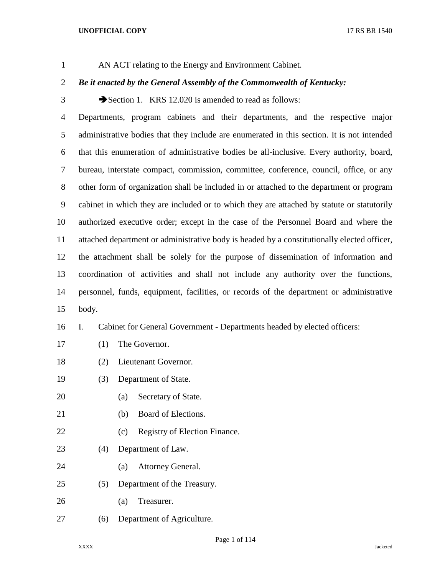AN ACT relating to the Energy and Environment Cabinet.

# *Be it enacted by the General Assembly of the Commonwealth of Kentucky:*

3 Section 1. KRS 12.020 is amended to read as follows:

 Departments, program cabinets and their departments, and the respective major administrative bodies that they include are enumerated in this section. It is not intended that this enumeration of administrative bodies be all-inclusive. Every authority, board, bureau, interstate compact, commission, committee, conference, council, office, or any other form of organization shall be included in or attached to the department or program cabinet in which they are included or to which they are attached by statute or statutorily authorized executive order; except in the case of the Personnel Board and where the attached department or administrative body is headed by a constitutionally elected officer, the attachment shall be solely for the purpose of dissemination of information and coordination of activities and shall not include any authority over the functions, personnel, funds, equipment, facilities, or records of the department or administrative body.

# I. Cabinet for General Government - Departments headed by elected officers:

- (1) The Governor.
- (2) Lieutenant Governor.
- (3) Department of State.
- (a) Secretary of State.
- (b) Board of Elections.
- 22 (c) Registry of Election Finance.
- (4) Department of Law.
- (a) Attorney General.
- (5) Department of the Treasury.
- (a) Treasurer.
- (6) Department of Agriculture.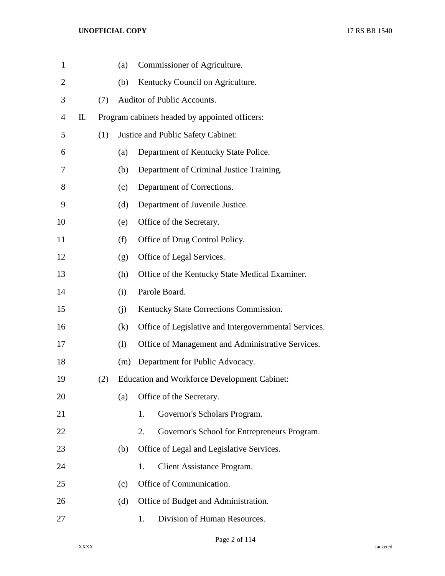| $\mathbf{1}$   |    |     | (a) |    | Commissioner of Agriculture.                          |
|----------------|----|-----|-----|----|-------------------------------------------------------|
| $\overline{2}$ |    |     | (b) |    | Kentucky Council on Agriculture.                      |
| 3              |    | (7) |     |    | Auditor of Public Accounts.                           |
| 4              | Π. |     |     |    | Program cabinets headed by appointed officers:        |
| 5              |    | (1) |     |    | Justice and Public Safety Cabinet:                    |
| 6              |    |     | (a) |    | Department of Kentucky State Police.                  |
| 7              |    |     | (b) |    | Department of Criminal Justice Training.              |
| 8              |    |     | (c) |    | Department of Corrections.                            |
| 9              |    |     | (d) |    | Department of Juvenile Justice.                       |
| 10             |    |     | (e) |    | Office of the Secretary.                              |
| 11             |    |     | (f) |    | Office of Drug Control Policy.                        |
| 12             |    |     | (g) |    | Office of Legal Services.                             |
| 13             |    |     | (h) |    | Office of the Kentucky State Medical Examiner.        |
| 14             |    |     | (i) |    | Parole Board.                                         |
| 15             |    |     | (i) |    | Kentucky State Corrections Commission.                |
| 16             |    |     | (k) |    | Office of Legislative and Intergovernmental Services. |
| 17             |    |     | (1) |    | Office of Management and Administrative Services.     |
| 18             |    |     | (m) |    | Department for Public Advocacy.                       |
| 19             |    | (2) |     |    | <b>Education and Workforce Development Cabinet:</b>   |
| 20             |    |     | (a) |    | Office of the Secretary.                              |
| 21             |    |     |     | 1. | Governor's Scholars Program.                          |
| 22             |    |     |     | 2. | Governor's School for Entrepreneurs Program.          |
| 23             |    |     | (b) |    | Office of Legal and Legislative Services.             |
| 24             |    |     |     | 1. | Client Assistance Program.                            |
| 25             |    |     | (c) |    | Office of Communication.                              |
| 26             |    |     | (d) |    | Office of Budget and Administration.                  |
| 27             |    |     |     | 1. | Division of Human Resources.                          |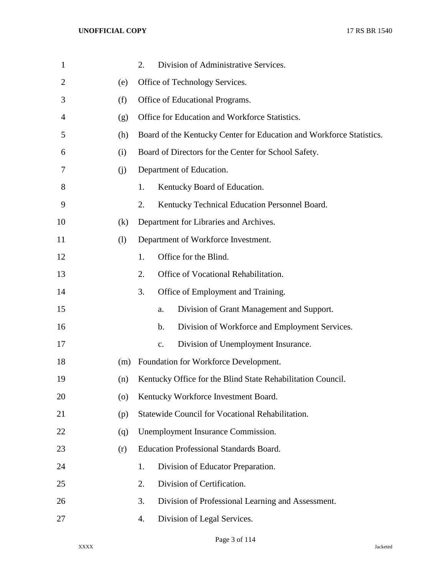| $\mathbf{1}$   |         | Division of Administrative Services.<br>2.                           |
|----------------|---------|----------------------------------------------------------------------|
| $\overline{2}$ | (e)     | Office of Technology Services.                                       |
| 3              | (f)     | Office of Educational Programs.                                      |
| 4              | (g)     | Office for Education and Workforce Statistics.                       |
| 5              | (h)     | Board of the Kentucky Center for Education and Workforce Statistics. |
| 6              | (i)     | Board of Directors for the Center for School Safety.                 |
| 7              | (i)     | Department of Education.                                             |
| 8              |         | 1.<br>Kentucky Board of Education.                                   |
| 9              |         | 2.<br>Kentucky Technical Education Personnel Board.                  |
| 10             | (k)     | Department for Libraries and Archives.                               |
| 11             | (1)     | Department of Workforce Investment.                                  |
| 12             |         | 1.<br>Office for the Blind.                                          |
| 13             |         | 2.<br>Office of Vocational Rehabilitation.                           |
| 14             |         | 3.<br>Office of Employment and Training.                             |
| 15             |         | Division of Grant Management and Support.<br>a.                      |
| 16             |         | Division of Workforce and Employment Services.<br>b.                 |
| 17             |         | Division of Unemployment Insurance.<br>$C_{\bullet}$                 |
| 18             | (m)     | Foundation for Workforce Development.                                |
| 19             | (n)     | Kentucky Office for the Blind State Rehabilitation Council.          |
| 20             | $\circ$ | Kentucky Workforce Investment Board.                                 |
| 21             | (p)     | Statewide Council for Vocational Rehabilitation.                     |
| 22             | (q)     | Unemployment Insurance Commission.                                   |
| 23             | (r)     | <b>Education Professional Standards Board.</b>                       |
| 24             |         | Division of Educator Preparation.<br>1.                              |
| 25             |         | Division of Certification.<br>2.                                     |
| 26             |         | Division of Professional Learning and Assessment.<br>3.              |
| 27             |         | Division of Legal Services.<br>4.                                    |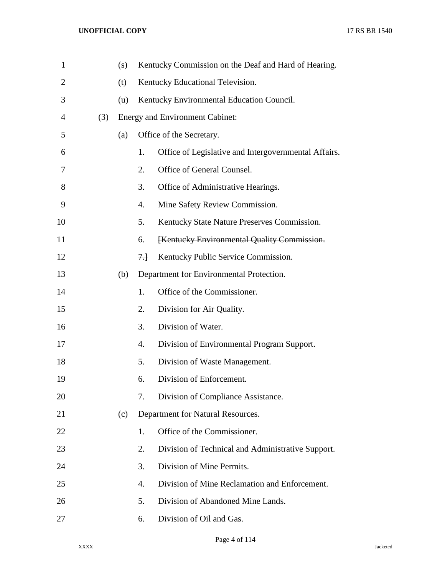| $\mathbf{1}$ |     | (s) |       | Kentucky Commission on the Deaf and Hard of Hearing. |
|--------------|-----|-----|-------|------------------------------------------------------|
| 2            |     | (t) |       | Kentucky Educational Television.                     |
| 3            |     | (u) |       | Kentucky Environmental Education Council.            |
| 4            | (3) |     |       | <b>Energy and Environment Cabinet:</b>               |
| 5            |     | (a) |       | Office of the Secretary.                             |
| 6            |     |     | 1.    | Office of Legislative and Intergovernmental Affairs. |
| 7            |     |     | 2.    | Office of General Counsel.                           |
| 8            |     |     | 3.    | Office of Administrative Hearings.                   |
| 9            |     |     | 4.    | Mine Safety Review Commission.                       |
| 10           |     |     | 5.    | Kentucky State Nature Preserves Commission.          |
| 11           |     |     | 6.    | [Kentucky Environmental Quality Commission.          |
| 12           |     |     | $7 +$ | Kentucky Public Service Commission.                  |
| 13           |     | (b) |       | Department for Environmental Protection.             |
| 14           |     |     | 1.    | Office of the Commissioner.                          |
| 15           |     |     | 2.    | Division for Air Quality.                            |
| 16           |     |     | 3.    | Division of Water.                                   |
| 17           |     |     | 4.    | Division of Environmental Program Support.           |
| 18           |     |     | 5.    | Division of Waste Management.                        |
| 19           |     |     | 6.    | Division of Enforcement.                             |
| 20           |     |     | 7.    | Division of Compliance Assistance.                   |
| 21           |     | (c) |       | Department for Natural Resources.                    |
| 22           |     |     | 1.    | Office of the Commissioner.                          |
| 23           |     |     | 2.    | Division of Technical and Administrative Support.    |
| 24           |     |     | 3.    | Division of Mine Permits.                            |
| 25           |     |     | 4.    | Division of Mine Reclamation and Enforcement.        |
| 26           |     |     | 5.    | Division of Abandoned Mine Lands.                    |
| 27           |     |     | 6.    | Division of Oil and Gas.                             |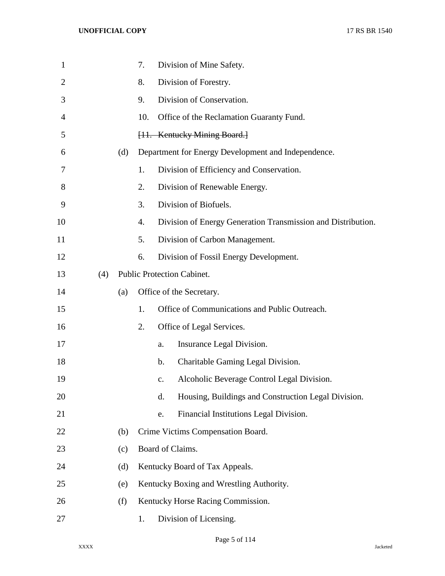| $\mathbf{1}$   |     |     | 7.  |               | Division of Mine Safety.                                     |
|----------------|-----|-----|-----|---------------|--------------------------------------------------------------|
| $\overline{2}$ |     |     | 8.  |               | Division of Forestry.                                        |
| 3              |     |     | 9.  |               | Division of Conservation.                                    |
| 4              |     |     | 10. |               | Office of the Reclamation Guaranty Fund.                     |
| 5              |     |     |     |               | [11. Kentucky Mining Board.]                                 |
| 6              |     | (d) |     |               | Department for Energy Development and Independence.          |
| 7              |     |     | 1.  |               | Division of Efficiency and Conservation.                     |
| 8              |     |     | 2.  |               | Division of Renewable Energy.                                |
| 9              |     |     | 3.  |               | Division of Biofuels.                                        |
| 10             |     |     | 4.  |               | Division of Energy Generation Transmission and Distribution. |
| 11             |     |     | 5.  |               | Division of Carbon Management.                               |
| 12             |     |     | 6.  |               | Division of Fossil Energy Development.                       |
| 13             | (4) |     |     |               | <b>Public Protection Cabinet.</b>                            |
| 14             |     | (a) |     |               | Office of the Secretary.                                     |
| 15             |     |     | 1.  |               | Office of Communications and Public Outreach.                |
| 16             |     |     | 2.  |               | Office of Legal Services.                                    |
| 17             |     |     |     | a.            | Insurance Legal Division.                                    |
| 18             |     |     |     | $\mathbf b$ . | Charitable Gaming Legal Division.                            |
| 19             |     |     |     | $C_{\bullet}$ | Alcoholic Beverage Control Legal Division.                   |
| 20             |     |     |     | d.            | Housing, Buildings and Construction Legal Division.          |
| 21             |     |     |     | e.            | Financial Institutions Legal Division.                       |
| 22             |     | (b) |     |               | Crime Victims Compensation Board.                            |
| 23             |     | (c) |     |               | Board of Claims.                                             |
| 24             |     | (d) |     |               | Kentucky Board of Tax Appeals.                               |
| 25             |     | (e) |     |               | Kentucky Boxing and Wrestling Authority.                     |
| 26             |     | (f) |     |               | Kentucky Horse Racing Commission.                            |
| 27             |     |     | 1.  |               | Division of Licensing.                                       |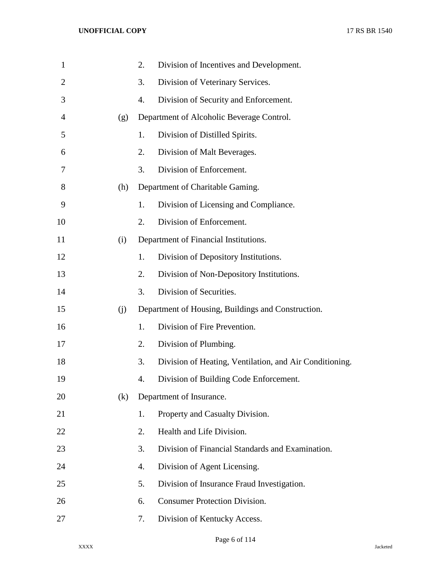| $\mathbf{1}$   |     | 2. | Division of Incentives and Development.                 |
|----------------|-----|----|---------------------------------------------------------|
| $\overline{2}$ |     | 3. | Division of Veterinary Services.                        |
| 3              |     | 4. | Division of Security and Enforcement.                   |
| $\overline{4}$ | (g) |    | Department of Alcoholic Beverage Control.               |
| 5              |     | 1. | Division of Distilled Spirits.                          |
| 6              |     | 2. | Division of Malt Beverages.                             |
| 7              |     | 3. | Division of Enforcement.                                |
| 8              | (h) |    | Department of Charitable Gaming.                        |
| 9              |     | 1. | Division of Licensing and Compliance.                   |
| 10             |     | 2. | Division of Enforcement.                                |
| 11             | (i) |    | Department of Financial Institutions.                   |
| 12             |     | 1. | Division of Depository Institutions.                    |
| 13             |     | 2. | Division of Non-Depository Institutions.                |
| 14             |     | 3. | Division of Securities.                                 |
| 15             | (j) |    | Department of Housing, Buildings and Construction.      |
| 16             |     | 1. | Division of Fire Prevention.                            |
| 17             |     | 2. | Division of Plumbing.                                   |
| 18             |     | 3. | Division of Heating, Ventilation, and Air Conditioning. |
| 19             |     | 4. | Division of Building Code Enforcement.                  |
| 20             | (k) |    | Department of Insurance.                                |
| 21             |     | 1. | Property and Casualty Division.                         |
| 22             |     | 2. | Health and Life Division.                               |
| 23             |     | 3. | Division of Financial Standards and Examination.        |
| 24             |     | 4. | Division of Agent Licensing.                            |
| 25             |     | 5. | Division of Insurance Fraud Investigation.              |
| 26             |     | 6. | <b>Consumer Protection Division.</b>                    |
| 27             |     | 7. | Division of Kentucky Access.                            |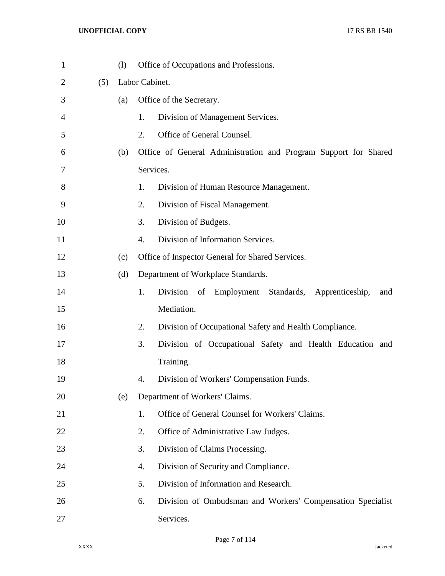| $\mathbf{1}$ |     | (1) | Office of Occupations and Professions.                            |  |  |  |  |
|--------------|-----|-----|-------------------------------------------------------------------|--|--|--|--|
| 2            | (5) |     | Labor Cabinet.                                                    |  |  |  |  |
| 3            |     | (a) | Office of the Secretary.                                          |  |  |  |  |
| 4            |     |     | 1.<br>Division of Management Services.                            |  |  |  |  |
| 5            |     |     | 2.<br>Office of General Counsel.                                  |  |  |  |  |
| 6            |     | (b) | Office of General Administration and Program Support for Shared   |  |  |  |  |
| 7            |     |     | Services.                                                         |  |  |  |  |
| 8            |     |     | 1.<br>Division of Human Resource Management.                      |  |  |  |  |
| 9            |     |     | 2.<br>Division of Fiscal Management.                              |  |  |  |  |
| 10           |     |     | 3.<br>Division of Budgets.                                        |  |  |  |  |
| 11           |     |     | 4.<br>Division of Information Services.                           |  |  |  |  |
| 12           |     | (c) | Office of Inspector General for Shared Services.                  |  |  |  |  |
| 13           |     | (d) | Department of Workplace Standards.                                |  |  |  |  |
| 14           |     |     | 1.<br>Division of<br>Employment Standards, Apprenticeship,<br>and |  |  |  |  |
| 15           |     |     | Mediation.                                                        |  |  |  |  |
| 16           |     |     | 2.<br>Division of Occupational Safety and Health Compliance.      |  |  |  |  |
| 17           |     |     | 3.<br>Division of Occupational Safety and Health Education and    |  |  |  |  |
| 18           |     |     | Training.                                                         |  |  |  |  |
| 19           |     |     | 4.<br>Division of Workers' Compensation Funds.                    |  |  |  |  |
| 20           |     | (e) | Department of Workers' Claims.                                    |  |  |  |  |
| 21           |     |     | Office of General Counsel for Workers' Claims.<br>1.              |  |  |  |  |
| 22           |     |     | 2.<br>Office of Administrative Law Judges.                        |  |  |  |  |
| 23           |     |     | 3.<br>Division of Claims Processing.                              |  |  |  |  |
| 24           |     |     | Division of Security and Compliance.<br>4.                        |  |  |  |  |
| 25           |     |     | 5.<br>Division of Information and Research.                       |  |  |  |  |
| 26           |     |     | 6.<br>Division of Ombudsman and Workers' Compensation Specialist  |  |  |  |  |
| 27           |     |     | Services.                                                         |  |  |  |  |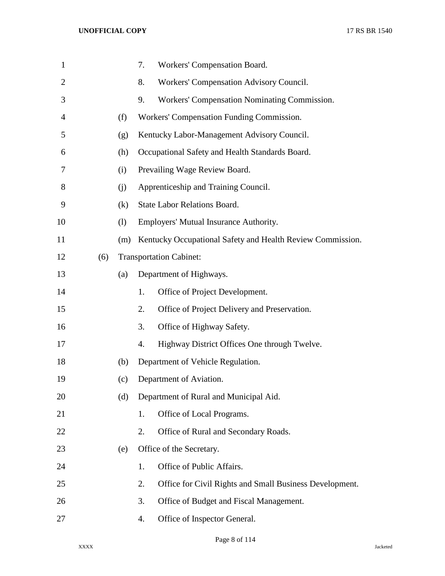| $\mathbf{1}$   |     |     | Workers' Compensation Board.<br>7.                            |
|----------------|-----|-----|---------------------------------------------------------------|
| $\overline{2}$ |     |     | Workers' Compensation Advisory Council.<br>8.                 |
| 3              |     |     | Workers' Compensation Nominating Commission.<br>9.            |
| 4              |     | (f) | Workers' Compensation Funding Commission.                     |
| 5              |     | (g) | Kentucky Labor-Management Advisory Council.                   |
| 6              |     | (h) | Occupational Safety and Health Standards Board.               |
| 7              |     | (i) | Prevailing Wage Review Board.                                 |
| 8              |     | (i) | Apprenticeship and Training Council.                          |
| 9              |     | (k) | <b>State Labor Relations Board.</b>                           |
| 10             |     | (1) | Employers' Mutual Insurance Authority.                        |
| 11             |     | (m) | Kentucky Occupational Safety and Health Review Commission.    |
| 12             | (6) |     | <b>Transportation Cabinet:</b>                                |
| 13             |     | (a) | Department of Highways.                                       |
| 14             |     |     | Office of Project Development.<br>1.                          |
| 15             |     |     | Office of Project Delivery and Preservation.<br>2.            |
| 16             |     |     | Office of Highway Safety.<br>3.                               |
| 17             |     |     | Highway District Offices One through Twelve.<br>4.            |
| 18             |     | (b) | Department of Vehicle Regulation.                             |
| 19             |     | (c) | Department of Aviation.                                       |
| 20             |     | (d) | Department of Rural and Municipal Aid.                        |
| 21             |     |     | Office of Local Programs.<br>1.                               |
| 22             |     |     | Office of Rural and Secondary Roads.<br>2.                    |
| 23             |     | (e) | Office of the Secretary.                                      |
| 24             |     |     | Office of Public Affairs.<br>1.                               |
| 25             |     |     | Office for Civil Rights and Small Business Development.<br>2. |
| 26             |     |     | Office of Budget and Fiscal Management.<br>3.                 |
| 27             |     |     | Office of Inspector General.<br>4.                            |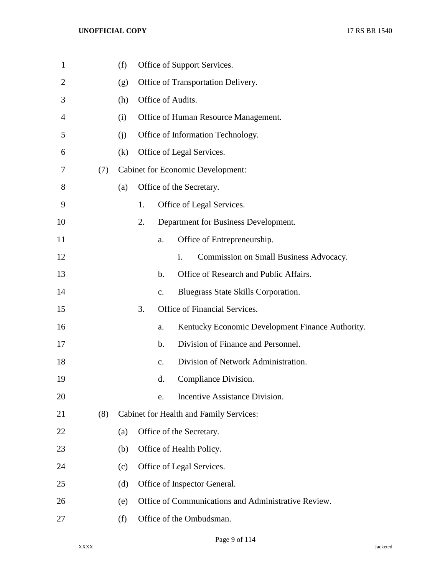| $\mathbf{1}$   |     | (f) |    |               | Office of Support Services.                              |
|----------------|-----|-----|----|---------------|----------------------------------------------------------|
| $\overline{2}$ |     | (g) |    |               | Office of Transportation Delivery.                       |
| 3              |     | (h) |    |               | Office of Audits.                                        |
| 4              |     | (i) |    |               | Office of Human Resource Management.                     |
| 5              |     | (i) |    |               | Office of Information Technology.                        |
| 6              |     | (k) |    |               | Office of Legal Services.                                |
| 7              | (7) |     |    |               | <b>Cabinet for Economic Development:</b>                 |
| 8              |     | (a) |    |               | Office of the Secretary.                                 |
| 9              |     |     | 1. |               | Office of Legal Services.                                |
| 10             |     |     | 2. |               | Department for Business Development.                     |
| 11             |     |     |    | a.            | Office of Entrepreneurship.                              |
| 12             |     |     |    |               | $\mathbf{i}$ .<br>Commission on Small Business Advocacy. |
| 13             |     |     |    | $\mathbf b$ . | Office of Research and Public Affairs.                   |
| 14             |     |     |    | $C_{\bullet}$ | Bluegrass State Skills Corporation.                      |
| 15             |     |     | 3. |               | Office of Financial Services.                            |
| 16             |     |     |    | a.            | Kentucky Economic Development Finance Authority.         |
| 17             |     |     |    | $\mathbf b$ . | Division of Finance and Personnel.                       |
| 18             |     |     |    | $C_{\bullet}$ | Division of Network Administration.                      |
| 19             |     |     |    | d.            | Compliance Division.                                     |
| 20             |     |     |    | e.            | Incentive Assistance Division.                           |
| 21             | (8) |     |    |               | Cabinet for Health and Family Services:                  |
| 22             |     | (a) |    |               | Office of the Secretary.                                 |
| 23             |     | (b) |    |               | Office of Health Policy.                                 |
| 24             |     | (c) |    |               | Office of Legal Services.                                |
| 25             |     | (d) |    |               | Office of Inspector General.                             |
| 26             |     | (e) |    |               | Office of Communications and Administrative Review.      |
| 27             |     | (f) |    |               | Office of the Ombudsman.                                 |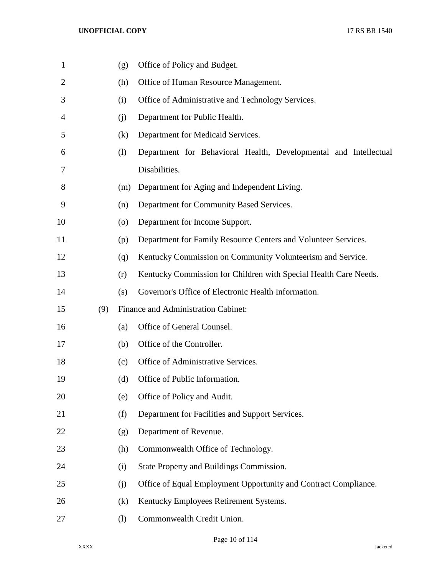| $\mathbf{1}$   |     | (g)                          | Office of Policy and Budget.                                     |
|----------------|-----|------------------------------|------------------------------------------------------------------|
| $\overline{2}$ |     | (h)                          | Office of Human Resource Management.                             |
| 3              |     | (i)                          | Office of Administrative and Technology Services.                |
| 4              |     | (j)                          | Department for Public Health.                                    |
| 5              |     | (k)                          | Department for Medicaid Services.                                |
| 6              |     | $\left( \frac{1}{2} \right)$ | Department for Behavioral Health, Developmental and Intellectual |
| 7              |     |                              | Disabilities.                                                    |
| 8              |     | (m)                          | Department for Aging and Independent Living.                     |
| 9              |     | (n)                          | Department for Community Based Services.                         |
| 10             |     | $\left( 0 \right)$           | Department for Income Support.                                   |
| 11             |     | (p)                          | Department for Family Resource Centers and Volunteer Services.   |
| 12             |     | (q)                          | Kentucky Commission on Community Volunteerism and Service.       |
| 13             |     | (r)                          | Kentucky Commission for Children with Special Health Care Needs. |
| 14             |     | (s)                          | Governor's Office of Electronic Health Information.              |
| 15             | (9) |                              | Finance and Administration Cabinet:                              |
| 16             |     | (a)                          | Office of General Counsel.                                       |
| 17             |     | (b)                          | Office of the Controller.                                        |
| 18             |     | (c)                          | Office of Administrative Services.                               |
| 19             |     | (d)                          | Office of Public Information.                                    |
| 20             |     | (e)                          | Office of Policy and Audit.                                      |
| 21             |     | (f)                          | Department for Facilities and Support Services.                  |
| 22             |     | (g)                          | Department of Revenue.                                           |
| 23             |     | (h)                          | Commonwealth Office of Technology.                               |
| 24             |     | (i)                          | State Property and Buildings Commission.                         |
| 25             |     | (j)                          | Office of Equal Employment Opportunity and Contract Compliance.  |
| 26             |     | (k)                          | Kentucky Employees Retirement Systems.                           |
| 27             |     | (1)                          | Commonwealth Credit Union.                                       |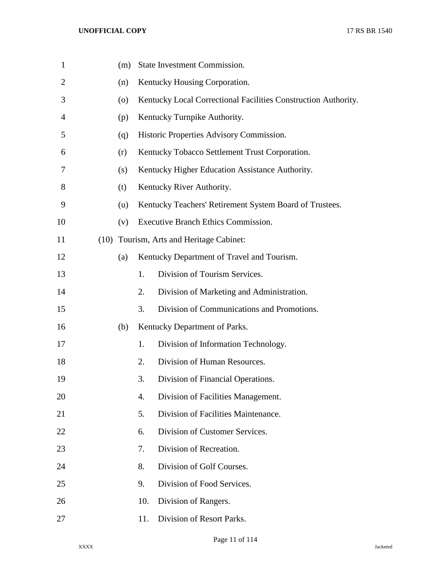| $\mathbf{1}$   |      | (m) |     | State Investment Commission.                                   |
|----------------|------|-----|-----|----------------------------------------------------------------|
| $\overline{2}$ |      | (n) |     | Kentucky Housing Corporation.                                  |
| 3              |      | (0) |     | Kentucky Local Correctional Facilities Construction Authority. |
| 4              |      | (p) |     | Kentucky Turnpike Authority.                                   |
| 5              |      | (q) |     | Historic Properties Advisory Commission.                       |
| 6              |      | (r) |     | Kentucky Tobacco Settlement Trust Corporation.                 |
| 7              |      | (s) |     | Kentucky Higher Education Assistance Authority.                |
| 8              |      | (t) |     | Kentucky River Authority.                                      |
| 9              |      | (u) |     | Kentucky Teachers' Retirement System Board of Trustees.        |
| 10             |      | (v) |     | Executive Branch Ethics Commission.                            |
| 11             | (10) |     |     | Tourism, Arts and Heritage Cabinet:                            |
| 12             |      | (a) |     | Kentucky Department of Travel and Tourism.                     |
| 13             |      |     | 1.  | Division of Tourism Services.                                  |
| 14             |      |     | 2.  | Division of Marketing and Administration.                      |
| 15             |      |     | 3.  | Division of Communications and Promotions.                     |
| 16             |      | (b) |     | Kentucky Department of Parks.                                  |
| 17             |      |     | 1.  | Division of Information Technology.                            |
| 18             |      |     | 2.  | Division of Human Resources.                                   |
| 19             |      |     | 3.  | Division of Financial Operations.                              |
| 20             |      |     | 4.  | Division of Facilities Management.                             |
| 21             |      |     | 5.  | Division of Facilities Maintenance.                            |
| 22             |      |     | 6.  | Division of Customer Services.                                 |
| 23             |      |     | 7.  | Division of Recreation.                                        |
| 24             |      |     | 8.  | Division of Golf Courses.                                      |
| 25             |      |     | 9.  | Division of Food Services.                                     |
| 26             |      |     | 10. | Division of Rangers.                                           |
| 27             |      |     | 11. | Division of Resort Parks.                                      |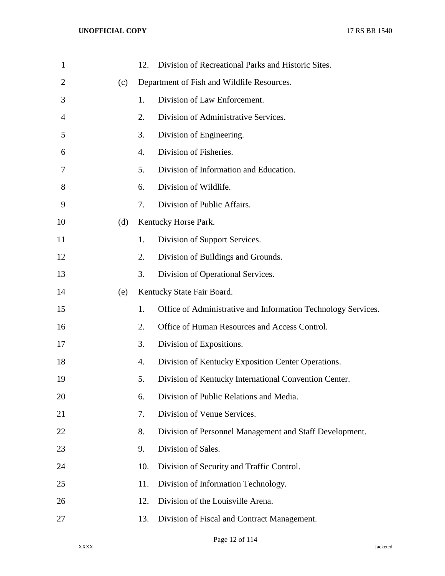| $\mathbf{1}$   |     | 12. | Division of Recreational Parks and Historic Sites.            |
|----------------|-----|-----|---------------------------------------------------------------|
| $\overline{2}$ | (c) |     | Department of Fish and Wildlife Resources.                    |
| 3              |     | 1.  | Division of Law Enforcement.                                  |
| 4              |     | 2.  | Division of Administrative Services.                          |
| 5              |     | 3.  | Division of Engineering.                                      |
| 6              |     | 4.  | Division of Fisheries.                                        |
| 7              |     | 5.  | Division of Information and Education.                        |
| 8              |     | 6.  | Division of Wildlife.                                         |
| 9              |     | 7.  | Division of Public Affairs.                                   |
| 10             | (d) |     | Kentucky Horse Park.                                          |
| 11             |     | 1.  | Division of Support Services.                                 |
| 12             |     | 2.  | Division of Buildings and Grounds.                            |
| 13             |     | 3.  | Division of Operational Services.                             |
| 14             | (e) |     | Kentucky State Fair Board.                                    |
| 15             |     | 1.  | Office of Administrative and Information Technology Services. |
| 16             |     | 2.  | Office of Human Resources and Access Control.                 |
| 17             |     | 3.  | Division of Expositions.                                      |
| 18             |     | 4.  | Division of Kentucky Exposition Center Operations.            |
| 19             |     | 5.  | Division of Kentucky International Convention Center.         |
| 20             |     | 6.  | Division of Public Relations and Media.                       |
| 21             |     | 7.  | Division of Venue Services.                                   |
| 22             |     | 8.  | Division of Personnel Management and Staff Development.       |
| 23             |     | 9.  | Division of Sales.                                            |
| 24             |     | 10. | Division of Security and Traffic Control.                     |
| 25             |     | 11. | Division of Information Technology.                           |
| 26             |     | 12. | Division of the Louisville Arena.                             |
| 27             |     | 13. | Division of Fiscal and Contract Management.                   |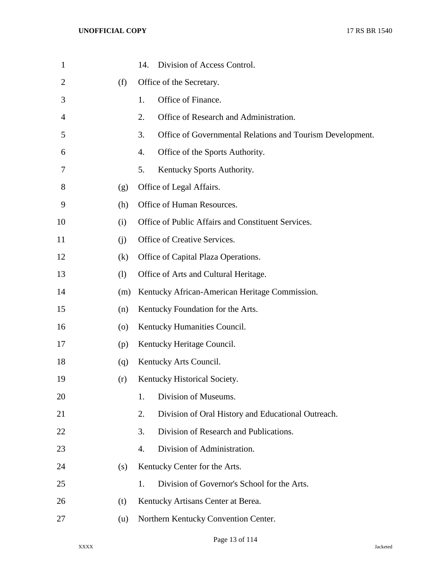| $\mathbf{1}$   |     | Division of Access Control.<br>14.                              |
|----------------|-----|-----------------------------------------------------------------|
| $\overline{2}$ | (f) | Office of the Secretary.                                        |
| 3              |     | Office of Finance.<br>1.                                        |
| 4              |     | 2.<br>Office of Research and Administration.                    |
| 5              |     | 3.<br>Office of Governmental Relations and Tourism Development. |
| 6              |     | 4.<br>Office of the Sports Authority.                           |
| 7              |     | 5.<br>Kentucky Sports Authority.                                |
| 8              | (g) | Office of Legal Affairs.                                        |
| 9              | (h) | Office of Human Resources.                                      |
| 10             | (i) | Office of Public Affairs and Constituent Services.              |
| 11             | (i) | Office of Creative Services.                                    |
| 12             | (k) | Office of Capital Plaza Operations.                             |
| 13             | (1) | Office of Arts and Cultural Heritage.                           |
| 14             | (m) | Kentucky African-American Heritage Commission.                  |
| 15             | (n) | Kentucky Foundation for the Arts.                               |
| 16             | (0) | Kentucky Humanities Council.                                    |
| 17             | (p) | Kentucky Heritage Council.                                      |
| 18             | (q) | Kentucky Arts Council.                                          |
| 19             | (r) | Kentucky Historical Society.                                    |
| 20             |     | Division of Museums.<br>1.                                      |
| 21             |     | 2.<br>Division of Oral History and Educational Outreach.        |
| 22             |     | 3.<br>Division of Research and Publications.                    |
| 23             |     | Division of Administration.<br>4.                               |
| 24             | (s) | Kentucky Center for the Arts.                                   |
| 25             |     | Division of Governor's School for the Arts.<br>1.               |
| 26             | (t) | Kentucky Artisans Center at Berea.                              |
| 27             | (u) | Northern Kentucky Convention Center.                            |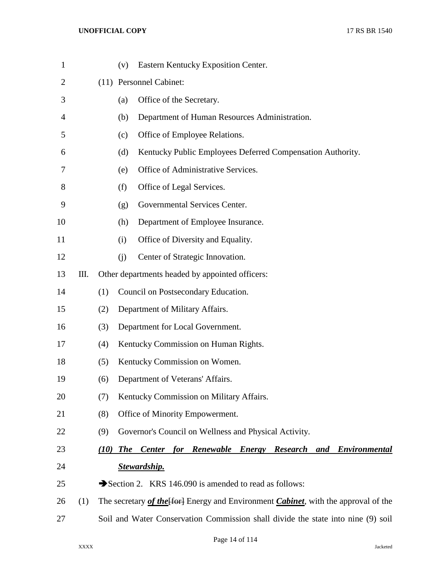| $\mathbf{1}$ |     |      | Eastern Kentucky Exposition Center.<br>(v)                                                            |
|--------------|-----|------|-------------------------------------------------------------------------------------------------------|
| 2            |     |      | (11) Personnel Cabinet:                                                                               |
| 3            |     |      | Office of the Secretary.<br>(a)                                                                       |
| 4            |     |      | Department of Human Resources Administration.<br>(b)                                                  |
| 5            |     |      | Office of Employee Relations.<br>(c)                                                                  |
| 6            |     |      | Kentucky Public Employees Deferred Compensation Authority.<br>(d)                                     |
| 7            |     |      | Office of Administrative Services.<br>(e)                                                             |
| 8            |     |      | Office of Legal Services.<br>(f)                                                                      |
| 9            |     |      | Governmental Services Center.<br>(g)                                                                  |
| 10           |     |      | Department of Employee Insurance.<br>(h)                                                              |
| 11           |     |      | Office of Diversity and Equality.<br>(i)                                                              |
| 12           |     |      | Center of Strategic Innovation.<br>(i)                                                                |
| 13           | Ш.  |      | Other departments headed by appointed officers:                                                       |
| 14           |     | (1)  | Council on Postsecondary Education.                                                                   |
| 15           |     | (2)  | Department of Military Affairs.                                                                       |
| 16           |     | (3)  | Department for Local Government.                                                                      |
| 17           |     | (4)  | Kentucky Commission on Human Rights.                                                                  |
| 18           |     | (5)  | Kentucky Commission on Women.                                                                         |
| 19           |     | (6)  | Department of Veterans' Affairs.                                                                      |
| 20           |     | (7)  | Kentucky Commission on Military Affairs.                                                              |
| 21           |     | (8)  | Office of Minority Empowerment.                                                                       |
| 22           |     | (9)  | Governor's Council on Wellness and Physical Activity.                                                 |
| 23           |     | (10) | <b>Renewable</b><br><b>The</b><br><b>Center</b><br>for<br><b>Energy</b> Research<br>and Environmental |
| 24           |     |      | <b>Stewardship.</b>                                                                                   |
| 25           |     |      | Section 2. KRS 146.090 is amended to read as follows:                                                 |
| 26           | (1) |      | The secretary of the [for] Energy and Environment <i>Cabinet</i> , with the approval of the           |
| 27           |     |      | Soil and Water Conservation Commission shall divide the state into nine (9) soil                      |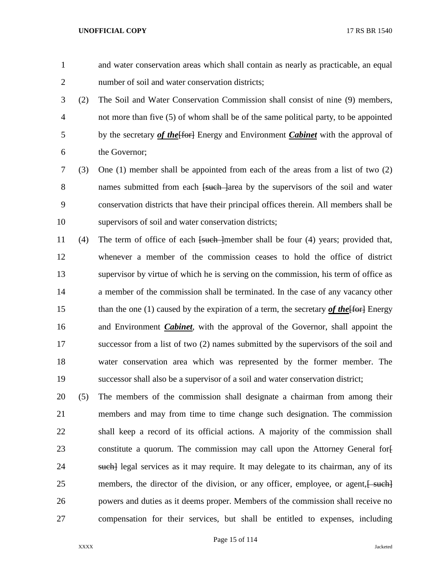and water conservation areas which shall contain as nearly as practicable, an equal number of soil and water conservation districts;

- (2) The Soil and Water Conservation Commission shall consist of nine (9) members, not more than five (5) of whom shall be of the same political party, to be appointed 5 by the secretary *of the* [for] Energy and Environment *Cabinet* with the approval of the Governor;
- (3) One (1) member shall be appointed from each of the areas from a list of two (2) 8 names submitted from each <del>[such ]</del>area by the supervisors of the soil and water conservation districts that have their principal offices therein. All members shall be supervisors of soil and water conservation districts;
- 11 (4) The term of office of each [such ]member shall be four (4) years; provided that, whenever a member of the commission ceases to hold the office of district supervisor by virtue of which he is serving on the commission, his term of office as a member of the commission shall be terminated. In the case of any vacancy other 15 than the one (1) caused by the expiration of a term, the secretary *of the* [for ] Energy and Environment *Cabinet*, with the approval of the Governor, shall appoint the successor from a list of two (2) names submitted by the supervisors of the soil and water conservation area which was represented by the former member. The successor shall also be a supervisor of a soil and water conservation district;
- (5) The members of the commission shall designate a chairman from among their members and may from time to time change such designation. The commission shall keep a record of its official actions. A majority of the commission shall 23 constitute a quorum. The commission may call upon the Attorney General for-24 such legal services as it may require. It may delegate to its chairman, any of its 25 members, the director of the division, or any officer, employee, or agent,  $\frac{1}{2}$  powers and duties as it deems proper. Members of the commission shall receive no compensation for their services, but shall be entitled to expenses, including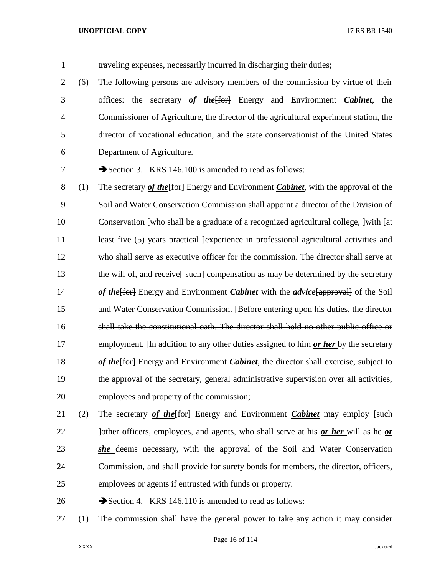- traveling expenses, necessarily incurred in discharging their duties; (6) The following persons are advisory members of the commission by virtue of their offices: the secretary *of the*[for] Energy and Environment *Cabinet*, the Commissioner of Agriculture, the director of the agricultural experiment station, the director of vocational education, and the state conservationist of the United States Department of Agriculture. 7 Section 3. KRS 146.100 is amended to read as follows: 8 (1) The secretary *of the* [for] Energy and Environment *Cabinet*, with the approval of the Soil and Water Conservation Commission shall appoint a director of the Division of 10 Conservation [who shall be a graduate of a recognized agricultural college, ] with [at 11 least five (5) years practical lexperience in professional agricultural activities and who shall serve as executive officer for the commission. The director shall serve at 13 the will of, and receive<del>[ such]</del> compensation as may be determined by the secretary *of the* [for ] Energy and Environment *Cabinet* with the *advice* [approval] of the Soil and Water Conservation Commission. [Before entering upon his duties, the director shall take the constitutional oath. The director shall hold no other public office or employment. ]In addition to any other duties assigned to him *or her* by the secretary *of the* Energy and Environment *Cabinet*, the director shall exercise, subject to
- the approval of the secretary, general administrative supervision over all activities, employees and property of the commission;
- 21 (2) The secretary *of the* [Ford Energy and Environment *Cabinet* may employ [such] **Iother officers, employees, and agents, who shall serve at his** *or her* **will as he** *or she* deems necessary, with the approval of the Soil and Water Conservation Commission, and shall provide for surety bonds for members, the director, officers, employees or agents if entrusted with funds or property.
- 26 Section 4. KRS 146.110 is amended to read as follows:
- (1) The commission shall have the general power to take any action it may consider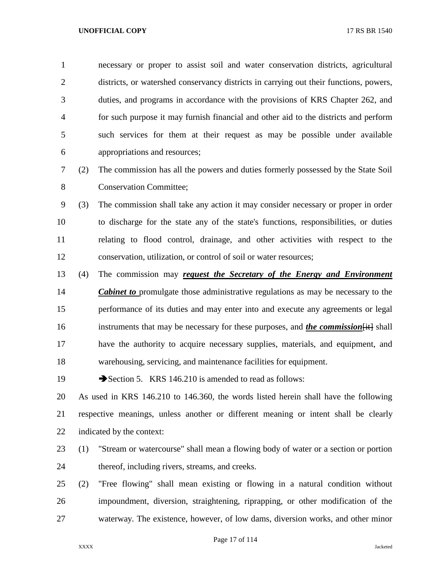necessary or proper to assist soil and water conservation districts, agricultural districts, or watershed conservancy districts in carrying out their functions, powers, duties, and programs in accordance with the provisions of KRS Chapter 262, and for such purpose it may furnish financial and other aid to the districts and perform such services for them at their request as may be possible under available appropriations and resources;

- (2) The commission has all the powers and duties formerly possessed by the State Soil Conservation Committee;
- (3) The commission shall take any action it may consider necessary or proper in order to discharge for the state any of the state's functions, responsibilities, or duties relating to flood control, drainage, and other activities with respect to the conservation, utilization, or control of soil or water resources;
- (4) The commission may *request the Secretary of the Energy and Environment Cabinet to* promulgate those administrative regulations as may be necessary to the performance of its duties and may enter into and execute any agreements or legal 16 instruments that may be necessary for these purposes, and *the commission* [it] shall have the authority to acquire necessary supplies, materials, and equipment, and warehousing, servicing, and maintenance facilities for equipment.
- 19 Section 5. KRS 146.210 is amended to read as follows:

 As used in KRS 146.210 to 146.360, the words listed herein shall have the following respective meanings, unless another or different meaning or intent shall be clearly indicated by the context:

- (1) "Stream or watercourse" shall mean a flowing body of water or a section or portion thereof, including rivers, streams, and creeks.
- (2) "Free flowing" shall mean existing or flowing in a natural condition without impoundment, diversion, straightening, riprapping, or other modification of the waterway. The existence, however, of low dams, diversion works, and other minor

Page 17 of 114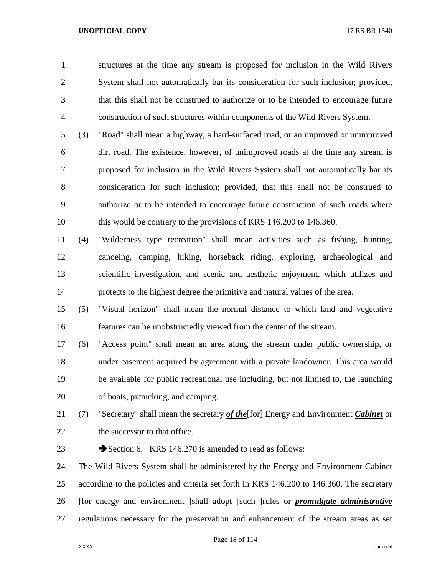structures at the time any stream is proposed for inclusion in the Wild Rivers System shall not automatically bar its consideration for such inclusion; provided, that this shall not be construed to authorize or to be intended to encourage future construction of such structures within components of the Wild Rivers System.

 (3) "Road" shall mean a highway, a hard-surfaced road, or an improved or unimproved dirt road. The existence, however, of unimproved roads at the time any stream is proposed for inclusion in the Wild Rivers System shall not automatically bar its consideration for such inclusion; provided, that this shall not be construed to authorize or to be intended to encourage future construction of such roads where this would be contrary to the provisions of KRS 146.200 to 146.360.

 (4) "Wilderness type recreation" shall mean activities such as fishing, hunting, canoeing, camping, hiking, horseback riding, exploring, archaeological and scientific investigation, and scenic and aesthetic enjoyment, which utilizes and protects to the highest degree the primitive and natural values of the area.

 (5) "Visual horizon" shall mean the normal distance to which land and vegetative features can be unobstructedly viewed from the center of the stream.

 (6) "Access point" shall mean an area along the stream under public ownership, or under easement acquired by agreement with a private landowner. This area would be available for public recreational use including, but not limited to, the launching of boats, picnicking, and camping.

21 (7) "Secretary" shall mean the secretary *of the* [for ] Energy and Environment *Cabinet* or 22 the successor to that office.

23 Section 6. KRS 146.270 is amended to read as follows:

 The Wild Rivers System shall be administered by the Energy and Environment Cabinet according to the policies and criteria set forth in KRS 146.200 to 146.360. The secretary [for energy and environment ]shall adopt [such ]rules or *promulgate administrative*  regulations necessary for the preservation and enhancement of the stream areas as set

Page 18 of 114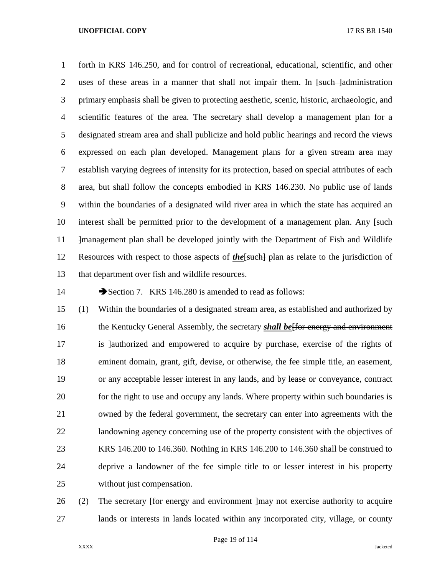forth in KRS 146.250, and for control of recreational, educational, scientific, and other 2 uses of these areas in a manner that shall not impair them. In <del>[such ]administration</del> primary emphasis shall be given to protecting aesthetic, scenic, historic, archaeologic, and scientific features of the area. The secretary shall develop a management plan for a designated stream area and shall publicize and hold public hearings and record the views expressed on each plan developed. Management plans for a given stream area may establish varying degrees of intensity for its protection, based on special attributes of each area, but shall follow the concepts embodied in KRS 146.230. No public use of lands within the boundaries of a designated wild river area in which the state has acquired an 10 interest shall be permitted prior to the development of a management plan. Any [such 11 • Heta-Thanagement plan shall be developed jointly with the Department of Fish and Wildlife Resources with respect to those aspects of *the*[such] plan as relate to the jurisdiction of that department over fish and wildlife resources.

14 Section 7. KRS 146.280 is amended to read as follows:

 (1) Within the boundaries of a designated stream area, as established and authorized by 16 the Kentucky General Assembly, the secretary *shall be* for energy and environment 17 is lauthorized and empowered to acquire by purchase, exercise of the rights of eminent domain, grant, gift, devise, or otherwise, the fee simple title, an easement, or any acceptable lesser interest in any lands, and by lease or conveyance, contract for the right to use and occupy any lands. Where property within such boundaries is owned by the federal government, the secretary can enter into agreements with the landowning agency concerning use of the property consistent with the objectives of KRS 146.200 to 146.360. Nothing in KRS 146.200 to 146.360 shall be construed to deprive a landowner of the fee simple title to or lesser interest in his property without just compensation.

26 (2) The secretary f<del>for energy and environment</del> lmay not exercise authority to acquire lands or interests in lands located within any incorporated city, village, or county

Page 19 of 114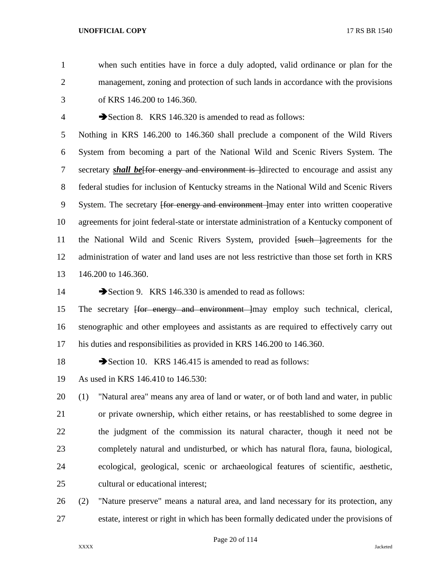when such entities have in force a duly adopted, valid ordinance or plan for the management, zoning and protection of such lands in accordance with the provisions of KRS 146.200 to 146.360. 4 Section 8. KRS 146.320 is amended to read as follows: Nothing in KRS 146.200 to 146.360 shall preclude a component of the Wild Rivers System from becoming a part of the National Wild and Scenic Rivers System. The 7 secretary **shall be** for energy and environment is directed to encourage and assist any federal studies for inclusion of Kentucky streams in the National Wild and Scenic Rivers 9 System. The secretary <del>[for energy and environment ]</del>may enter into written cooperative agreements for joint federal-state or interstate administration of a Kentucky component of 11 the National Wild and Scenic Rivers System, provided [such ]agreements for the administration of water and land uses are not less restrictive than those set forth in KRS 146.200 to 146.360. 14 Section 9. KRS 146.330 is amended to read as follows: 15 The secretary <del>[for energy and environment ]</del>may employ such technical, clerical, stenographic and other employees and assistants as are required to effectively carry out his duties and responsibilities as provided in KRS 146.200 to 146.360. 18 Section 10. KRS 146.415 is amended to read as follows: As used in KRS 146.410 to 146.530: (1) "Natural area" means any area of land or water, or of both land and water, in public or private ownership, which either retains, or has reestablished to some degree in the judgment of the commission its natural character, though it need not be completely natural and undisturbed, or which has natural flora, fauna, biological, ecological, geological, scenic or archaeological features of scientific, aesthetic, cultural or educational interest; (2) "Nature preserve" means a natural area, and land necessary for its protection, any estate, interest or right in which has been formally dedicated under the provisions of

Page 20 of 114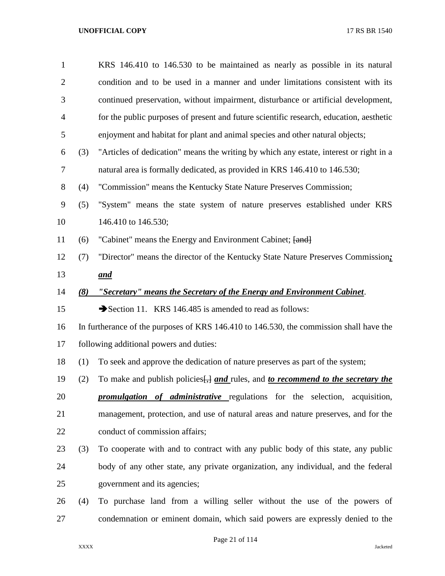| $\mathbf{1}$   |     | KRS 146.410 to 146.530 to be maintained as nearly as possible in its natural                |
|----------------|-----|---------------------------------------------------------------------------------------------|
| $\overline{2}$ |     | condition and to be used in a manner and under limitations consistent with its              |
| 3              |     | continued preservation, without impairment, disturbance or artificial development,          |
| $\overline{4}$ |     | for the public purposes of present and future scientific research, education, aesthetic     |
| 5              |     | enjoyment and habitat for plant and animal species and other natural objects;               |
| 6              | (3) | "Articles of dedication" means the writing by which any estate, interest or right in a      |
| 7              |     | natural area is formally dedicated, as provided in KRS 146.410 to 146.530;                  |
| 8              | (4) | "Commission" means the Kentucky State Nature Preserves Commission;                          |
| 9              | (5) | "System" means the state system of nature preserves established under KRS                   |
| 10             |     | 146.410 to 146.530;                                                                         |
| 11             | (6) | "Cabinet" means the Energy and Environment Cabinet; [and]                                   |
| 12             | (7) | "Director" means the director of the Kentucky State Nature Preserves Commission;            |
| 13             |     | and                                                                                         |
| 14             | (8) | "Secretary" means the Secretary of the Energy and Environment Cabinet.                      |
| 15             |     | Section 11. KRS 146.485 is amended to read as follows:                                      |
| 16             |     | In furtherance of the purposes of KRS 146.410 to 146.530, the commission shall have the     |
| 17             |     | following additional powers and duties:                                                     |
| 18             | (1) | To seek and approve the dedication of nature preserves as part of the system;               |
| 19             | (2) | To make and publish policies $\frac{1}{2}$ and rules, and to recommend to the secretary the |
| 20             |     | <b>promulgation</b> of <b>administrative</b> regulations for the selection, acquisition,    |
| 21             |     | management, protection, and use of natural areas and nature preserves, and for the          |
| 22             |     | conduct of commission affairs;                                                              |
| 23             | (3) | To cooperate with and to contract with any public body of this state, any public            |
| 24             |     | body of any other state, any private organization, any individual, and the federal          |
| 25             |     | government and its agencies;                                                                |
| 26             | (4) | To purchase land from a willing seller without the use of the powers of                     |
| 27             |     | condemnation or eminent domain, which said powers are expressly denied to the               |

Page 21 of 114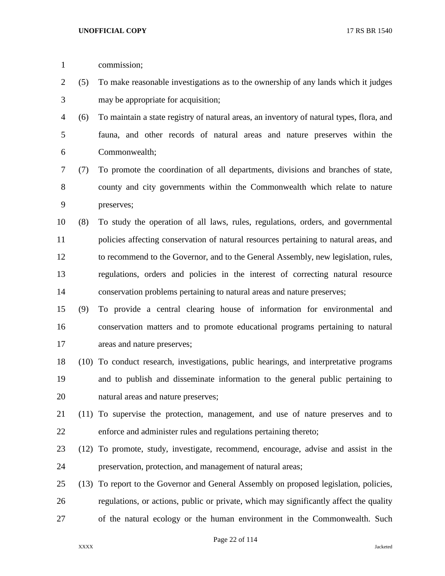| $\mathbf{1}$ |      | commission;                                                                              |
|--------------|------|------------------------------------------------------------------------------------------|
| 2            | (5)  | To make reasonable investigations as to the ownership of any lands which it judges       |
| 3            |      | may be appropriate for acquisition;                                                      |
| 4            | (6)  | To maintain a state registry of natural areas, an inventory of natural types, flora, and |
| 5            |      | fauna, and other records of natural areas and nature preserves within the                |
| 6            |      | Commonwealth;                                                                            |
| 7            | (7)  | To promote the coordination of all departments, divisions and branches of state,         |
| 8            |      | county and city governments within the Commonwealth which relate to nature               |
| 9            |      | preserves;                                                                               |
| 10           | (8)  | To study the operation of all laws, rules, regulations, orders, and governmental         |
| 11           |      | policies affecting conservation of natural resources pertaining to natural areas, and    |
| 12           |      | to recommend to the Governor, and to the General Assembly, new legislation, rules,       |
| 13           |      | regulations, orders and policies in the interest of correcting natural resource          |
| 14           |      | conservation problems pertaining to natural areas and nature preserves;                  |
| 15           | (9)  | To provide a central clearing house of information for environmental and                 |
| 16           |      | conservation matters and to promote educational programs pertaining to natural           |
| 17           |      | areas and nature preserves;                                                              |
| 18           |      | (10) To conduct research, investigations, public hearings, and interpretative programs   |
| 19           |      | and to publish and disseminate information to the general public pertaining to           |
| 20           |      | natural areas and nature preserves;                                                      |
| 21           |      | (11) To supervise the protection, management, and use of nature preserves and to         |
| 22           |      | enforce and administer rules and regulations pertaining thereto;                         |
| 23           | (12) | To promote, study, investigate, recommend, encourage, advise and assist in the           |
| 24           |      | preservation, protection, and management of natural areas;                               |
| 25           | (13) | To report to the Governor and General Assembly on proposed legislation, policies,        |
| 26           |      | regulations, or actions, public or private, which may significantly affect the quality   |
| 27           |      | of the natural ecology or the human environment in the Commonwealth. Such                |

Page 22 of 114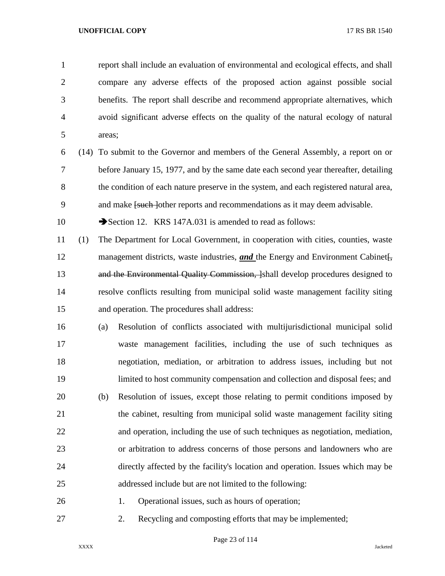report shall include an evaluation of environmental and ecological effects, and shall compare any adverse effects of the proposed action against possible social benefits. The report shall describe and recommend appropriate alternatives, which avoid significant adverse effects on the quality of the natural ecology of natural areas;

 (14) To submit to the Governor and members of the General Assembly, a report on or before January 15, 1977, and by the same date each second year thereafter, detailing the condition of each nature preserve in the system, and each registered natural area, 9 and make <del>[such ]</del>other reports and recommendations as it may deem advisable.

10 Section 12. KRS 147A.031 is amended to read as follows:

 (1) The Department for Local Government, in cooperation with cities, counties, waste 12 management districts, waste industries, and the Energy and Environment Cabinet. 13 and the Environmental Quality Commission, [shall develop procedures designed to resolve conflicts resulting from municipal solid waste management facility siting and operation. The procedures shall address:

 (a) Resolution of conflicts associated with multijurisdictional municipal solid waste management facilities, including the use of such techniques as negotiation, mediation, or arbitration to address issues, including but not limited to host community compensation and collection and disposal fees; and (b) Resolution of issues, except those relating to permit conditions imposed by the cabinet, resulting from municipal solid waste management facility siting and operation, including the use of such techniques as negotiation, mediation, or arbitration to address concerns of those persons and landowners who are directly affected by the facility's location and operation. Issues which may be addressed include but are not limited to the following:

1. Operational issues, such as hours of operation;

2. Recycling and composting efforts that may be implemented;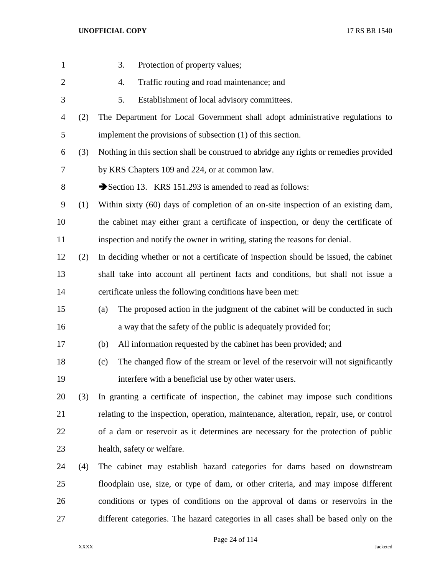| $\mathbf{1}$ |     | 3.<br>Protection of property values;                                                    |
|--------------|-----|-----------------------------------------------------------------------------------------|
| $\mathbf{2}$ |     | Traffic routing and road maintenance; and<br>4.                                         |
| 3            |     | Establishment of local advisory committees.<br>5.                                       |
| 4            | (2) | The Department for Local Government shall adopt administrative regulations to           |
| 5            |     | implement the provisions of subsection (1) of this section.                             |
| 6            | (3) | Nothing in this section shall be construed to abridge any rights or remedies provided   |
| 7            |     | by KRS Chapters 109 and 224, or at common law.                                          |
| 8            |     | Section 13. KRS 151.293 is amended to read as follows:                                  |
| 9            | (1) | Within sixty (60) days of completion of an on-site inspection of an existing dam,       |
| 10           |     | the cabinet may either grant a certificate of inspection, or deny the certificate of    |
| 11           |     | inspection and notify the owner in writing, stating the reasons for denial.             |
| 12           | (2) | In deciding whether or not a certificate of inspection should be issued, the cabinet    |
| 13           |     | shall take into account all pertinent facts and conditions, but shall not issue a       |
| 14           |     | certificate unless the following conditions have been met:                              |
| 15           |     | The proposed action in the judgment of the cabinet will be conducted in such<br>(a)     |
| 16           |     | a way that the safety of the public is adequately provided for;                         |
| 17           |     | All information requested by the cabinet has been provided; and<br>(b)                  |
| 18           |     | The changed flow of the stream or level of the reservoir will not significantly<br>(c)  |
| 19           |     | interfere with a beneficial use by other water users.                                   |
| 20           | (3) | In granting a certificate of inspection, the cabinet may impose such conditions         |
| 21           |     | relating to the inspection, operation, maintenance, alteration, repair, use, or control |
| 22           |     | of a dam or reservoir as it determines are necessary for the protection of public       |
| 23           |     | health, safety or welfare.                                                              |
| 24           | (4) | The cabinet may establish hazard categories for dams based on downstream                |
| 25           |     | floodplain use, size, or type of dam, or other criteria, and may impose different       |
| 26           |     | conditions or types of conditions on the approval of dams or reservoirs in the          |
| 27           |     | different categories. The hazard categories in all cases shall be based only on the     |

Page 24 of 114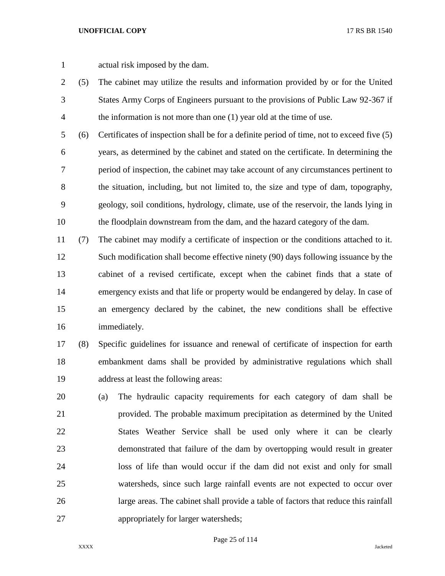- actual risk imposed by the dam.
- (5) The cabinet may utilize the results and information provided by or for the United States Army Corps of Engineers pursuant to the provisions of Public Law 92-367 if the information is not more than one (1) year old at the time of use.
- (6) Certificates of inspection shall be for a definite period of time, not to exceed five (5) years, as determined by the cabinet and stated on the certificate. In determining the period of inspection, the cabinet may take account of any circumstances pertinent to the situation, including, but not limited to, the size and type of dam, topography, geology, soil conditions, hydrology, climate, use of the reservoir, the lands lying in the floodplain downstream from the dam, and the hazard category of the dam.
- (7) The cabinet may modify a certificate of inspection or the conditions attached to it. 12 Such modification shall become effective ninety (90) days following issuance by the cabinet of a revised certificate, except when the cabinet finds that a state of emergency exists and that life or property would be endangered by delay. In case of an emergency declared by the cabinet, the new conditions shall be effective immediately.
- (8) Specific guidelines for issuance and renewal of certificate of inspection for earth embankment dams shall be provided by administrative regulations which shall address at least the following areas:
- (a) The hydraulic capacity requirements for each category of dam shall be provided. The probable maximum precipitation as determined by the United States Weather Service shall be used only where it can be clearly demonstrated that failure of the dam by overtopping would result in greater loss of life than would occur if the dam did not exist and only for small watersheds, since such large rainfall events are not expected to occur over large areas. The cabinet shall provide a table of factors that reduce this rainfall appropriately for larger watersheds;

Page 25 of 114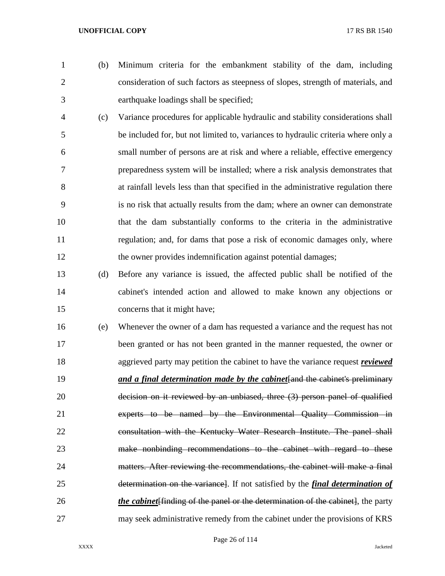(b) Minimum criteria for the embankment stability of the dam, including consideration of such factors as steepness of slopes, strength of materials, and earthquake loadings shall be specified;

- (c) Variance procedures for applicable hydraulic and stability considerations shall be included for, but not limited to, variances to hydraulic criteria where only a small number of persons are at risk and where a reliable, effective emergency preparedness system will be installed; where a risk analysis demonstrates that at rainfall levels less than that specified in the administrative regulation there is no risk that actually results from the dam; where an owner can demonstrate that the dam substantially conforms to the criteria in the administrative regulation; and, for dams that pose a risk of economic damages only, where the owner provides indemnification against potential damages;
- (d) Before any variance is issued, the affected public shall be notified of the cabinet's intended action and allowed to make known any objections or concerns that it might have;
- (e) Whenever the owner of a dam has requested a variance and the request has not been granted or has not been granted in the manner requested, the owner or aggrieved party may petition the cabinet to have the variance request *reviewed and a final determination made by the cabinet* fand the cabinet's preliminary decision on it reviewed by an unbiased, three (3) person panel of qualified experts to be named by the Environmental Quality Commission in consultation with the Kentucky Water Research Institute. The panel shall make nonbinding recommendations to the cabinet with regard to these matters. After reviewing the recommendations, the cabinet will make a final determination on the variance]. If not satisfied by the *final determination of the cabinet*[finding of the panel or the determination of the cabinet], the party may seek administrative remedy from the cabinet under the provisions of KRS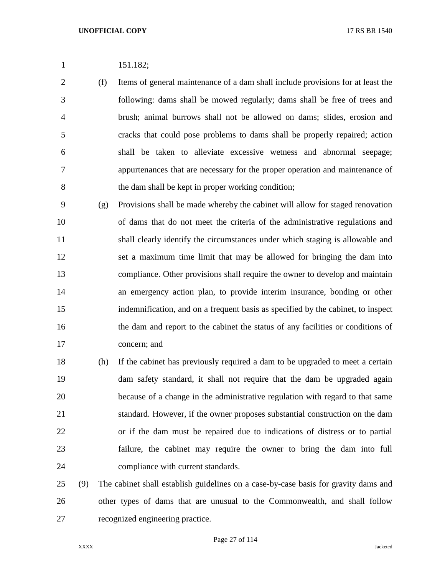| 151.182; |
|----------|
|          |

 (f) Items of general maintenance of a dam shall include provisions for at least the following: dams shall be mowed regularly; dams shall be free of trees and brush; animal burrows shall not be allowed on dams; slides, erosion and cracks that could pose problems to dams shall be properly repaired; action shall be taken to alleviate excessive wetness and abnormal seepage; appurtenances that are necessary for the proper operation and maintenance of the dam shall be kept in proper working condition;

 (g) Provisions shall be made whereby the cabinet will allow for staged renovation of dams that do not meet the criteria of the administrative regulations and shall clearly identify the circumstances under which staging is allowable and set a maximum time limit that may be allowed for bringing the dam into compliance. Other provisions shall require the owner to develop and maintain an emergency action plan, to provide interim insurance, bonding or other indemnification, and on a frequent basis as specified by the cabinet, to inspect the dam and report to the cabinet the status of any facilities or conditions of concern; and

 (h) If the cabinet has previously required a dam to be upgraded to meet a certain dam safety standard, it shall not require that the dam be upgraded again because of a change in the administrative regulation with regard to that same standard. However, if the owner proposes substantial construction on the dam or if the dam must be repaired due to indications of distress or to partial failure, the cabinet may require the owner to bring the dam into full compliance with current standards.

 (9) The cabinet shall establish guidelines on a case-by-case basis for gravity dams and other types of dams that are unusual to the Commonwealth, and shall follow recognized engineering practice.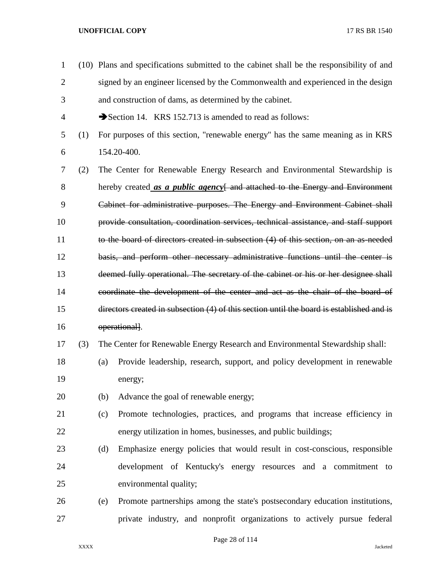(10) Plans and specifications submitted to the cabinet shall be the responsibility of and signed by an engineer licensed by the Commonwealth and experienced in the design and construction of dams, as determined by the cabinet. 4 Section 14. KRS 152.713 is amended to read as follows: (1) For purposes of this section, "renewable energy" has the same meaning as in KRS 154.20-400. (2) The Center for Renewable Energy Research and Environmental Stewardship is hereby created *as a public agency*[ and attached to the Energy and Environment Cabinet for administrative purposes. The Energy and Environment Cabinet shall provide consultation, coordination services, technical assistance, and staff support to the board of directors created in subsection (4) of this section, on an as-needed basis, and perform other necessary administrative functions until the center is deemed fully operational. The secretary of the cabinet or his or her designee shall coordinate the development of the center and act as the chair of the board of directors created in subsection (4) of this section until the board is established and is 16 operational. (3) The Center for Renewable Energy Research and Environmental Stewardship shall: (a) Provide leadership, research, support, and policy development in renewable energy; (b) Advance the goal of renewable energy; (c) Promote technologies, practices, and programs that increase efficiency in energy utilization in homes, businesses, and public buildings; (d) Emphasize energy policies that would result in cost-conscious, responsible development of Kentucky's energy resources and a commitment to environmental quality; (e) Promote partnerships among the state's postsecondary education institutions, private industry, and nonprofit organizations to actively pursue federal

Page 28 of 114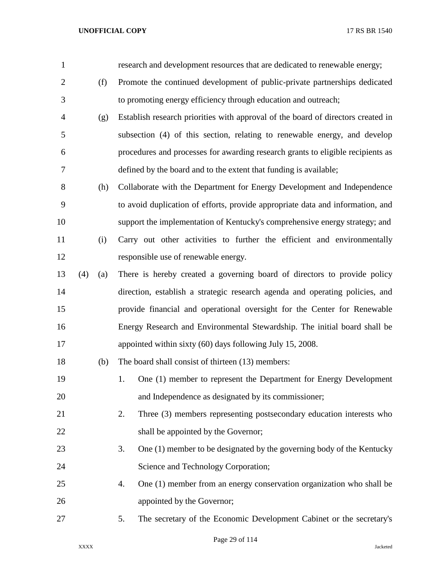| $\mathbf{1}$   |     |     | research and development resources that are dedicated to renewable energy;       |
|----------------|-----|-----|----------------------------------------------------------------------------------|
| $\overline{c}$ |     | (f) | Promote the continued development of public-private partnerships dedicated       |
| 3              |     |     | to promoting energy efficiency through education and outreach;                   |
| 4              |     | (g) | Establish research priorities with approval of the board of directors created in |
| 5              |     |     | subsection (4) of this section, relating to renewable energy, and develop        |
| 6              |     |     | procedures and processes for awarding research grants to eligible recipients as  |
| 7              |     |     | defined by the board and to the extent that funding is available;                |
| 8              |     | (h) | Collaborate with the Department for Energy Development and Independence          |
| 9              |     |     | to avoid duplication of efforts, provide appropriate data and information, and   |
| 10             |     |     | support the implementation of Kentucky's comprehensive energy strategy; and      |
| 11             |     | (i) | Carry out other activities to further the efficient and environmentally          |
| 12             |     |     | responsible use of renewable energy.                                             |
| 13             | (4) | (a) | There is hereby created a governing board of directors to provide policy         |
| 14             |     |     | direction, establish a strategic research agenda and operating policies, and     |
| 15             |     |     | provide financial and operational oversight for the Center for Renewable         |
| 16             |     |     | Energy Research and Environmental Stewardship. The initial board shall be        |
| 17             |     |     | appointed within sixty (60) days following July 15, 2008.                        |
| 18             |     | (b) | The board shall consist of thirteen (13) members:                                |
| 19             |     |     | One (1) member to represent the Department for Energy Development<br>1.          |
| 20             |     |     | and Independence as designated by its commissioner;                              |
| 21             |     |     | 2.<br>Three (3) members representing postsecondary education interests who       |
| 22             |     |     | shall be appointed by the Governor;                                              |
| 23             |     |     | One (1) member to be designated by the governing body of the Kentucky<br>3.      |
| 24             |     |     | Science and Technology Corporation;                                              |
| 25             |     |     | One (1) member from an energy conservation organization who shall be<br>4.       |
| 26             |     |     | appointed by the Governor;                                                       |
| 27             |     |     | The secretary of the Economic Development Cabinet or the secretary's<br>5.       |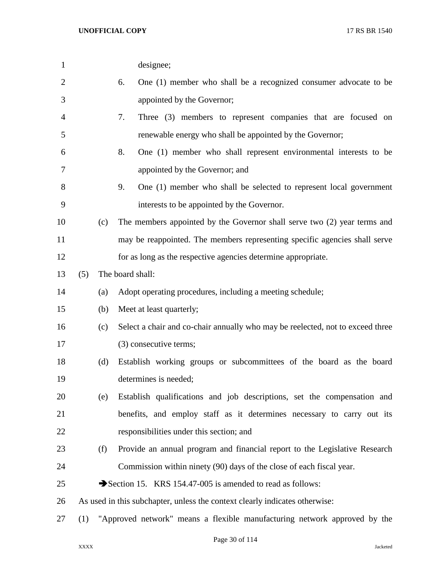| 1              |     |     | designee;                                                                      |
|----------------|-----|-----|--------------------------------------------------------------------------------|
| $\overline{2}$ |     |     | One (1) member who shall be a recognized consumer advocate to be<br>6.         |
| 3              |     |     | appointed by the Governor;                                                     |
| 4              |     |     | 7.<br>Three (3) members to represent companies that are focused on             |
| 5              |     |     | renewable energy who shall be appointed by the Governor;                       |
| 6              |     |     | 8.<br>One (1) member who shall represent environmental interests to be         |
| 7              |     |     | appointed by the Governor; and                                                 |
| 8              |     |     | One (1) member who shall be selected to represent local government<br>9.       |
| 9              |     |     | interests to be appointed by the Governor.                                     |
| 10             |     | (c) | The members appointed by the Governor shall serve two (2) year terms and       |
| 11             |     |     | may be reappointed. The members representing specific agencies shall serve     |
| 12             |     |     | for as long as the respective agencies determine appropriate.                  |
| 13             | (5) |     | The board shall:                                                               |
| 14             |     | (a) | Adopt operating procedures, including a meeting schedule;                      |
| 15             |     | (b) | Meet at least quarterly;                                                       |
| 16             |     | (c) | Select a chair and co-chair annually who may be reelected, not to exceed three |
| 17             |     |     | (3) consecutive terms;                                                         |
| 18             |     | (d) | Establish working groups or subcommittees of the board as the board            |
| 19             |     |     | determines is needed;                                                          |
| 20             |     | (e) | Establish qualifications and job descriptions, set the compensation and        |
| 21             |     |     | benefits, and employ staff as it determines necessary to carry out its         |
| 22             |     |     | responsibilities under this section; and                                       |
| 23             |     | (f) | Provide an annual program and financial report to the Legislative Research     |
| 24             |     |     | Commission within ninety (90) days of the close of each fiscal year.           |
| 25             |     |     | Section 15. KRS 154.47-005 is amended to read as follows:                      |
| 26             |     |     | As used in this subchapter, unless the context clearly indicates otherwise:    |
| 27             | (1) |     | "Approved network" means a flexible manufacturing network approved by the      |
|                |     |     |                                                                                |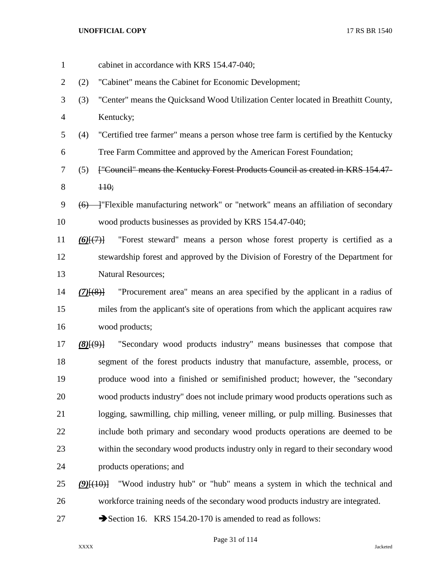| $\mathbf{1}$ | cabinet in accordance with KRS 154.47-040;                                                    |
|--------------|-----------------------------------------------------------------------------------------------|
| 2            | "Cabinet" means the Cabinet for Economic Development;<br>(2)                                  |
| 3            | "Center" means the Quicksand Wood Utilization Center located in Breathitt County,<br>(3)      |
| 4            | Kentucky;                                                                                     |
| 5            | "Certified tree farmer" means a person whose tree farm is certified by the Kentucky<br>(4)    |
| 6            | Tree Farm Committee and approved by the American Forest Foundation;                           |
| 7            | ["Council" means the Kentucky Forest Products Council as created in KRS 154.47-<br>(5)        |
| 8            | $+10;$                                                                                        |
| 9            | $(6)$ ---]"Flexible manufacturing network" or "network" means an affiliation of secondary     |
| 10           | wood products businesses as provided by KRS 154.47-040;                                       |
| 11           | "Forest steward" means a person whose forest property is certified as a<br>$(6)$ [ $(7)$ ]    |
| 12           | stewardship forest and approved by the Division of Forestry of the Department for             |
| 13           | <b>Natural Resources;</b>                                                                     |
| 14           | "Procurement area" means an area specified by the applicant in a radius of<br>$(7)$ [ $(8)$ ] |
| 15           | miles from the applicant's site of operations from which the applicant acquires raw           |
| 16           | wood products;                                                                                |
| 17           | "Secondary wood products industry" means businesses that compose that<br>$(8)$ $(9)$ }        |
| 18           | segment of the forest products industry that manufacture, assemble, process, or               |
| 19           | produce wood into a finished or semifinished product; however, the "secondary                 |
| 20           | wood products industry" does not include primary wood products operations such as             |
| 21           | logging, sawmilling, chip milling, veneer milling, or pulp milling. Businesses that           |
| 22           | include both primary and secondary wood products operations are deemed to be                  |
| 23           | within the secondary wood products industry only in regard to their secondary wood            |
| 24           | products operations; and                                                                      |
| 25           | "Wood industry hub" or "hub" means a system in which the technical and<br>$(9)$ $(10)$        |
| 26           | workforce training needs of the secondary wood products industry are integrated.              |
| 27           | Section 16. KRS 154.20-170 is amended to read as follows:                                     |

Page 31 of 114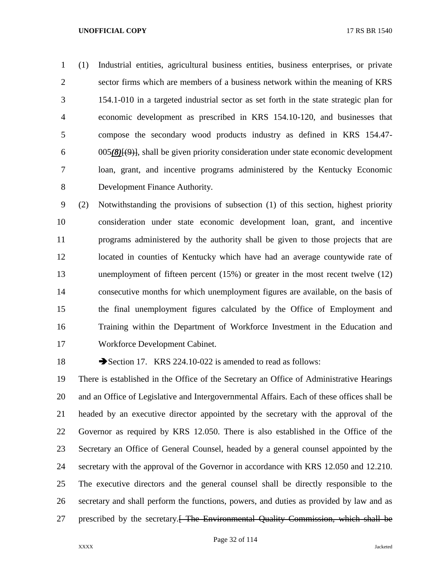(1) Industrial entities, agricultural business entities, business enterprises, or private sector firms which are members of a business network within the meaning of KRS 154.1-010 in a targeted industrial sector as set forth in the state strategic plan for economic development as prescribed in KRS 154.10-120, and businesses that compose the secondary wood products industry as defined in KRS 154.47- 005*(8)*[(9)], shall be given priority consideration under state economic development loan, grant, and incentive programs administered by the Kentucky Economic Development Finance Authority.

 (2) Notwithstanding the provisions of subsection (1) of this section, highest priority consideration under state economic development loan, grant, and incentive programs administered by the authority shall be given to those projects that are located in counties of Kentucky which have had an average countywide rate of unemployment of fifteen percent (15%) or greater in the most recent twelve (12) consecutive months for which unemployment figures are available, on the basis of the final unemployment figures calculated by the Office of Employment and Training within the Department of Workforce Investment in the Education and Workforce Development Cabinet.

18 Section 17. KRS 224.10-022 is amended to read as follows:

 There is established in the Office of the Secretary an Office of Administrative Hearings and an Office of Legislative and Intergovernmental Affairs. Each of these offices shall be headed by an executive director appointed by the secretary with the approval of the Governor as required by KRS 12.050. There is also established in the Office of the Secretary an Office of General Counsel, headed by a general counsel appointed by the secretary with the approval of the Governor in accordance with KRS 12.050 and 12.210. The executive directors and the general counsel shall be directly responsible to the secretary and shall perform the functions, powers, and duties as provided by law and as 27 prescribed by the secretary.<del>[ The Environmental Quality Commission, which shall be</del>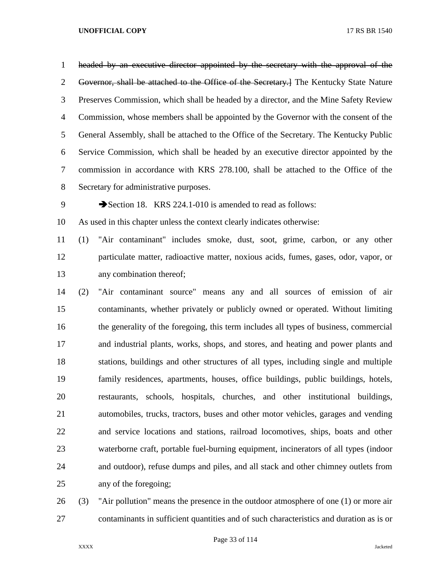headed by an executive director appointed by the secretary with the approval of the 2 Governor, shall be attached to the Office of the Secretary.] The Kentucky State Nature Preserves Commission, which shall be headed by a director, and the Mine Safety Review Commission, whose members shall be appointed by the Governor with the consent of the General Assembly, shall be attached to the Office of the Secretary. The Kentucky Public Service Commission, which shall be headed by an executive director appointed by the commission in accordance with KRS 278.100, shall be attached to the Office of the Secretary for administrative purposes.

9 Section 18. KRS 224.1-010 is amended to read as follows:

As used in this chapter unless the context clearly indicates otherwise:

 (1) "Air contaminant" includes smoke, dust, soot, grime, carbon, or any other particulate matter, radioactive matter, noxious acids, fumes, gases, odor, vapor, or any combination thereof;

 (2) "Air contaminant source" means any and all sources of emission of air contaminants, whether privately or publicly owned or operated. Without limiting the generality of the foregoing, this term includes all types of business, commercial and industrial plants, works, shops, and stores, and heating and power plants and stations, buildings and other structures of all types, including single and multiple family residences, apartments, houses, office buildings, public buildings, hotels, restaurants, schools, hospitals, churches, and other institutional buildings, automobiles, trucks, tractors, buses and other motor vehicles, garages and vending and service locations and stations, railroad locomotives, ships, boats and other waterborne craft, portable fuel-burning equipment, incinerators of all types (indoor and outdoor), refuse dumps and piles, and all stack and other chimney outlets from any of the foregoing;

 (3) "Air pollution" means the presence in the outdoor atmosphere of one (1) or more air contaminants in sufficient quantities and of such characteristics and duration as is or

Page 33 of 114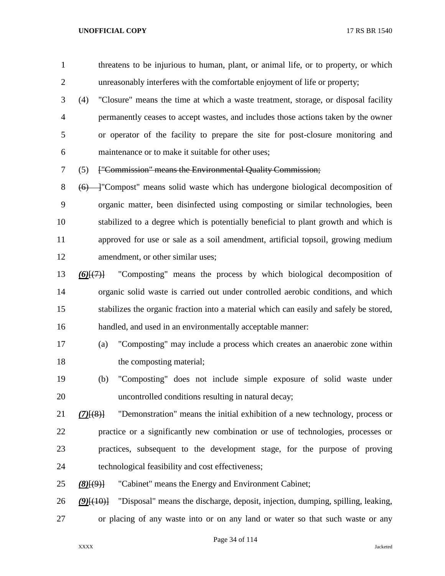threatens to be injurious to human, plant, or animal life, or to property, or which unreasonably interferes with the comfortable enjoyment of life or property;

 (4) "Closure" means the time at which a waste treatment, storage, or disposal facility permanently ceases to accept wastes, and includes those actions taken by the owner or operator of the facility to prepare the site for post-closure monitoring and maintenance or to make it suitable for other uses;

(5) ["Commission" means the Environmental Quality Commission;

8 (6) <sup>—</sup> "Compost" means solid waste which has undergone biological decomposition of organic matter, been disinfected using composting or similar technologies, been stabilized to a degree which is potentially beneficial to plant growth and which is approved for use or sale as a soil amendment, artificial topsoil, growing medium 12 amendment, or other similar uses;

- *(6)*[(7)] "Composting" means the process by which biological decomposition of organic solid waste is carried out under controlled aerobic conditions, and which stabilizes the organic fraction into a material which can easily and safely be stored, handled, and used in an environmentally acceptable manner:
- (a) "Composting" may include a process which creates an anaerobic zone within 18 the composting material;
- (b) "Composting" does not include simple exposure of solid waste under uncontrolled conditions resulting in natural decay;
- *(7)*[(8)] "Demonstration" means the initial exhibition of a new technology, process or practice or a significantly new combination or use of technologies, processes or practices, subsequent to the development stage, for the purpose of proving technological feasibility and cost effectiveness;
- *(8)*[(9)] "Cabinet" means the Energy and Environment Cabinet;

 *(9)*[(10)] "Disposal" means the discharge, deposit, injection, dumping, spilling, leaking, or placing of any waste into or on any land or water so that such waste or any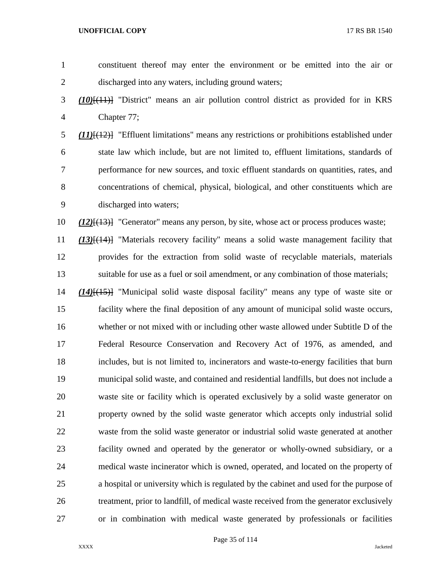| $\mathbf{1}$   | constituent thereof may enter the environment or be emitted into the air or                       |
|----------------|---------------------------------------------------------------------------------------------------|
| $\overline{2}$ | discharged into any waters, including ground waters;                                              |
| 3              | $(10)$ [ $(11)$ ] "District" means an air pollution control district as provided for in KRS       |
| $\overline{4}$ | Chapter 77;                                                                                       |
| 5              | $(11)$ [ $(12)$ ] "Effluent limitations" means any restrictions or prohibitions established under |
| 6              | state law which include, but are not limited to, effluent limitations, standards of               |
| 7              | performance for new sources, and toxic effluent standards on quantities, rates, and               |
| 8              | concentrations of chemical, physical, biological, and other constituents which are                |
| 9              | discharged into waters;                                                                           |
| 10             | $(12)$ [ $(13)$ ] "Generator" means any person, by site, whose act or process produces waste;     |
| 11             | $(13)$ [ $(14)$ ] "Materials recovery facility" means a solid waste management facility that      |
| 12             | provides for the extraction from solid waste of recyclable materials, materials                   |
| 13             | suitable for use as a fuel or soil amendment, or any combination of those materials;              |
| 14             | $(14)$ [ $(15)$ ] "Municipal solid waste disposal facility" means any type of waste site or       |
| 15             | facility where the final deposition of any amount of municipal solid waste occurs,                |
| 16             | whether or not mixed with or including other waste allowed under Subtitle D of the                |
| 17             | Federal Resource Conservation and Recovery Act of 1976, as amended, and                           |
| 18             | includes, but is not limited to, incinerators and waste-to-energy facilities that burn            |
| 19             | municipal solid waste, and contained and residential landfills, but does not include a            |
| 20             | waste site or facility which is operated exclusively by a solid waste generator on                |
| 21             | property owned by the solid waste generator which accepts only industrial solid                   |
| 22             | waste from the solid waste generator or industrial solid waste generated at another               |
| 23             | facility owned and operated by the generator or wholly-owned subsidiary, or a                     |
| 24             | medical waste incinerator which is owned, operated, and located on the property of                |
| 25             | a hospital or university which is regulated by the cabinet and used for the purpose of            |
| 26             | treatment, prior to landfill, of medical waste received from the generator exclusively            |
| 27             | or in combination with medical waste generated by professionals or facilities                     |

Page 35 of 114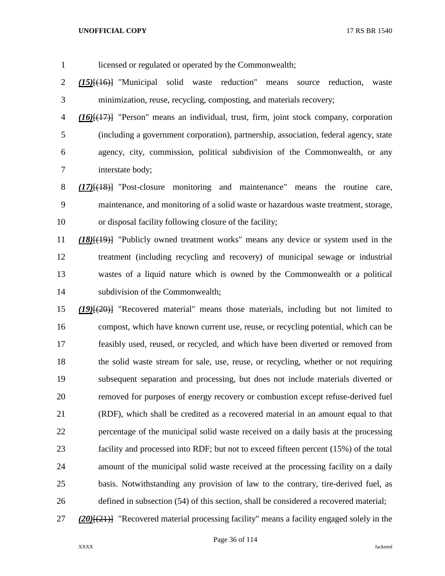licensed or regulated or operated by the Commonwealth; *(15)*[(16)] "Municipal solid waste reduction" means source reduction, waste minimization, reuse, recycling, composting, and materials recovery; *(16)*[(17)] "Person" means an individual, trust, firm, joint stock company, corporation (including a government corporation), partnership, association, federal agency, state agency, city, commission, political subdivision of the Commonwealth, or any interstate body; *(17)*[(18)] "Post-closure monitoring and maintenance" means the routine care,

 maintenance, and monitoring of a solid waste or hazardous waste treatment, storage, or disposal facility following closure of the facility;

 *(18)*[(19)] "Publicly owned treatment works" means any device or system used in the treatment (including recycling and recovery) of municipal sewage or industrial wastes of a liquid nature which is owned by the Commonwealth or a political subdivision of the Commonwealth;

 *(19)*[(20)] "Recovered material" means those materials, including but not limited to compost, which have known current use, reuse, or recycling potential, which can be feasibly used, reused, or recycled, and which have been diverted or removed from the solid waste stream for sale, use, reuse, or recycling, whether or not requiring subsequent separation and processing, but does not include materials diverted or removed for purposes of energy recovery or combustion except refuse-derived fuel (RDF), which shall be credited as a recovered material in an amount equal to that percentage of the municipal solid waste received on a daily basis at the processing facility and processed into RDF; but not to exceed fifteen percent (15%) of the total amount of the municipal solid waste received at the processing facility on a daily basis. Notwithstanding any provision of law to the contrary, tire-derived fuel, as defined in subsection (54) of this section, shall be considered a recovered material;

*(20)*[(21)] "Recovered material processing facility" means a facility engaged solely in the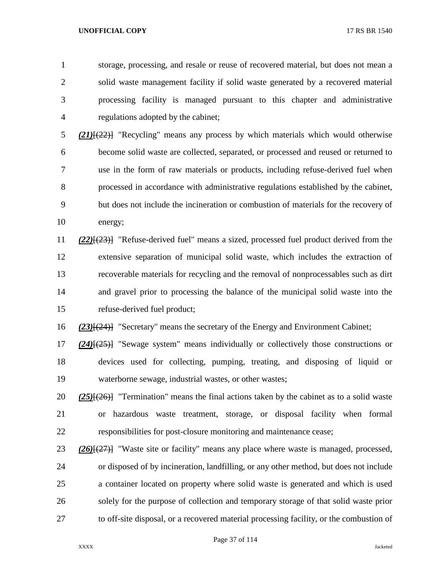storage, processing, and resale or reuse of recovered material, but does not mean a solid waste management facility if solid waste generated by a recovered material processing facility is managed pursuant to this chapter and administrative regulations adopted by the cabinet;

 *(21)*[(22)] "Recycling" means any process by which materials which would otherwise become solid waste are collected, separated, or processed and reused or returned to use in the form of raw materials or products, including refuse-derived fuel when processed in accordance with administrative regulations established by the cabinet, but does not include the incineration or combustion of materials for the recovery of energy;

 *(22)*[(23)] "Refuse-derived fuel" means a sized, processed fuel product derived from the extensive separation of municipal solid waste, which includes the extraction of recoverable materials for recycling and the removal of nonprocessables such as dirt and gravel prior to processing the balance of the municipal solid waste into the refuse-derived fuel product;

*(23)*[(24)] "Secretary" means the secretary of the Energy and Environment Cabinet;

 *(24)*[(25)] "Sewage system" means individually or collectively those constructions or devices used for collecting, pumping, treating, and disposing of liquid or waterborne sewage, industrial wastes, or other wastes;

 *(25)*[(26)] "Termination" means the final actions taken by the cabinet as to a solid waste or hazardous waste treatment, storage, or disposal facility when formal responsibilities for post-closure monitoring and maintenance cease;

 *(26)*[(27)] "Waste site or facility" means any place where waste is managed, processed, or disposed of by incineration, landfilling, or any other method, but does not include a container located on property where solid waste is generated and which is used solely for the purpose of collection and temporary storage of that solid waste prior to off-site disposal, or a recovered material processing facility, or the combustion of

Page 37 of 114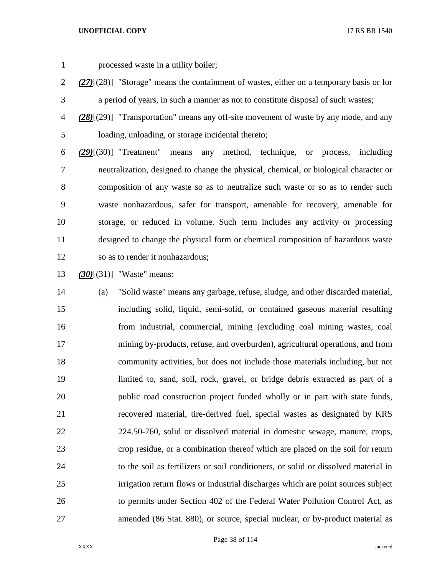processed waste in a utility boiler;

- *(27)*[(28)] "Storage" means the containment of wastes, either on a temporary basis or for a period of years, in such a manner as not to constitute disposal of such wastes;
- *(28)*[(29)] "Transportation" means any off-site movement of waste by any mode, and any loading, unloading, or storage incidental thereto;

 *(29)*[(30)] "Treatment" means any method, technique, or process, including neutralization, designed to change the physical, chemical, or biological character or composition of any waste so as to neutralize such waste or so as to render such waste nonhazardous, safer for transport, amenable for recovery, amenable for storage, or reduced in volume. Such term includes any activity or processing designed to change the physical form or chemical composition of hazardous waste so as to render it nonhazardous;

*(30)*[(31)] "Waste" means:

 (a) "Solid waste" means any garbage, refuse, sludge, and other discarded material, including solid, liquid, semi-solid, or contained gaseous material resulting from industrial, commercial, mining (excluding coal mining wastes, coal mining by-products, refuse, and overburden), agricultural operations, and from community activities, but does not include those materials including, but not limited to, sand, soil, rock, gravel, or bridge debris extracted as part of a public road construction project funded wholly or in part with state funds, recovered material, tire-derived fuel, special wastes as designated by KRS 224.50-760, solid or dissolved material in domestic sewage, manure, crops, crop residue, or a combination thereof which are placed on the soil for return to the soil as fertilizers or soil conditioners, or solid or dissolved material in irrigation return flows or industrial discharges which are point sources subject to permits under Section 402 of the Federal Water Pollution Control Act, as amended (86 Stat. 880), or source, special nuclear, or by-product material as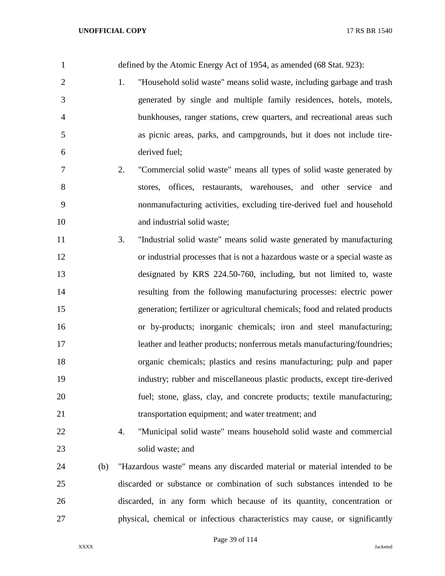defined by the Atomic Energy Act of 1954, as amended (68 Stat. 923): 1. "Household solid waste" means solid waste, including garbage and trash generated by single and multiple family residences, hotels, motels, bunkhouses, ranger stations, crew quarters, and recreational areas such as picnic areas, parks, and campgrounds, but it does not include tire- derived fuel; 2. "Commercial solid waste" means all types of solid waste generated by stores, offices, restaurants, warehouses, and other service and nonmanufacturing activities, excluding tire-derived fuel and household 10 and industrial solid waste; 3. "Industrial solid waste" means solid waste generated by manufacturing or industrial processes that is not a hazardous waste or a special waste as designated by KRS 224.50-760, including, but not limited to, waste resulting from the following manufacturing processes: electric power generation; fertilizer or agricultural chemicals; food and related products or by-products; inorganic chemicals; iron and steel manufacturing; 17 leather and leather products; nonferrous metals manufacturing/foundries; organic chemicals; plastics and resins manufacturing; pulp and paper industry; rubber and miscellaneous plastic products, except tire-derived fuel; stone, glass, clay, and concrete products; textile manufacturing; transportation equipment; and water treatment; and 4. "Municipal solid waste" means household solid waste and commercial solid waste; and (b) "Hazardous waste" means any discarded material or material intended to be discarded or substance or combination of such substances intended to be discarded, in any form which because of its quantity, concentration or physical, chemical or infectious characteristics may cause, or significantly

Page 39 of 114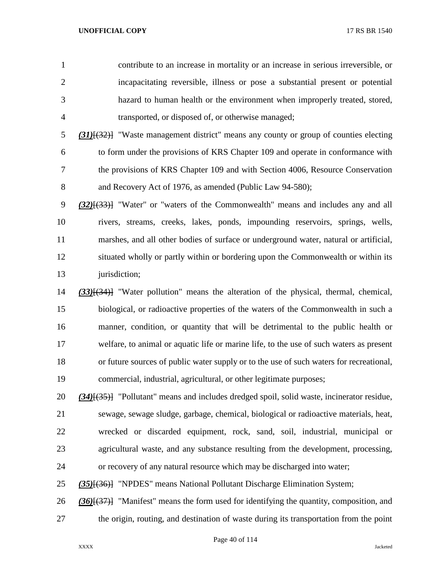contribute to an increase in mortality or an increase in serious irreversible, or incapacitating reversible, illness or pose a substantial present or potential hazard to human health or the environment when improperly treated, stored, transported, or disposed of, or otherwise managed;

 *(31)*[(32)] "Waste management district" means any county or group of counties electing to form under the provisions of KRS Chapter 109 and operate in conformance with the provisions of KRS Chapter 109 and with Section 4006, Resource Conservation 8 and Recovery Act of 1976, as amended (Public Law 94-580);

 *(32)*[(33)] "Water" or "waters of the Commonwealth" means and includes any and all rivers, streams, creeks, lakes, ponds, impounding reservoirs, springs, wells, marshes, and all other bodies of surface or underground water, natural or artificial, situated wholly or partly within or bordering upon the Commonwealth or within its 13 jurisdiction;

 *(33)*[(34)] "Water pollution" means the alteration of the physical, thermal, chemical, biological, or radioactive properties of the waters of the Commonwealth in such a manner, condition, or quantity that will be detrimental to the public health or welfare, to animal or aquatic life or marine life, to the use of such waters as present or future sources of public water supply or to the use of such waters for recreational, commercial, industrial, agricultural, or other legitimate purposes;

 *(34)*[(35)] "Pollutant" means and includes dredged spoil, solid waste, incinerator residue, sewage, sewage sludge, garbage, chemical, biological or radioactive materials, heat, wrecked or discarded equipment, rock, sand, soil, industrial, municipal or agricultural waste, and any substance resulting from the development, processing, or recovery of any natural resource which may be discharged into water;

*(35)*[(36)] "NPDES" means National Pollutant Discharge Elimination System;

 *(36)*[(37)] "Manifest" means the form used for identifying the quantity, composition, and the origin, routing, and destination of waste during its transportation from the point

Page 40 of 114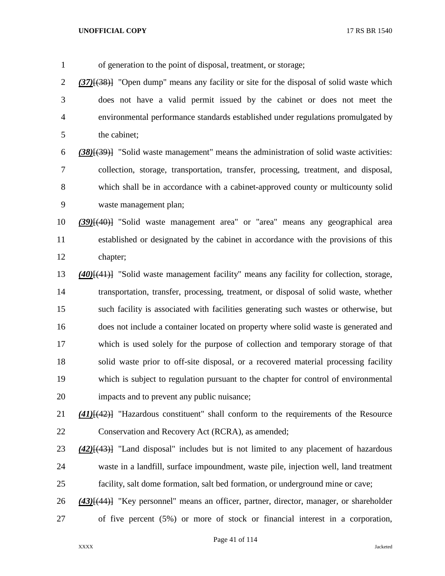of generation to the point of disposal, treatment, or storage; *(37)*[(38)] "Open dump" means any facility or site for the disposal of solid waste which does not have a valid permit issued by the cabinet or does not meet the environmental performance standards established under regulations promulgated by the cabinet; *(38)*[(39)] "Solid waste management" means the administration of solid waste activities: collection, storage, transportation, transfer, processing, treatment, and disposal, which shall be in accordance with a cabinet-approved county or multicounty solid waste management plan; *(39)*[(40)] "Solid waste management area" or "area" means any geographical area established or designated by the cabinet in accordance with the provisions of this chapter; *(40)*[(41)] "Solid waste management facility" means any facility for collection, storage, transportation, transfer, processing, treatment, or disposal of solid waste, whether such facility is associated with facilities generating such wastes or otherwise, but does not include a container located on property where solid waste is generated and which is used solely for the purpose of collection and temporary storage of that solid waste prior to off-site disposal, or a recovered material processing facility which is subject to regulation pursuant to the chapter for control of environmental impacts and to prevent any public nuisance; *(41)*[(42)] "Hazardous constituent" shall conform to the requirements of the Resource Conservation and Recovery Act (RCRA), as amended; *(42)*[(43)] "Land disposal" includes but is not limited to any placement of hazardous waste in a landfill, surface impoundment, waste pile, injection well, land treatment facility, salt dome formation, salt bed formation, or underground mine or cave; *(43)*[(44)] "Key personnel" means an officer, partner, director, manager, or shareholder of five percent (5%) or more of stock or financial interest in a corporation,

Page 41 of 114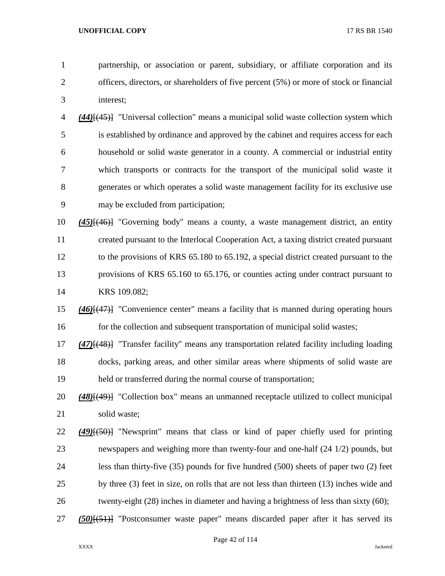partnership, or association or parent, subsidiary, or affiliate corporation and its officers, directors, or shareholders of five percent (5%) or more of stock or financial interest;

 *(44)*[(45)] "Universal collection" means a municipal solid waste collection system which is established by ordinance and approved by the cabinet and requires access for each household or solid waste generator in a county. A commercial or industrial entity which transports or contracts for the transport of the municipal solid waste it generates or which operates a solid waste management facility for its exclusive use may be excluded from participation;

 *(45)*[(46)] "Governing body" means a county, a waste management district, an entity created pursuant to the Interlocal Cooperation Act, a taxing district created pursuant to the provisions of KRS 65.180 to 65.192, a special district created pursuant to the provisions of KRS 65.160 to 65.176, or counties acting under contract pursuant to KRS 109.082;

 *(46)*[(47)] "Convenience center" means a facility that is manned during operating hours 16 for the collection and subsequent transportation of municipal solid wastes;

 *(47)*[(48)] "Transfer facility" means any transportation related facility including loading docks, parking areas, and other similar areas where shipments of solid waste are held or transferred during the normal course of transportation;

 *(48)*[(49)] "Collection box" means an unmanned receptacle utilized to collect municipal solid waste;

- *(49)*[(50)] "Newsprint" means that class or kind of paper chiefly used for printing newspapers and weighing more than twenty-four and one-half (24 1/2) pounds, but less than thirty-five (35) pounds for five hundred (500) sheets of paper two (2) feet 25 by three (3) feet in size, on rolls that are not less than thirteen (13) inches wide and 26 twenty-eight (28) inches in diameter and having a brightness of less than sixty (60);
- *(50)*[(51)] "Postconsumer waste paper" means discarded paper after it has served its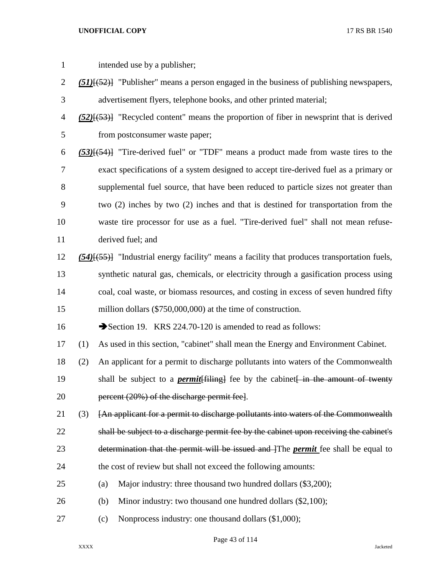| $\mathbf{1}$   |     | intended use by a publisher;                                                                    |
|----------------|-----|-------------------------------------------------------------------------------------------------|
| $\overline{c}$ |     | $(51)$ [(52)] "Publisher" means a person engaged in the business of publishing newspapers,      |
| 3              |     | advertisement flyers, telephone books, and other printed material;                              |
| 4              |     | $(52)$ [ $(53)$ ] "Recycled content" means the proportion of fiber in newsprint that is derived |
| 5              |     | from postconsumer waste paper;                                                                  |
| 6              |     | $(53)$ [ $(54)$ ] "Tire-derived fuel" or "TDF" means a product made from waste tires to the     |
| 7              |     | exact specifications of a system designed to accept tire-derived fuel as a primary or           |
| 8              |     | supplemental fuel source, that have been reduced to particle sizes not greater than             |
| 9              |     | two (2) inches by two (2) inches and that is destined for transportation from the               |
| 10             |     | waste tire processor for use as a fuel. "Tire-derived fuel" shall not mean refuse-              |
| 11             |     | derived fuel; and                                                                               |
| 12             |     | $(54)$ [553] "Industrial energy facility" means a facility that produces transportation fuels,  |
| 13             |     | synthetic natural gas, chemicals, or electricity through a gasification process using           |
| 14             |     | coal, coal waste, or biomass resources, and costing in excess of seven hundred fifty            |
| 15             |     | million dollars (\$750,000,000) at the time of construction.                                    |
| 16             |     | Section 19. KRS 224.70-120 is amended to read as follows:                                       |
| 17             | (1) | As used in this section, "cabinet" shall mean the Energy and Environment Cabinet.               |
| 18             | (2) | An applicant for a permit to discharge pollutants into waters of the Commonwealth               |
| 19             |     | shall be subject to a <i>permit</i> [filing] fee by the cabinet in the amount of twenty         |
| 20             |     | percent (20%) of the discharge permit fee].                                                     |
| 21             | (3) | [An applicant for a permit to discharge pollutants into waters of the Commonwealth              |
| 22             |     | shall be subject to a discharge permit fee by the cabinet upon receiving the cabinet's          |
| 23             |     | determination that the permit will be issued and The <i>permit</i> fee shall be equal to        |
| 24             |     | the cost of review but shall not exceed the following amounts:                                  |
| 25             |     | Major industry: three thousand two hundred dollars (\$3,200);<br>(a)                            |
| 26             |     | Minor industry: two thousand one hundred dollars (\$2,100);<br>(b)                              |
| 27             |     | Nonprocess industry: one thousand dollars (\$1,000);<br>(c)                                     |

Page 43 of 114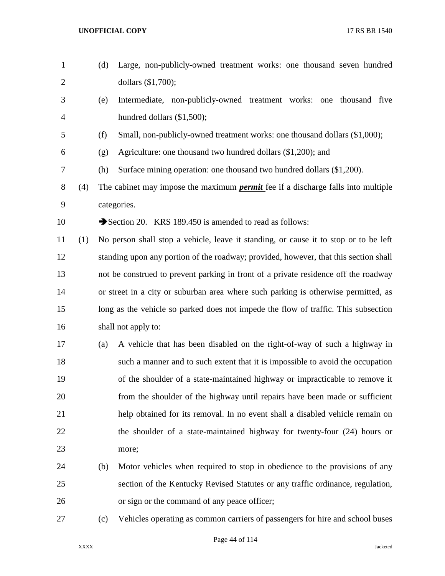| $\mathbf{1}$   |     | (d) | Large, non-publicly-owned treatment works: one thousand seven hundred                   |
|----------------|-----|-----|-----------------------------------------------------------------------------------------|
| $\overline{2}$ |     |     | dollars (\$1,700);                                                                      |
| 3              |     | (e) | Intermediate, non-publicly-owned treatment works: one thousand five                     |
| $\overline{4}$ |     |     | hundred dollars (\$1,500);                                                              |
| 5              |     | (f) | Small, non-publicly-owned treatment works: one thousand dollars (\$1,000);              |
| 6              |     | (g) | Agriculture: one thousand two hundred dollars (\$1,200); and                            |
| 7              |     | (h) | Surface mining operation: one thousand two hundred dollars (\$1,200).                   |
| 8              | (4) |     | The cabinet may impose the maximum <i>permit</i> fee if a discharge falls into multiple |
| 9              |     |     | categories.                                                                             |
| 10             |     |     | Section 20. KRS 189.450 is amended to read as follows:                                  |
| 11             | (1) |     | No person shall stop a vehicle, leave it standing, or cause it to stop or to be left    |
| 12             |     |     | standing upon any portion of the roadway; provided, however, that this section shall    |
| 13             |     |     | not be construed to prevent parking in front of a private residence off the roadway     |
| 14             |     |     | or street in a city or suburban area where such parking is otherwise permitted, as      |
| 15             |     |     | long as the vehicle so parked does not impede the flow of traffic. This subsection      |
| 16             |     |     | shall not apply to:                                                                     |
| 17             |     | (a) | A vehicle that has been disabled on the right-of-way of such a highway in               |
| 18             |     |     | such a manner and to such extent that it is impossible to avoid the occupation          |
| 19             |     |     | of the shoulder of a state-maintained highway or impracticable to remove it             |
| 20             |     |     | from the shoulder of the highway until repairs have been made or sufficient             |
| 21             |     |     | help obtained for its removal. In no event shall a disabled vehicle remain on           |
| 22             |     |     | the shoulder of a state-maintained highway for twenty-four (24) hours or                |
| 23             |     |     | more;                                                                                   |
| 24             |     | (b) | Motor vehicles when required to stop in obedience to the provisions of any              |
| 25             |     |     | section of the Kentucky Revised Statutes or any traffic ordinance, regulation,          |
| 26             |     |     | or sign or the command of any peace officer;                                            |
| 27             |     | (c) | Vehicles operating as common carriers of passengers for hire and school buses           |

Page 44 of 114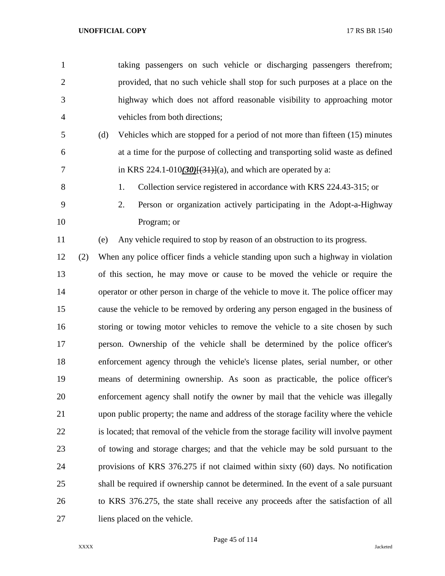| $\mathbf{1}$   |     | taking passengers on such vehicle or discharging passengers therefrom;                 |
|----------------|-----|----------------------------------------------------------------------------------------|
| $\overline{2}$ |     | provided, that no such vehicle shall stop for such purposes at a place on the          |
| 3              |     | highway which does not afford reasonable visibility to approaching motor               |
| $\overline{4}$ |     | vehicles from both directions;                                                         |
| 5              |     | Vehicles which are stopped for a period of not more than fifteen (15) minutes<br>(d)   |
| 6              |     | at a time for the purpose of collecting and transporting solid waste as defined        |
| $\tau$         |     | in KRS 224.1-010 $(30)(31)(31)$ and which are operated by a:                           |
| $8\,$          |     | Collection service registered in accordance with KRS 224.43-315; or<br>1.              |
| 9              |     | 2.<br>Person or organization actively participating in the Adopt-a-Highway             |
| 10             |     | Program; or                                                                            |
| 11             |     | Any vehicle required to stop by reason of an obstruction to its progress.<br>(e)       |
| 12             | (2) | When any police officer finds a vehicle standing upon such a highway in violation      |
| 13             |     | of this section, he may move or cause to be moved the vehicle or require the           |
| 14             |     | operator or other person in charge of the vehicle to move it. The police officer may   |
| 15             |     | cause the vehicle to be removed by ordering any person engaged in the business of      |
| 16             |     | storing or towing motor vehicles to remove the vehicle to a site chosen by such        |
| 17             |     | person. Ownership of the vehicle shall be determined by the police officer's           |
| 18             |     | enforcement agency through the vehicle's license plates, serial number, or other       |
| 19             |     | means of determining ownership. As soon as practicable, the police officer's           |
| 20             |     | enforcement agency shall notify the owner by mail that the vehicle was illegally       |
| 21             |     | upon public property; the name and address of the storage facility where the vehicle   |
| 22             |     | is located; that removal of the vehicle from the storage facility will involve payment |
| 23             |     | of towing and storage charges; and that the vehicle may be sold pursuant to the        |
| 24             |     | provisions of KRS 376.275 if not claimed within sixty (60) days. No notification       |
| 25             |     | shall be required if ownership cannot be determined. In the event of a sale pursuant   |
| 26             |     | to KRS 376.275, the state shall receive any proceeds after the satisfaction of all     |
| 27             |     | liens placed on the vehicle.                                                           |

Page 45 of 114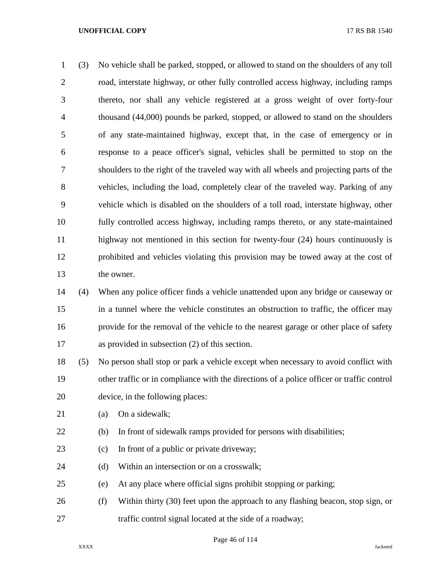(3) No vehicle shall be parked, stopped, or allowed to stand on the shoulders of any toll road, interstate highway, or other fully controlled access highway, including ramps thereto, nor shall any vehicle registered at a gross weight of over forty-four thousand (44,000) pounds be parked, stopped, or allowed to stand on the shoulders of any state-maintained highway, except that, in the case of emergency or in response to a peace officer's signal, vehicles shall be permitted to stop on the shoulders to the right of the traveled way with all wheels and projecting parts of the vehicles, including the load, completely clear of the traveled way. Parking of any vehicle which is disabled on the shoulders of a toll road, interstate highway, other fully controlled access highway, including ramps thereto, or any state-maintained highway not mentioned in this section for twenty-four (24) hours continuously is prohibited and vehicles violating this provision may be towed away at the cost of the owner.

 (4) When any police officer finds a vehicle unattended upon any bridge or causeway or in a tunnel where the vehicle constitutes an obstruction to traffic, the officer may provide for the removal of the vehicle to the nearest garage or other place of safety as provided in subsection (2) of this section.

 (5) No person shall stop or park a vehicle except when necessary to avoid conflict with other traffic or in compliance with the directions of a police officer or traffic control device, in the following places:

- (a) On a sidewalk;
- (b) In front of sidewalk ramps provided for persons with disabilities;
- (c) In front of a public or private driveway;
- 24 (d) Within an intersection or on a crosswalk;
- (e) At any place where official signs prohibit stopping or parking;
- (f) Within thirty (30) feet upon the approach to any flashing beacon, stop sign, or traffic control signal located at the side of a roadway;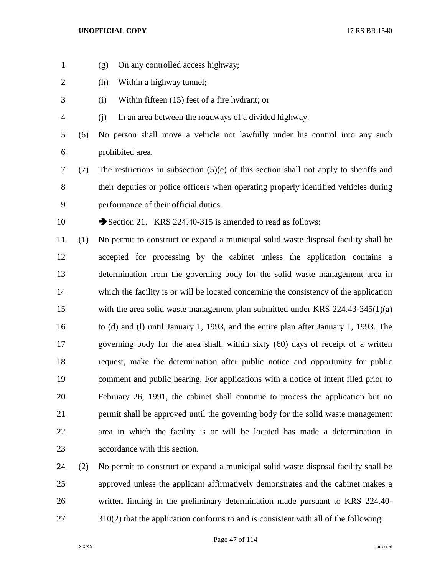- (g) On any controlled access highway;
- (h) Within a highway tunnel;
- (i) Within fifteen (15) feet of a fire hydrant; or
- (j) In an area between the roadways of a divided highway.
- (6) No person shall move a vehicle not lawfully under his control into any such prohibited area.
- (7) The restrictions in subsection (5)(e) of this section shall not apply to sheriffs and their deputies or police officers when operating properly identified vehicles during performance of their official duties.
- 10 Section 21. KRS 224.40-315 is amended to read as follows:
- (1) No permit to construct or expand a municipal solid waste disposal facility shall be accepted for processing by the cabinet unless the application contains a determination from the governing body for the solid waste management area in which the facility is or will be located concerning the consistency of the application with the area solid waste management plan submitted under KRS 224.43-345(1)(a) to (d) and (l) until January 1, 1993, and the entire plan after January 1, 1993. The governing body for the area shall, within sixty (60) days of receipt of a written request, make the determination after public notice and opportunity for public comment and public hearing. For applications with a notice of intent filed prior to February 26, 1991, the cabinet shall continue to process the application but no permit shall be approved until the governing body for the solid waste management area in which the facility is or will be located has made a determination in accordance with this section.
- (2) No permit to construct or expand a municipal solid waste disposal facility shall be approved unless the applicant affirmatively demonstrates and the cabinet makes a written finding in the preliminary determination made pursuant to KRS 224.40- 27 310(2) that the application conforms to and is consistent with all of the following:

Page 47 of 114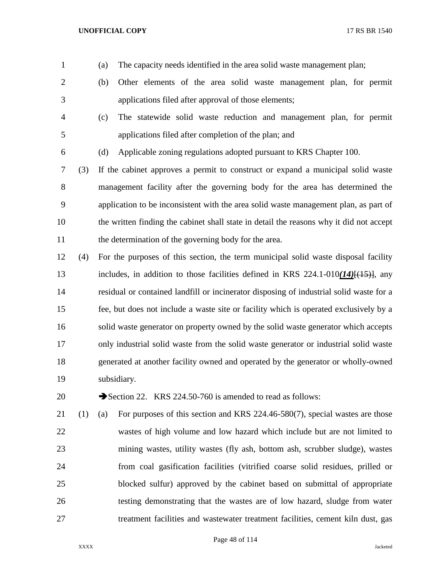- (a) The capacity needs identified in the area solid waste management plan;
- (b) Other elements of the area solid waste management plan, for permit applications filed after approval of those elements;
- (c) The statewide solid waste reduction and management plan, for permit applications filed after completion of the plan; and
- 
- (d) Applicable zoning regulations adopted pursuant to KRS Chapter 100.

 (3) If the cabinet approves a permit to construct or expand a municipal solid waste management facility after the governing body for the area has determined the application to be inconsistent with the area solid waste management plan, as part of the written finding the cabinet shall state in detail the reasons why it did not accept 11 the determination of the governing body for the area.

 (4) For the purposes of this section, the term municipal solid waste disposal facility includes, in addition to those facilities defined in KRS 224.1-010*(14)*[(15)], any residual or contained landfill or incinerator disposing of industrial solid waste for a fee, but does not include a waste site or facility which is operated exclusively by a solid waste generator on property owned by the solid waste generator which accepts only industrial solid waste from the solid waste generator or industrial solid waste generated at another facility owned and operated by the generator or wholly-owned subsidiary.

20 Section 22. KRS 224.50-760 is amended to read as follows:

 (1) (a) For purposes of this section and KRS 224.46-580(7), special wastes are those wastes of high volume and low hazard which include but are not limited to mining wastes, utility wastes (fly ash, bottom ash, scrubber sludge), wastes from coal gasification facilities (vitrified coarse solid residues, prilled or blocked sulfur) approved by the cabinet based on submittal of appropriate testing demonstrating that the wastes are of low hazard, sludge from water treatment facilities and wastewater treatment facilities, cement kiln dust, gas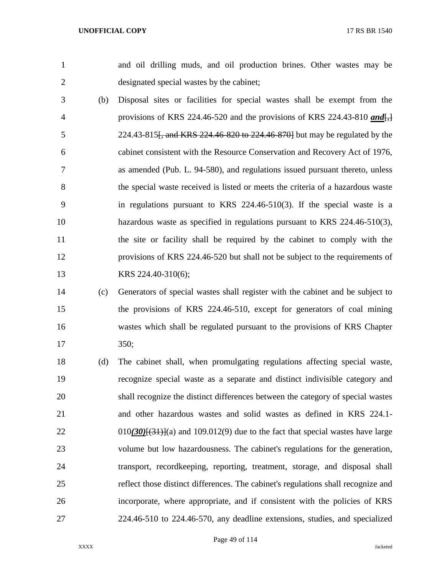and oil drilling muds, and oil production brines. Other wastes may be designated special wastes by the cabinet;

- (b) Disposal sites or facilities for special wastes shall be exempt from the provisions of KRS 224.46-520 and the provisions of KRS 224.43-810 *and*[,] 5 224.43-815<del>, and KRS 224.46-820 to 224.46-870]</del> but may be regulated by the cabinet consistent with the Resource Conservation and Recovery Act of 1976, as amended (Pub. L. 94-580), and regulations issued pursuant thereto, unless the special waste received is listed or meets the criteria of a hazardous waste in regulations pursuant to KRS 224.46-510(3). If the special waste is a hazardous waste as specified in regulations pursuant to KRS 224.46-510(3), the site or facility shall be required by the cabinet to comply with the provisions of KRS 224.46-520 but shall not be subject to the requirements of 13 KRS 224.40-310(6);
- (c) Generators of special wastes shall register with the cabinet and be subject to the provisions of KRS 224.46-510, except for generators of coal mining wastes which shall be regulated pursuant to the provisions of KRS Chapter 350;
- (d) The cabinet shall, when promulgating regulations affecting special waste, recognize special waste as a separate and distinct indivisible category and shall recognize the distinct differences between the category of special wastes and other hazardous wastes and solid wastes as defined in KRS 224.1- 22 010*(30)*<sup>[(31)</sup>](a) and 109.012(9) due to the fact that special wastes have large volume but low hazardousness. The cabinet's regulations for the generation, transport, recordkeeping, reporting, treatment, storage, and disposal shall reflect those distinct differences. The cabinet's regulations shall recognize and incorporate, where appropriate, and if consistent with the policies of KRS 224.46-510 to 224.46-570, any deadline extensions, studies, and specialized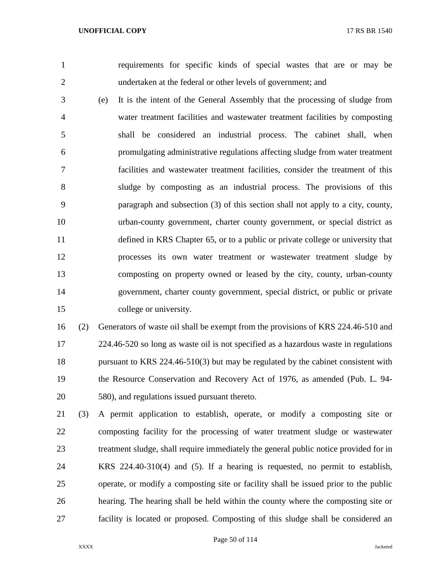requirements for specific kinds of special wastes that are or may be undertaken at the federal or other levels of government; and

 (e) It is the intent of the General Assembly that the processing of sludge from water treatment facilities and wastewater treatment facilities by composting shall be considered an industrial process. The cabinet shall, when promulgating administrative regulations affecting sludge from water treatment facilities and wastewater treatment facilities, consider the treatment of this sludge by composting as an industrial process. The provisions of this paragraph and subsection (3) of this section shall not apply to a city, county, urban-county government, charter county government, or special district as defined in KRS Chapter 65, or to a public or private college or university that processes its own water treatment or wastewater treatment sludge by composting on property owned or leased by the city, county, urban-county government, charter county government, special district, or public or private college or university.

 (2) Generators of waste oil shall be exempt from the provisions of KRS 224.46-510 and 224.46-520 so long as waste oil is not specified as a hazardous waste in regulations 18 pursuant to KRS 224.46-510(3) but may be regulated by the cabinet consistent with the Resource Conservation and Recovery Act of 1976, as amended (Pub. L. 94- 580), and regulations issued pursuant thereto.

 (3) A permit application to establish, operate, or modify a composting site or composting facility for the processing of water treatment sludge or wastewater treatment sludge, shall require immediately the general public notice provided for in KRS 224.40-310(4) and (5). If a hearing is requested, no permit to establish, operate, or modify a composting site or facility shall be issued prior to the public hearing. The hearing shall be held within the county where the composting site or facility is located or proposed. Composting of this sludge shall be considered an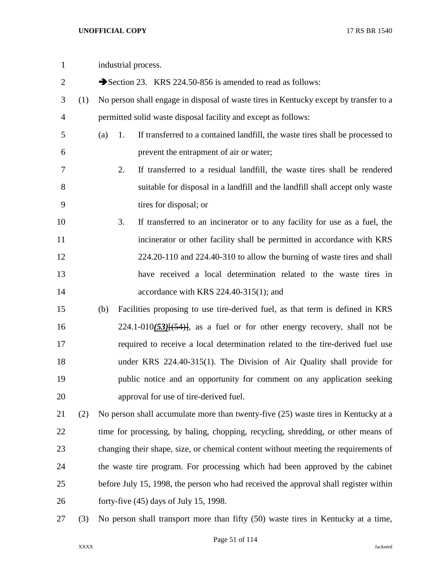| $\mathbf{1}$   |     | industrial process.                                                                        |
|----------------|-----|--------------------------------------------------------------------------------------------|
| $\mathbf{2}$   |     | Section 23. KRS 224.50-856 is amended to read as follows:                                  |
| 3              | (1) | No person shall engage in disposal of waste tires in Kentucky except by transfer to a      |
| $\overline{4}$ |     | permitted solid waste disposal facility and except as follows:                             |
| 5              |     | If transferred to a contained landfill, the waste tires shall be processed to<br>(a)<br>1. |
| 6              |     | prevent the entrapment of air or water;                                                    |
| 7              |     | If transferred to a residual landfill, the waste tires shall be rendered<br>2.             |
| $8\,$          |     | suitable for disposal in a landfill and the landfill shall accept only waste               |
| 9              |     | tires for disposal; or                                                                     |
| 10             |     | 3.<br>If transferred to an incinerator or to any facility for use as a fuel, the           |
| 11             |     | incinerator or other facility shall be permitted in accordance with KRS                    |
| 12             |     | 224.20-110 and 224.40-310 to allow the burning of waste tires and shall                    |
| 13             |     | have received a local determination related to the waste tires in                          |
| 14             |     | accordance with KRS $224.40-315(1)$ ; and                                                  |
| 15             |     | Facilities proposing to use tire-derived fuel, as that term is defined in KRS<br>(b)       |
| 16             |     | $224.1 - 010(53)$ $(54)$ , as a fuel or for other energy recovery, shall not be            |
| 17             |     | required to receive a local determination related to the tire-derived fuel use             |
| 18             |     | under KRS 224.40-315(1). The Division of Air Quality shall provide for                     |
| 19             |     | public notice and an opportunity for comment on any application seeking                    |
| 20             |     | approval for use of tire-derived fuel.                                                     |
| 21             | (2) | No person shall accumulate more than twenty-five (25) waste tires in Kentucky at a         |
| 22             |     | time for processing, by baling, chopping, recycling, shredding, or other means of          |
| 23             |     | changing their shape, size, or chemical content without meeting the requirements of        |
| 24             |     | the waste tire program. For processing which had been approved by the cabinet              |
| 25             |     | before July 15, 1998, the person who had received the approval shall register within       |
| 26             |     | forty-five $(45)$ days of July 15, 1998.                                                   |
| 27             | (3) | No person shall transport more than fifty (50) waste tires in Kentucky at a time,          |

Page 51 of 114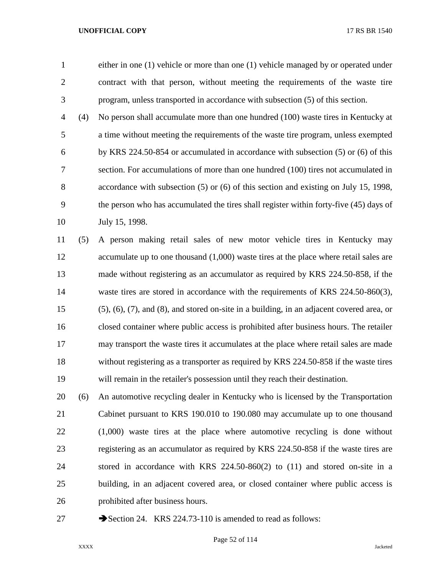either in one (1) vehicle or more than one (1) vehicle managed by or operated under contract with that person, without meeting the requirements of the waste tire program, unless transported in accordance with subsection (5) of this section.

 (4) No person shall accumulate more than one hundred (100) waste tires in Kentucky at a time without meeting the requirements of the waste tire program, unless exempted by KRS 224.50-854 or accumulated in accordance with subsection (5) or (6) of this section. For accumulations of more than one hundred (100) tires not accumulated in accordance with subsection (5) or (6) of this section and existing on July 15, 1998, the person who has accumulated the tires shall register within forty-five (45) days of July 15, 1998.

 (5) A person making retail sales of new motor vehicle tires in Kentucky may accumulate up to one thousand (1,000) waste tires at the place where retail sales are made without registering as an accumulator as required by KRS 224.50-858, if the 14 waste tires are stored in accordance with the requirements of KRS 224.50-860(3), (5), (6), (7), and (8), and stored on-site in a building, in an adjacent covered area, or closed container where public access is prohibited after business hours. The retailer may transport the waste tires it accumulates at the place where retail sales are made without registering as a transporter as required by KRS 224.50-858 if the waste tires will remain in the retailer's possession until they reach their destination.

 (6) An automotive recycling dealer in Kentucky who is licensed by the Transportation Cabinet pursuant to KRS 190.010 to 190.080 may accumulate up to one thousand (1,000) waste tires at the place where automotive recycling is done without registering as an accumulator as required by KRS 224.50-858 if the waste tires are stored in accordance with KRS 224.50-860(2) to (11) and stored on-site in a building, in an adjacent covered area, or closed container where public access is prohibited after business hours.

27 Section 24. KRS 224.73-110 is amended to read as follows: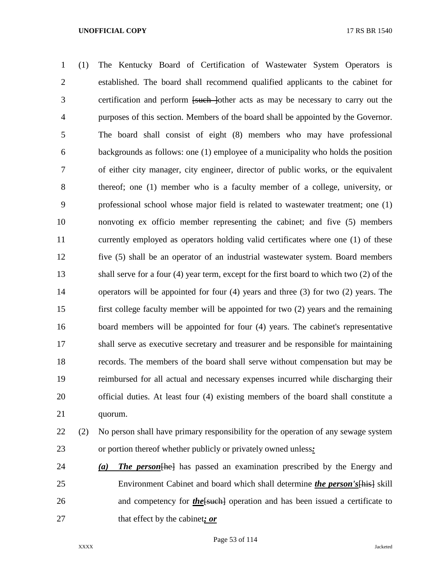(1) The Kentucky Board of Certification of Wastewater System Operators is established. The board shall recommend qualified applicants to the cabinet for certification and perform [such ]other acts as may be necessary to carry out the purposes of this section. Members of the board shall be appointed by the Governor. The board shall consist of eight (8) members who may have professional backgrounds as follows: one (1) employee of a municipality who holds the position of either city manager, city engineer, director of public works, or the equivalent thereof; one (1) member who is a faculty member of a college, university, or professional school whose major field is related to wastewater treatment; one (1) nonvoting ex officio member representing the cabinet; and five (5) members currently employed as operators holding valid certificates where one (1) of these five (5) shall be an operator of an industrial wastewater system. Board members shall serve for a four (4) year term, except for the first board to which two (2) of the operators will be appointed for four (4) years and three (3) for two (2) years. The first college faculty member will be appointed for two (2) years and the remaining board members will be appointed for four (4) years. The cabinet's representative shall serve as executive secretary and treasurer and be responsible for maintaining records. The members of the board shall serve without compensation but may be reimbursed for all actual and necessary expenses incurred while discharging their official duties. At least four (4) existing members of the board shall constitute a quorum.

# (2) No person shall have primary responsibility for the operation of any sewage system or portion thereof whether publicly or privately owned unless*:*

 *(a) The person*[he] has passed an examination prescribed by the Energy and Environment Cabinet and board which shall determine *the person's*[his] skill 26 and competency for *the* [such] operation and has been issued a certificate to that effect by the cabinet*; or*

Page 53 of 114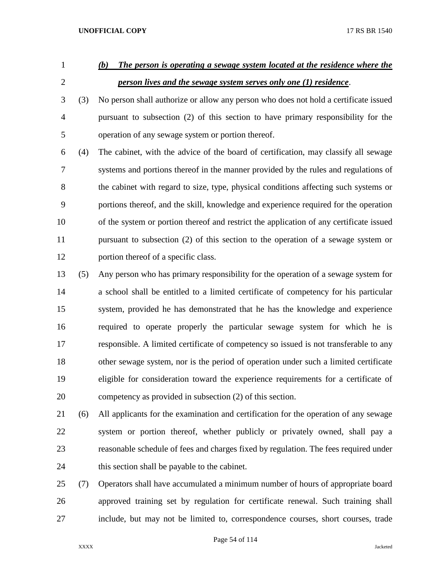# *(b) The person is operating a sewage system located at the residence where the person lives and the sewage system serves only one (1) residence*.

 (3) No person shall authorize or allow any person who does not hold a certificate issued pursuant to subsection (2) of this section to have primary responsibility for the operation of any sewage system or portion thereof.

 (4) The cabinet, with the advice of the board of certification, may classify all sewage systems and portions thereof in the manner provided by the rules and regulations of the cabinet with regard to size, type, physical conditions affecting such systems or portions thereof, and the skill, knowledge and experience required for the operation of the system or portion thereof and restrict the application of any certificate issued pursuant to subsection (2) of this section to the operation of a sewage system or portion thereof of a specific class.

- (5) Any person who has primary responsibility for the operation of a sewage system for a school shall be entitled to a limited certificate of competency for his particular system, provided he has demonstrated that he has the knowledge and experience required to operate properly the particular sewage system for which he is responsible. A limited certificate of competency so issued is not transferable to any other sewage system, nor is the period of operation under such a limited certificate eligible for consideration toward the experience requirements for a certificate of competency as provided in subsection (2) of this section.
- (6) All applicants for the examination and certification for the operation of any sewage system or portion thereof, whether publicly or privately owned, shall pay a reasonable schedule of fees and charges fixed by regulation. The fees required under this section shall be payable to the cabinet.
- (7) Operators shall have accumulated a minimum number of hours of appropriate board approved training set by regulation for certificate renewal. Such training shall include, but may not be limited to, correspondence courses, short courses, trade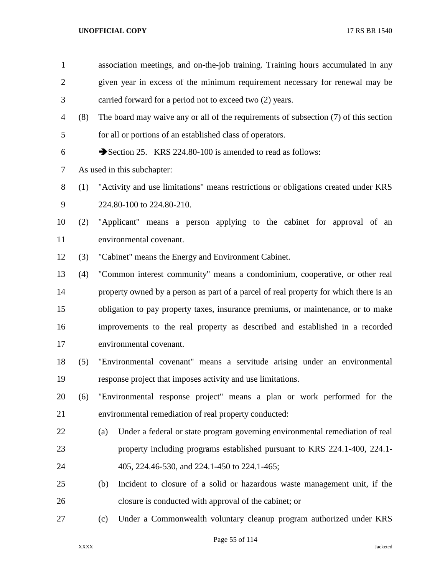| $\mathbf{1}$   |     | association meetings, and on-the-job training. Training hours accumulated in any      |
|----------------|-----|---------------------------------------------------------------------------------------|
| $\overline{2}$ |     | given year in excess of the minimum requirement necessary for renewal may be          |
| 3              |     | carried forward for a period not to exceed two (2) years.                             |
| 4              | (8) | The board may waive any or all of the requirements of subsection (7) of this section  |
| 5              |     | for all or portions of an established class of operators.                             |
| 6              |     | Section 25. KRS 224.80-100 is amended to read as follows:                             |
| 7              |     | As used in this subchapter:                                                           |
| 8              | (1) | "Activity and use limitations" means restrictions or obligations created under KRS    |
| 9              |     | 224.80-100 to 224.80-210.                                                             |
| 10             | (2) | "Applicant" means a person applying to the cabinet for approval of an                 |
| 11             |     | environmental covenant.                                                               |
| 12             | (3) | "Cabinet" means the Energy and Environment Cabinet.                                   |
| 13             | (4) | "Common interest community" means a condominium, cooperative, or other real           |
| 14             |     | property owned by a person as part of a parcel of real property for which there is an |
| 15             |     | obligation to pay property taxes, insurance premiums, or maintenance, or to make      |
| 16             |     | improvements to the real property as described and established in a recorded          |
| 17             |     | environmental covenant.                                                               |
| 18             | (5) | "Environmental covenant" means a servitude arising under an environmental             |
| 19             |     | response project that imposes activity and use limitations.                           |
| 20             | (6) | "Environmental response project" means a plan or work performed for the               |
| 21             |     | environmental remediation of real property conducted:                                 |
| 22             |     | Under a federal or state program governing environmental remediation of real<br>(a)   |
| 23             |     | property including programs established pursuant to KRS 224.1-400, 224.1-             |
| 24             |     | 405, 224.46-530, and 224.1-450 to 224.1-465;                                          |
| 25             |     | Incident to closure of a solid or hazardous waste management unit, if the<br>(b)      |
| 26             |     | closure is conducted with approval of the cabinet; or                                 |
| 27             |     | Under a Commonwealth voluntary cleanup program authorized under KRS<br>(c)            |

Page 55 of 114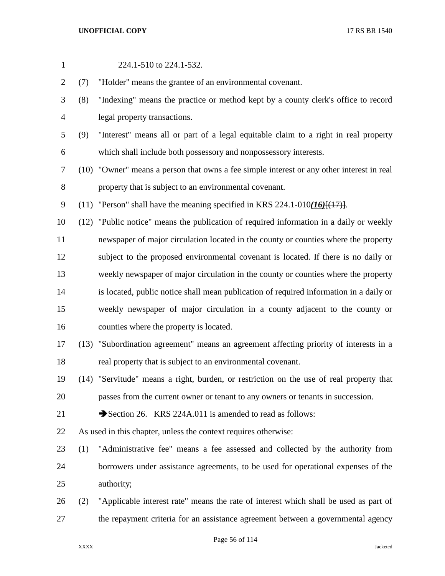| $\mathbf{1}$ |      | 224.1-510 to 224.1-532.                                                                        |
|--------------|------|------------------------------------------------------------------------------------------------|
| 2            | (7)  | "Holder" means the grantee of an environmental covenant.                                       |
| 3            | (8)  | "Indexing" means the practice or method kept by a county clerk's office to record              |
| 4            |      | legal property transactions.                                                                   |
| 5            | (9)  | "Interest" means all or part of a legal equitable claim to a right in real property            |
| 6            |      | which shall include both possessory and nonpossessory interests.                               |
| 7            |      | (10) "Owner" means a person that owns a fee simple interest or any other interest in real      |
| $8\,$        |      | property that is subject to an environmental covenant.                                         |
| 9            | (11) | "Person" shall have the meaning specified in KRS 224.1-010(16) $\left[\frac{(17)}{1}\right]$ . |
| 10           | (12) | "Public notice" means the publication of required information in a daily or weekly             |
| 11           |      | newspaper of major circulation located in the county or counties where the property            |
| 12           |      | subject to the proposed environmental covenant is located. If there is no daily or             |
| 13           |      | weekly newspaper of major circulation in the county or counties where the property             |
| 14           |      | is located, public notice shall mean publication of required information in a daily or         |
| 15           |      | weekly newspaper of major circulation in a county adjacent to the county or                    |
| 16           |      | counties where the property is located.                                                        |
| 17           |      | (13) "Subordination agreement" means an agreement affecting priority of interests in a         |
| 18           |      | real property that is subject to an environmental covenant.                                    |
| 19           |      | (14) "Servitude" means a right, burden, or restriction on the use of real property that        |
| 20           |      | passes from the current owner or tenant to any owners or tenants in succession.                |
| 21           |      | Section 26. KRS 224A.011 is amended to read as follows:                                        |
| 22           |      | As used in this chapter, unless the context requires otherwise:                                |
| 23           | (1)  | "Administrative fee" means a fee assessed and collected by the authority from                  |
| 24           |      | borrowers under assistance agreements, to be used for operational expenses of the              |
| 25           |      | authority;                                                                                     |
| 26           | (2)  | "Applicable interest rate" means the rate of interest which shall be used as part of           |
| 27           |      | the repayment criteria for an assistance agreement between a governmental agency               |

Page 56 of 114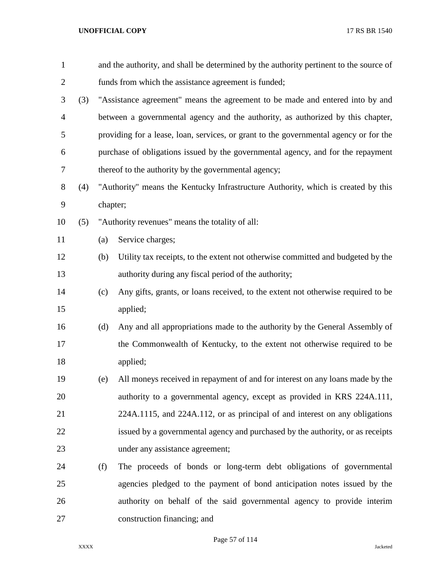| $\mathbf{1}$   |     |          | and the authority, and shall be determined by the authority pertinent to the source of |
|----------------|-----|----------|----------------------------------------------------------------------------------------|
| $\overline{2}$ |     |          | funds from which the assistance agreement is funded;                                   |
| 3              | (3) |          | "Assistance agreement" means the agreement to be made and entered into by and          |
| $\overline{4}$ |     |          | between a governmental agency and the authority, as authorized by this chapter,        |
| 5              |     |          | providing for a lease, loan, services, or grant to the governmental agency or for the  |
| 6              |     |          | purchase of obligations issued by the governmental agency, and for the repayment       |
| 7              |     |          | thereof to the authority by the governmental agency;                                   |
| 8              | (4) |          | "Authority" means the Kentucky Infrastructure Authority, which is created by this      |
| 9              |     | chapter; |                                                                                        |
| 10             | (5) |          | "Authority revenues" means the totality of all:                                        |
| 11             |     | (a)      | Service charges;                                                                       |
| 12             |     | (b)      | Utility tax receipts, to the extent not otherwise committed and budgeted by the        |
| 13             |     |          | authority during any fiscal period of the authority;                                   |
| 14             |     | (c)      | Any gifts, grants, or loans received, to the extent not otherwise required to be       |
| 15             |     |          | applied;                                                                               |
| 16             |     | (d)      | Any and all appropriations made to the authority by the General Assembly of            |
| 17             |     |          | the Commonwealth of Kentucky, to the extent not otherwise required to be               |
| 18             |     |          | applied;                                                                               |
| 19             |     | (e)      | All moneys received in repayment of and for interest on any loans made by the          |
| 20             |     |          | authority to a governmental agency, except as provided in KRS 224A.111,                |
| 21             |     |          | 224A.1115, and 224A.112, or as principal of and interest on any obligations            |
| 22             |     |          | issued by a governmental agency and purchased by the authority, or as receipts         |
| 23             |     |          | under any assistance agreement;                                                        |
| 24             |     | (f)      | The proceeds of bonds or long-term debt obligations of governmental                    |
| 25             |     |          | agencies pledged to the payment of bond anticipation notes issued by the               |
| 26             |     |          | authority on behalf of the said governmental agency to provide interim                 |
| 27             |     |          | construction financing; and                                                            |

Page 57 of 114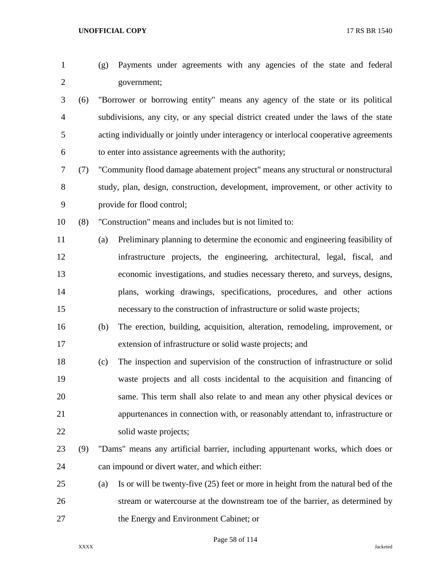| $\mathbf{1}$   |     | (g) | Payments under agreements with any agencies of the state and federal                  |
|----------------|-----|-----|---------------------------------------------------------------------------------------|
| $\overline{c}$ |     |     | government;                                                                           |
| 3              | (6) |     | "Borrower or borrowing entity" means any agency of the state or its political         |
| 4              |     |     | subdivisions, any city, or any special district created under the laws of the state   |
| 5              |     |     | acting individually or jointly under interagency or interlocal cooperative agreements |
| 6              |     |     | to enter into assistance agreements with the authority;                               |
| 7              | (7) |     | "Community flood damage abatement project" means any structural or nonstructural      |
| 8              |     |     | study, plan, design, construction, development, improvement, or other activity to     |
| 9              |     |     | provide for flood control;                                                            |
| 10             | (8) |     | "Construction" means and includes but is not limited to:                              |
| 11             |     | (a) | Preliminary planning to determine the economic and engineering feasibility of         |
| 12             |     |     | infrastructure projects, the engineering, architectural, legal, fiscal, and           |
| 13             |     |     | economic investigations, and studies necessary thereto, and surveys, designs,         |
| 14             |     |     | plans, working drawings, specifications, procedures, and other actions                |
| 15             |     |     | necessary to the construction of infrastructure or solid waste projects;              |
| 16             |     | (b) | The erection, building, acquisition, alteration, remodeling, improvement, or          |
| 17             |     |     | extension of infrastructure or solid waste projects; and                              |
| 18             |     | (c) | The inspection and supervision of the construction of infrastructure or solid         |
| 19             |     |     | waste projects and all costs incidental to the acquisition and financing of           |
| 20             |     |     | same. This term shall also relate to and mean any other physical devices or           |
| 21             |     |     | appurtenances in connection with, or reasonably attendant to, infrastructure or       |
| 22             |     |     | solid waste projects;                                                                 |
| 23             | (9) |     | "Dams" means any artificial barrier, including appurtenant works, which does or       |
| 24             |     |     | can impound or divert water, and which either:                                        |
| 25             |     | (a) | Is or will be twenty-five (25) feet or more in height from the natural bed of the     |
| 26             |     |     | stream or watercourse at the downstream toe of the barrier, as determined by          |
| 27             |     |     | the Energy and Environment Cabinet; or                                                |
|                |     |     |                                                                                       |

Page 58 of 114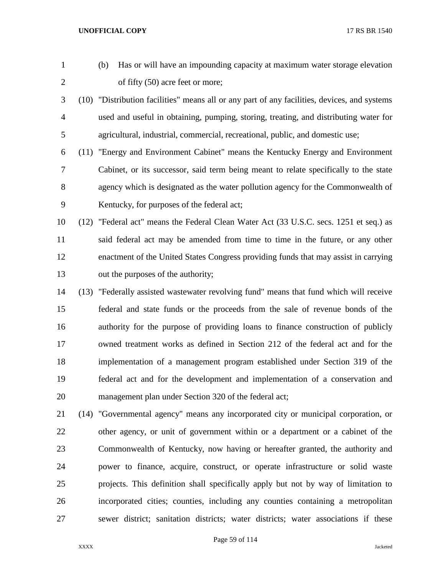- (b) Has or will have an impounding capacity at maximum water storage elevation 2 of fifty (50) acre feet or more;
- (10) "Distribution facilities" means all or any part of any facilities, devices, and systems used and useful in obtaining, pumping, storing, treating, and distributing water for agricultural, industrial, commercial, recreational, public, and domestic use;
- (11) "Energy and Environment Cabinet" means the Kentucky Energy and Environment Cabinet, or its successor, said term being meant to relate specifically to the state agency which is designated as the water pollution agency for the Commonwealth of Kentucky, for purposes of the federal act;
- (12) "Federal act" means the Federal Clean Water Act (33 U.S.C. secs. 1251 et seq.) as said federal act may be amended from time to time in the future, or any other enactment of the United States Congress providing funds that may assist in carrying out the purposes of the authority;
- (13) "Federally assisted wastewater revolving fund" means that fund which will receive federal and state funds or the proceeds from the sale of revenue bonds of the authority for the purpose of providing loans to finance construction of publicly owned treatment works as defined in Section 212 of the federal act and for the implementation of a management program established under Section 319 of the federal act and for the development and implementation of a conservation and management plan under Section 320 of the federal act;
- (14) "Governmental agency" means any incorporated city or municipal corporation, or other agency, or unit of government within or a department or a cabinet of the Commonwealth of Kentucky, now having or hereafter granted, the authority and power to finance, acquire, construct, or operate infrastructure or solid waste projects. This definition shall specifically apply but not by way of limitation to incorporated cities; counties, including any counties containing a metropolitan sewer district; sanitation districts; water districts; water associations if these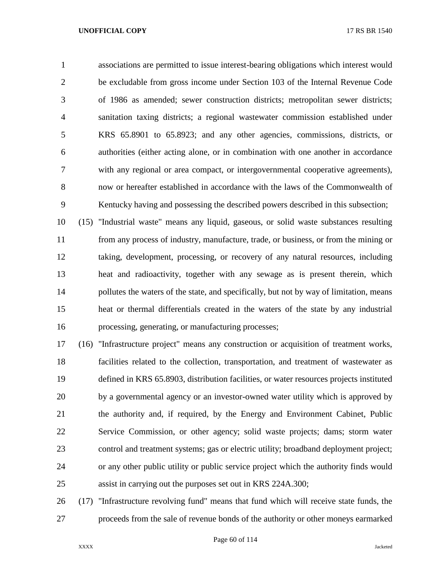associations are permitted to issue interest-bearing obligations which interest would be excludable from gross income under Section 103 of the Internal Revenue Code of 1986 as amended; sewer construction districts; metropolitan sewer districts; sanitation taxing districts; a regional wastewater commission established under KRS 65.8901 to 65.8923; and any other agencies, commissions, districts, or authorities (either acting alone, or in combination with one another in accordance with any regional or area compact, or intergovernmental cooperative agreements), now or hereafter established in accordance with the laws of the Commonwealth of Kentucky having and possessing the described powers described in this subsection;

 (15) "Industrial waste" means any liquid, gaseous, or solid waste substances resulting from any process of industry, manufacture, trade, or business, or from the mining or taking, development, processing, or recovery of any natural resources, including heat and radioactivity, together with any sewage as is present therein, which 14 pollutes the waters of the state, and specifically, but not by way of limitation, means heat or thermal differentials created in the waters of the state by any industrial processing, generating, or manufacturing processes;

 (16) "Infrastructure project" means any construction or acquisition of treatment works, facilities related to the collection, transportation, and treatment of wastewater as defined in KRS 65.8903, distribution facilities, or water resources projects instituted by a governmental agency or an investor-owned water utility which is approved by the authority and, if required, by the Energy and Environment Cabinet, Public Service Commission, or other agency; solid waste projects; dams; storm water control and treatment systems; gas or electric utility; broadband deployment project; or any other public utility or public service project which the authority finds would assist in carrying out the purposes set out in KRS 224A.300;

 (17) "Infrastructure revolving fund" means that fund which will receive state funds, the proceeds from the sale of revenue bonds of the authority or other moneys earmarked

Page 60 of 114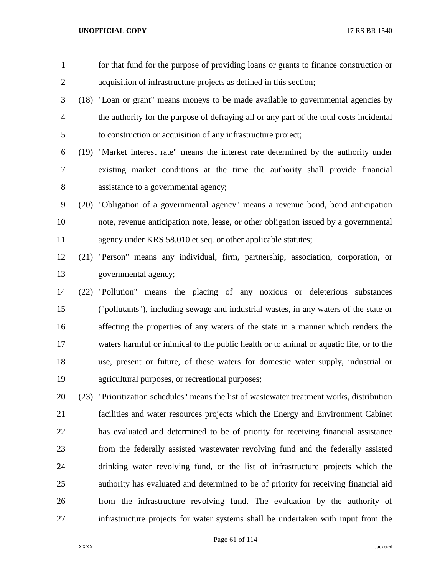| $\mathbf{1}$   |      | for that fund for the purpose of providing loans or grants to finance construction or      |
|----------------|------|--------------------------------------------------------------------------------------------|
| $\mathbf{2}$   |      | acquisition of infrastructure projects as defined in this section;                         |
| 3              |      | (18) "Loan or grant" means moneys to be made available to governmental agencies by         |
| $\overline{4}$ |      | the authority for the purpose of defraying all or any part of the total costs incidental   |
| 5              |      | to construction or acquisition of any infrastructure project;                              |
| 6              |      | (19) "Market interest rate" means the interest rate determined by the authority under      |
| 7              |      | existing market conditions at the time the authority shall provide financial               |
| 8              |      | assistance to a governmental agency;                                                       |
| 9              |      | (20) "Obligation of a governmental agency" means a revenue bond, bond anticipation         |
| 10             |      | note, revenue anticipation note, lease, or other obligation issued by a governmental       |
| 11             |      | agency under KRS 58.010 et seq. or other applicable statutes;                              |
| 12             |      | (21) "Person" means any individual, firm, partnership, association, corporation, or        |
| 13             |      | governmental agency;                                                                       |
| 14             | (22) | "Pollution" means the placing of any noxious or deleterious substances                     |
| 15             |      | ("pollutants"), including sewage and industrial wastes, in any waters of the state or      |
| 16             |      | affecting the properties of any waters of the state in a manner which renders the          |
| 17             |      | waters harmful or inimical to the public health or to animal or aquatic life, or to the    |
| 18             |      | use, present or future, of these waters for domestic water supply, industrial or           |
| 19             |      | agricultural purposes, or recreational purposes;                                           |
| 20             |      | (23) "Prioritization schedules" means the list of wastewater treatment works, distribution |
| 21             |      | facilities and water resources projects which the Energy and Environment Cabinet           |
| 22             |      | has evaluated and determined to be of priority for receiving financial assistance          |
| 23             |      | from the federally assisted wastewater revolving fund and the federally assisted           |
| 24             |      | drinking water revolving fund, or the list of infrastructure projects which the            |
| 25             |      | authority has evaluated and determined to be of priority for receiving financial aid       |
| 26             |      | from the infrastructure revolving fund. The evaluation by the authority of                 |

infrastructure projects for water systems shall be undertaken with input from the

XXXX Jacketed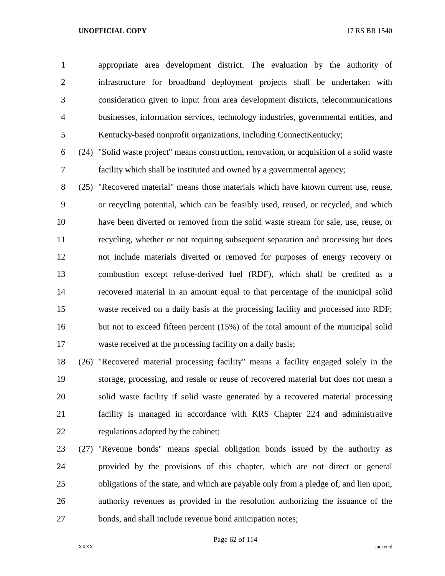appropriate area development district. The evaluation by the authority of infrastructure for broadband deployment projects shall be undertaken with consideration given to input from area development districts, telecommunications businesses, information services, technology industries, governmental entities, and Kentucky-based nonprofit organizations, including ConnectKentucky;

 (24) "Solid waste project" means construction, renovation, or acquisition of a solid waste facility which shall be instituted and owned by a governmental agency;

 (25) "Recovered material" means those materials which have known current use, reuse, or recycling potential, which can be feasibly used, reused, or recycled, and which have been diverted or removed from the solid waste stream for sale, use, reuse, or recycling, whether or not requiring subsequent separation and processing but does not include materials diverted or removed for purposes of energy recovery or combustion except refuse-derived fuel (RDF), which shall be credited as a recovered material in an amount equal to that percentage of the municipal solid waste received on a daily basis at the processing facility and processed into RDF; 16 but not to exceed fifteen percent (15%) of the total amount of the municipal solid waste received at the processing facility on a daily basis;

 (26) "Recovered material processing facility" means a facility engaged solely in the storage, processing, and resale or reuse of recovered material but does not mean a solid waste facility if solid waste generated by a recovered material processing facility is managed in accordance with KRS Chapter 224 and administrative regulations adopted by the cabinet;

 (27) "Revenue bonds" means special obligation bonds issued by the authority as provided by the provisions of this chapter, which are not direct or general obligations of the state, and which are payable only from a pledge of, and lien upon, authority revenues as provided in the resolution authorizing the issuance of the bonds, and shall include revenue bond anticipation notes;

Page 62 of 114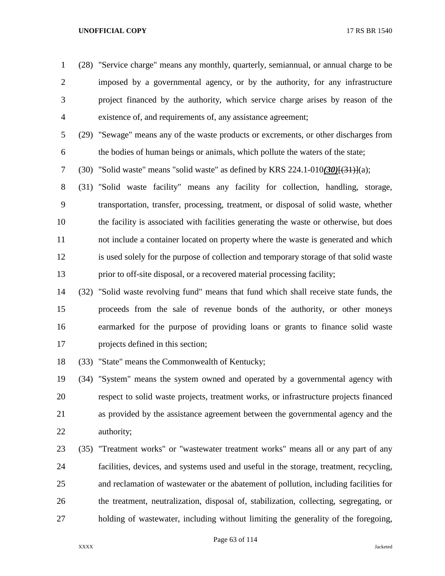(28) "Service charge" means any monthly, quarterly, semiannual, or annual charge to be imposed by a governmental agency, or by the authority, for any infrastructure project financed by the authority, which service charge arises by reason of the existence of, and requirements of, any assistance agreement;

 (29) "Sewage" means any of the waste products or excrements, or other discharges from the bodies of human beings or animals, which pollute the waters of the state;

(30) "Solid waste" means "solid waste" as defined by KRS 224.1-010*(30)*[(31)](a);

 (31) "Solid waste facility" means any facility for collection, handling, storage, transportation, transfer, processing, treatment, or disposal of solid waste, whether the facility is associated with facilities generating the waste or otherwise, but does not include a container located on property where the waste is generated and which is used solely for the purpose of collection and temporary storage of that solid waste prior to off-site disposal, or a recovered material processing facility;

 (32) "Solid waste revolving fund" means that fund which shall receive state funds, the proceeds from the sale of revenue bonds of the authority, or other moneys earmarked for the purpose of providing loans or grants to finance solid waste projects defined in this section;

(33) "State" means the Commonwealth of Kentucky;

 (34) "System" means the system owned and operated by a governmental agency with respect to solid waste projects, treatment works, or infrastructure projects financed as provided by the assistance agreement between the governmental agency and the authority;

 (35) "Treatment works" or "wastewater treatment works" means all or any part of any facilities, devices, and systems used and useful in the storage, treatment, recycling, and reclamation of wastewater or the abatement of pollution, including facilities for the treatment, neutralization, disposal of, stabilization, collecting, segregating, or holding of wastewater, including without limiting the generality of the foregoing,

Page 63 of 114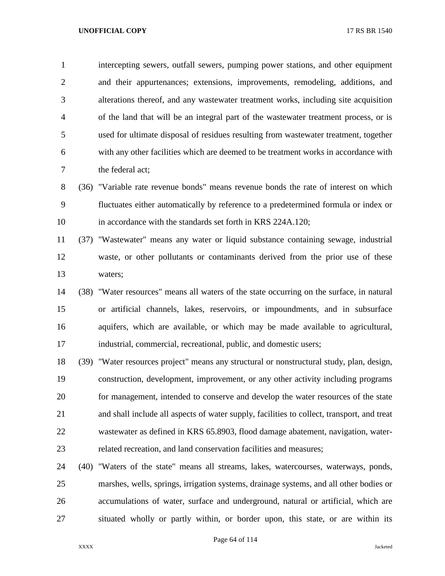intercepting sewers, outfall sewers, pumping power stations, and other equipment and their appurtenances; extensions, improvements, remodeling, additions, and alterations thereof, and any wastewater treatment works, including site acquisition of the land that will be an integral part of the wastewater treatment process, or is used for ultimate disposal of residues resulting from wastewater treatment, together with any other facilities which are deemed to be treatment works in accordance with the federal act;

 (36) "Variable rate revenue bonds" means revenue bonds the rate of interest on which fluctuates either automatically by reference to a predetermined formula or index or in accordance with the standards set forth in KRS 224A.120;

 (37) "Wastewater" means any water or liquid substance containing sewage, industrial waste, or other pollutants or contaminants derived from the prior use of these waters;

 (38) "Water resources" means all waters of the state occurring on the surface, in natural or artificial channels, lakes, reservoirs, or impoundments, and in subsurface aquifers, which are available, or which may be made available to agricultural, industrial, commercial, recreational, public, and domestic users;

 (39) "Water resources project" means any structural or nonstructural study, plan, design, construction, development, improvement, or any other activity including programs for management, intended to conserve and develop the water resources of the state and shall include all aspects of water supply, facilities to collect, transport, and treat wastewater as defined in KRS 65.8903, flood damage abatement, navigation, water-related recreation, and land conservation facilities and measures;

 (40) "Waters of the state" means all streams, lakes, watercourses, waterways, ponds, marshes, wells, springs, irrigation systems, drainage systems, and all other bodies or accumulations of water, surface and underground, natural or artificial, which are situated wholly or partly within, or border upon, this state, or are within its

Page 64 of 114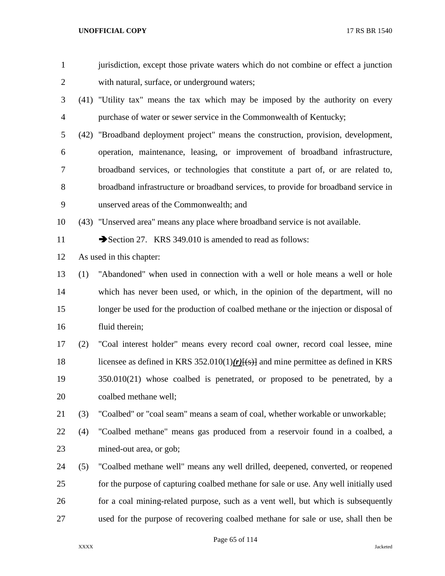| $\mathbf{1}$   |     | jurisdiction, except those private waters which do not combine or effect a junction    |
|----------------|-----|----------------------------------------------------------------------------------------|
| $\overline{2}$ |     | with natural, surface, or underground waters;                                          |
| 3              |     | (41) "Utility tax" means the tax which may be imposed by the authority on every        |
| $\overline{4}$ |     | purchase of water or sewer service in the Commonwealth of Kentucky;                    |
| 5              |     | (42) "Broadband deployment project" means the construction, provision, development,    |
| 6              |     | operation, maintenance, leasing, or improvement of broadband infrastructure,           |
| 7              |     | broadband services, or technologies that constitute a part of, or are related to,      |
| 8              |     | broadband infrastructure or broadband services, to provide for broadband service in    |
| 9              |     | unserved areas of the Commonwealth; and                                                |
| 10             |     | (43) "Unserved area" means any place where broadband service is not available.         |
| 11             |     | Section 27. KRS 349.010 is amended to read as follows:                                 |
| 12             |     | As used in this chapter:                                                               |
| 13             | (1) | "Abandoned" when used in connection with a well or hole means a well or hole           |
| 14             |     | which has never been used, or which, in the opinion of the department, will no         |
| 15             |     | longer be used for the production of coalbed methane or the injection or disposal of   |
| 16             |     | fluid therein;                                                                         |
| 17             | (2) | "Coal interest holder" means every record coal owner, record coal lessee, mine         |
| 18             |     | licensee as defined in KRS 352.010(1) $(r)$ [(s)] and mine permittee as defined in KRS |
| 19             |     | $350.010(21)$ whose coalbed is penetrated, or proposed to be penetrated, by a          |
| 20             |     | coalbed methane well;                                                                  |
| 21             | (3) | "Coalbed" or "coal seam" means a seam of coal, whether workable or unworkable;         |
| 22             | (4) | "Coalbed methane" means gas produced from a reservoir found in a coalbed, a            |
| 23             |     | mined-out area, or gob;                                                                |
| 24             | (5) | "Coalbed methane well" means any well drilled, deepened, converted, or reopened        |
| 25             |     | for the purpose of capturing coalbed methane for sale or use. Any well initially used  |
| 26             |     | for a coal mining-related purpose, such as a vent well, but which is subsequently      |
| 27             |     | used for the purpose of recovering coalbed methane for sale or use, shall then be      |
|                |     |                                                                                        |

Page 65 of 114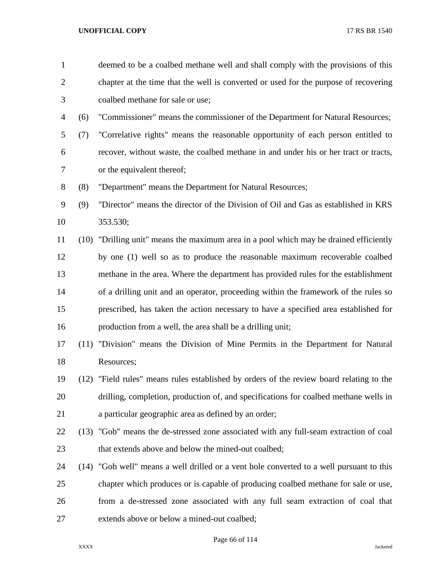| $\mathbf{1}$   |      | deemed to be a coalbed methane well and shall comply with the provisions of this         |
|----------------|------|------------------------------------------------------------------------------------------|
| $\overline{2}$ |      | chapter at the time that the well is converted or used for the purpose of recovering     |
| 3              |      | coalbed methane for sale or use;                                                         |
| 4              | (6)  | "Commissioner" means the commissioner of the Department for Natural Resources;           |
| 5              | (7)  | "Correlative rights" means the reasonable opportunity of each person entitled to         |
| 6              |      | recover, without waste, the coalbed methane in and under his or her tract or tracts,     |
| 7              |      | or the equivalent thereof;                                                               |
| 8              | (8)  | "Department" means the Department for Natural Resources;                                 |
| 9              | (9)  | "Director" means the director of the Division of Oil and Gas as established in KRS       |
| 10             |      | 353.530;                                                                                 |
| 11             | (10) | "Drilling unit" means the maximum area in a pool which may be drained efficiently        |
| 12             |      | by one (1) well so as to produce the reasonable maximum recoverable coalbed              |
| 13             |      | methane in the area. Where the department has provided rules for the establishment       |
| 14             |      | of a drilling unit and an operator, proceeding within the framework of the rules so      |
| 15             |      | prescribed, has taken the action necessary to have a specified area established for      |
| 16             |      | production from a well, the area shall be a drilling unit;                               |
| 17             |      | (11) "Division" means the Division of Mine Permits in the Department for Natural         |
| 18             |      | Resources;                                                                               |
| 19             |      | (12) "Field rules" means rules established by orders of the review board relating to the |
| 20             |      | drilling, completion, production of, and specifications for coalbed methane wells in     |
| 21             |      | a particular geographic area as defined by an order;                                     |
| 22             |      | (13) "Gob" means the de-stressed zone associated with any full-seam extraction of coal   |
| 23             |      | that extends above and below the mined-out coalbed;                                      |
| 24             |      | (14) "Gob well" means a well drilled or a vent hole converted to a well pursuant to this |
| 25             |      | chapter which produces or is capable of producing coalbed methane for sale or use,       |
| 26             |      | from a de-stressed zone associated with any full seam extraction of coal that            |
| 27             |      | extends above or below a mined-out coalbed;                                              |
|                |      |                                                                                          |

Page 66 of 114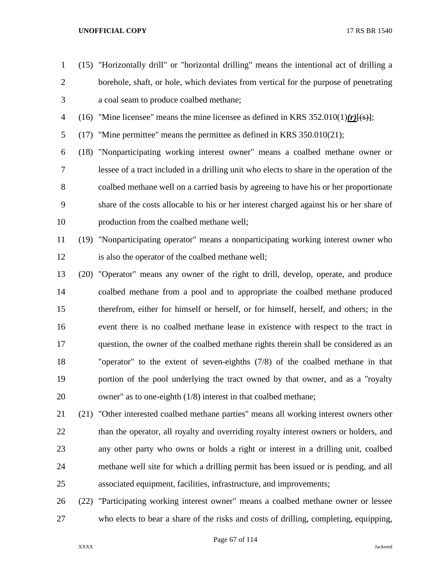borehole, shaft, or hole, which deviates from vertical for the purpose of penetrating a coal seam to produce coalbed methane;

(15) "Horizontally drill" or "horizontal drilling" means the intentional act of drilling a

- (16) "Mine licensee" means the mine licensee as defined in KRS 352.010(1)*(r)*[(s)];
- (17) "Mine permittee" means the permittee as defined in KRS 350.010(21);

 (18) "Nonparticipating working interest owner" means a coalbed methane owner or lessee of a tract included in a drilling unit who elects to share in the operation of the coalbed methane well on a carried basis by agreeing to have his or her proportionate share of the costs allocable to his or her interest charged against his or her share of production from the coalbed methane well;

- (19) "Nonparticipating operator" means a nonparticipating working interest owner who is also the operator of the coalbed methane well;
- (20) "Operator" means any owner of the right to drill, develop, operate, and produce coalbed methane from a pool and to appropriate the coalbed methane produced therefrom, either for himself or herself, or for himself, herself, and others; in the event there is no coalbed methane lease in existence with respect to the tract in question, the owner of the coalbed methane rights therein shall be considered as an "operator" to the extent of seven-eighths (7/8) of the coalbed methane in that portion of the pool underlying the tract owned by that owner, and as a "royalty owner" as to one-eighth (1/8) interest in that coalbed methane;
- (21) "Other interested coalbed methane parties" means all working interest owners other 22 than the operator, all royalty and overriding royalty interest owners or holders, and any other party who owns or holds a right or interest in a drilling unit, coalbed methane well site for which a drilling permit has been issued or is pending, and all associated equipment, facilities, infrastructure, and improvements;
- (22) "Participating working interest owner" means a coalbed methane owner or lessee who elects to bear a share of the risks and costs of drilling, completing, equipping,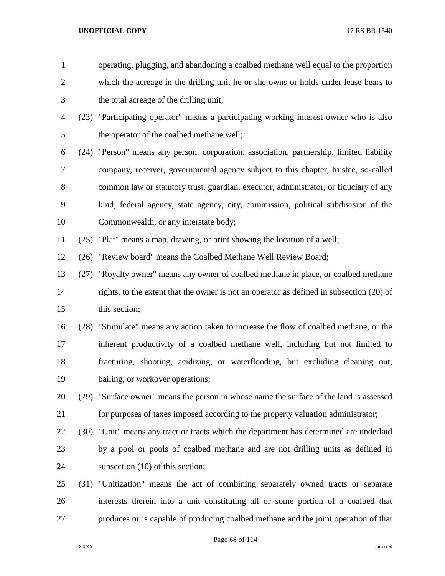| $\mathbf{1}$   |      | operating, plugging, and abandoning a coalbed methane well equal to the proportion       |
|----------------|------|------------------------------------------------------------------------------------------|
| $\overline{2}$ |      | which the acreage in the drilling unit he or she owns or holds under lease bears to      |
| 3              |      | the total acreage of the drilling unit;                                                  |
| 4              |      | (23) "Participating operator" means a participating working interest owner who is also   |
| 5              |      | the operator of the coalbed methane well;                                                |
| 6              |      | (24) "Person" means any person, corporation, association, partnership, limited liability |
| 7              |      | company, receiver, governmental agency subject to this chapter, trustee, so-called       |
| 8              |      | common law or statutory trust, guardian, executor, administrator, or fiduciary of any    |
| 9              |      | kind, federal agency, state agency, city, commission, political subdivision of the       |
| 10             |      | Commonwealth, or any interstate body;                                                    |
| 11             | (25) | "Plat" means a map, drawing, or print showing the location of a well;                    |
| 12             | (26) | "Review board" means the Coalbed Methane Well Review Board;                              |
| 13             | (27) | "Royalty owner" means any owner of coalbed methane in place, or coalbed methane          |
| 14             |      | rights, to the extent that the owner is not an operator as defined in subsection (20) of |
| 15             |      | this section;                                                                            |
| 16             |      | (28) "Stimulate" means any action taken to increase the flow of coalbed methane, or the  |
| 17             |      | inherent productivity of a coalbed methane well, including but not limited to            |
| 18             |      | fracturing, shooting, acidizing, or waterflooding, but excluding cleaning out,           |
| 19             |      | bailing, or workover operations;                                                         |
| 20             |      | (29) "Surface owner" means the person in whose name the surface of the land is assessed  |
| 21             |      | for purposes of taxes imposed according to the property valuation administrator;         |
| 22             |      | (30) "Unit" means any tract or tracts which the department has determined are underlaid  |
| 23             |      | by a pool or pools of coalbed methane and are not drilling units as defined in           |
| 24             |      | subsection $(10)$ of this section;                                                       |
| 25             |      | (31) "Unitization" means the act of combining separately owned tracts or separate        |
| 26             |      | interests therein into a unit constituting all or some portion of a coalbed that         |
| 27             |      | produces or is capable of producing coalbed methane and the joint operation of that      |

Page 68 of 114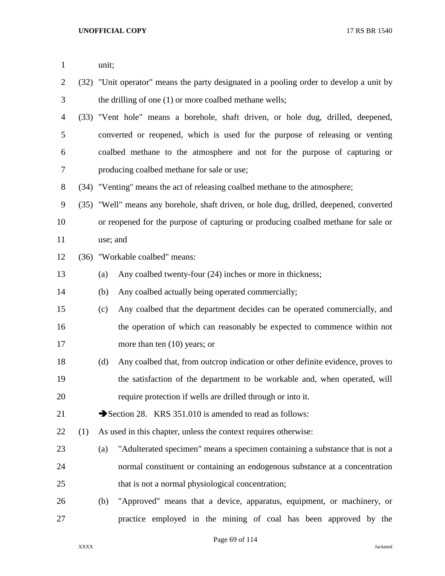| $\mathbf{1}$   |      | unit;                                                                                   |                                                                                   |  |  |  |
|----------------|------|-----------------------------------------------------------------------------------------|-----------------------------------------------------------------------------------|--|--|--|
| $\overline{2}$ | (32) | "Unit operator" means the party designated in a pooling order to develop a unit by      |                                                                                   |  |  |  |
| 3              |      |                                                                                         | the drilling of one (1) or more coalbed methane wells;                            |  |  |  |
| 4              |      |                                                                                         | (33) "Vent hole" means a borehole, shaft driven, or hole dug, drilled, deepened,  |  |  |  |
| 5              |      |                                                                                         | converted or reopened, which is used for the purpose of releasing or venting      |  |  |  |
| 6              |      | coalbed methane to the atmosphere and not for the purpose of capturing or               |                                                                                   |  |  |  |
| 7              |      | producing coalbed methane for sale or use;                                              |                                                                                   |  |  |  |
| 8              |      | (34) "Venting" means the act of releasing coalbed methane to the atmosphere;            |                                                                                   |  |  |  |
| 9              |      | (35) "Well" means any borehole, shaft driven, or hole dug, drilled, deepened, converted |                                                                                   |  |  |  |
| 10             |      |                                                                                         | or reopened for the purpose of capturing or producing coalbed methane for sale or |  |  |  |
| 11             |      | use; and                                                                                |                                                                                   |  |  |  |
| 12             | (36) | "Workable coalbed" means:                                                               |                                                                                   |  |  |  |
| 13             |      | (a)                                                                                     | Any coalbed twenty-four (24) inches or more in thickness;                         |  |  |  |
| 14             |      | (b)                                                                                     | Any coalbed actually being operated commercially;                                 |  |  |  |
| 15             |      | (c)                                                                                     | Any coalbed that the department decides can be operated commercially, and         |  |  |  |
| 16             |      |                                                                                         | the operation of which can reasonably be expected to commence within not          |  |  |  |
| 17             |      |                                                                                         | more than ten $(10)$ years; or                                                    |  |  |  |
| 18             |      | (d)                                                                                     | Any coalbed that, from outcrop indication or other definite evidence, proves to   |  |  |  |
| 19             |      |                                                                                         | the satisfaction of the department to be workable and, when operated, will        |  |  |  |
| 20             |      |                                                                                         | require protection if wells are drilled through or into it.                       |  |  |  |
| 21             |      |                                                                                         | Section 28. KRS 351.010 is amended to read as follows:                            |  |  |  |
| 22             | (1)  |                                                                                         | As used in this chapter, unless the context requires otherwise:                   |  |  |  |
| 23             |      | (a)                                                                                     | "Adulterated specimen" means a specimen containing a substance that is not a      |  |  |  |
| 24             |      |                                                                                         | normal constituent or containing an endogenous substance at a concentration       |  |  |  |
| 25             |      |                                                                                         | that is not a normal physiological concentration;                                 |  |  |  |
| 26             |      | (b)                                                                                     | "Approved" means that a device, apparatus, equipment, or machinery, or            |  |  |  |
| 27             |      |                                                                                         | practice employed in the mining of coal has been approved by the                  |  |  |  |

Page 69 of 114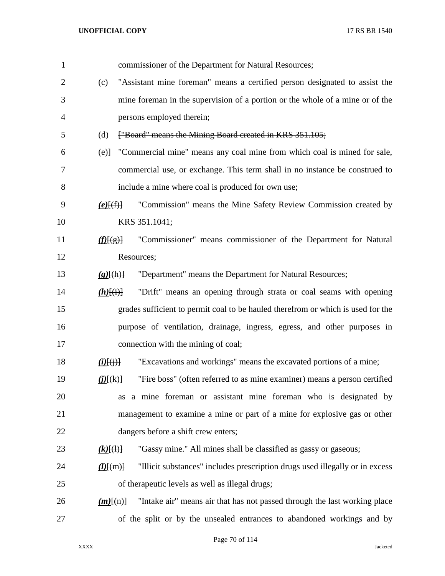| $\mathbf{1}$   |                                               | commissioner of the Department for Natural Resources;                            |
|----------------|-----------------------------------------------|----------------------------------------------------------------------------------|
| $\overline{2}$ | (c)                                           | "Assistant mine foreman" means a certified person designated to assist the       |
| 3              |                                               | mine foreman in the supervision of a portion or the whole of a mine or of the    |
| 4              |                                               | persons employed therein;                                                        |
| 5              | (d)                                           | ["Board" means the Mining Board created in KRS 351.105;                          |
| 6              | (e)                                           | "Commercial mine" means any coal mine from which coal is mined for sale,         |
| 7              |                                               | commercial use, or exchange. This term shall in no instance be construed to      |
| 8              |                                               | include a mine where coal is produced for own use;                               |
| 9              | $(e)$ $(f)$                                   | "Commission" means the Mine Safety Review Commission created by                  |
| 10             |                                               | KRS 351.1041;                                                                    |
| 11             | f(E(g))                                       | "Commissioner" means commissioner of the Department for Natural                  |
| 12             |                                               | Resources;                                                                       |
| 13             | $(g)$ [(h)]                                   | "Department" means the Department for Natural Resources;                         |
| 14             | $(h)$ $(i)$                                   | "Drift" means an opening through strata or coal seams with opening               |
| 15             |                                               | grades sufficient to permit coal to be hauled therefrom or which is used for the |
| 16             |                                               | purpose of ventilation, drainage, ingress, egress, and other purposes in         |
| 17             |                                               | connection with the mining of coal;                                              |
| 18             | $(i)$ $(i)$ $(i)$ $(i)$                       | "Excavations and workings" means the excavated portions of a mine;               |
| 19             | $(i)$ $(k)$                                   | "Fire boss" (often referred to as mine examiner) means a person certified        |
| 20             |                                               | as a mine foreman or assistant mine foreman who is designated by                 |
| 21             |                                               | management to examine a mine or part of a mine for explosive gas or other        |
| 22             |                                               | dangers before a shift crew enters;                                              |
| 23             | $(k)$ $(\theta)$                              | "Gassy mine." All mines shall be classified as gassy or gaseous;                 |
| 24             | $\underline{(\mathbf{l})}$ $\{(\mathbf{m})\}$ | "Illicit substances" includes prescription drugs used illegally or in excess     |
| 25             |                                               | of therapeutic levels as well as illegal drugs;                                  |
| 26             | $(m)$ $\{(m)$                                 | "Intake air" means air that has not passed through the last working place        |
| 27             |                                               | of the split or by the unsealed entrances to abandoned workings and by           |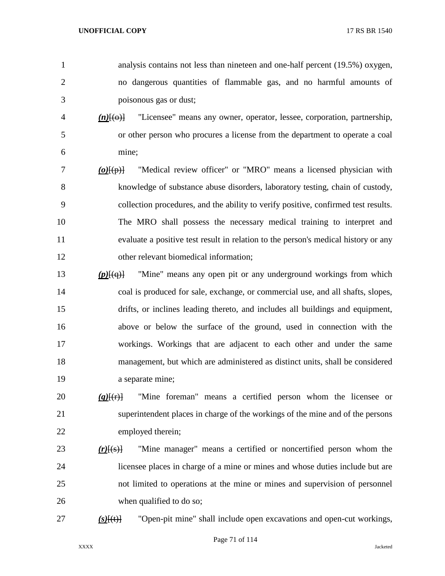analysis contains not less than nineteen and one-half percent (19.5%) oxygen, no dangerous quantities of flammable gas, and no harmful amounts of poisonous gas or dust;

- *(n)*[(o)] "Licensee" means any owner, operator, lessee, corporation, partnership, or other person who procures a license from the department to operate a coal mine;
- *(o)*[(p)] "Medical review officer" or "MRO" means a licensed physician with knowledge of substance abuse disorders, laboratory testing, chain of custody, collection procedures, and the ability to verify positive, confirmed test results. The MRO shall possess the necessary medical training to interpret and evaluate a positive test result in relation to the person's medical history or any other relevant biomedical information;
- *(p)*[(q)] "Mine" means any open pit or any underground workings from which coal is produced for sale, exchange, or commercial use, and all shafts, slopes, drifts, or inclines leading thereto, and includes all buildings and equipment, above or below the surface of the ground, used in connection with the workings. Workings that are adjacent to each other and under the same management, but which are administered as distinct units, shall be considered a separate mine;
- *(q)*[(r)] "Mine foreman" means a certified person whom the licensee or superintendent places in charge of the workings of the mine and of the persons employed therein;
- *(r)*[(s)] "Mine manager" means a certified or noncertified person whom the licensee places in charge of a mine or mines and whose duties include but are not limited to operations at the mine or mines and supervision of personnel when qualified to do so;
- 

*(s)*[(t)] "Open-pit mine" shall include open excavations and open-cut workings,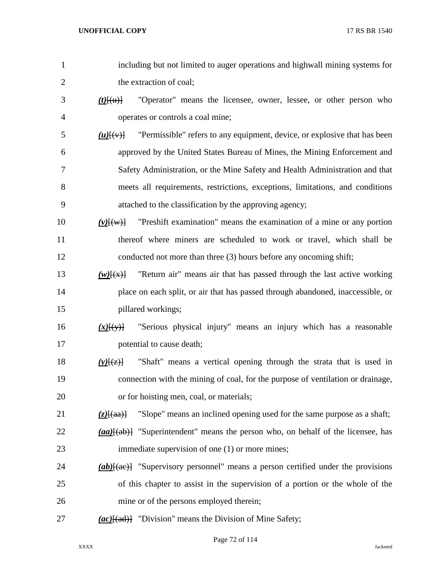| $\mathbf{1}$   | including but not limited to auger operations and highwall mining systems for                |
|----------------|----------------------------------------------------------------------------------------------|
| $\overline{c}$ | the extraction of coal;                                                                      |
| 3              | "Operator" means the licensee, owner, lessee, or other person who<br>$(t)$ [(u)]             |
| 4              | operates or controls a coal mine;                                                            |
| 5              | "Permissible" refers to any equipment, device, or explosive that has been<br>$(u)$ [ $(v)$ ] |
| 6              | approved by the United States Bureau of Mines, the Mining Enforcement and                    |
| 7              | Safety Administration, or the Mine Safety and Health Administration and that                 |
| 8              | meets all requirements, restrictions, exceptions, limitations, and conditions                |
| 9              | attached to the classification by the approving agency;                                      |
| 10             | "Preshift examination" means the examination of a mine or any portion<br>$(v)$ $\{w\}$       |
| 11             | thereof where miners are scheduled to work or travel, which shall be                         |
| 12             | conducted not more than three (3) hours before any oncoming shift;                           |
| 13             | "Return air" means air that has passed through the last active working<br>$(w)$ $(x)$ }      |
| 14             | place on each split, or air that has passed through abandoned, inaccessible, or              |
| 15             | pillared workings;                                                                           |
| 16             | "Serious physical injury" means an injury which has a reasonable<br>$(x)$ [(y)]              |
| 17             | potential to cause death;                                                                    |
| 18             | "Shaft" means a vertical opening through the strata that is used in<br>$(y)$ [(z)]           |
| 19             | connection with the mining of coal, for the purpose of ventilation or drainage,              |
| 20             | or for hoisting men, coal, or materials;                                                     |
| 21             | "Slope" means an inclined opening used for the same purpose as a shaft;<br>$(z)$ [(aa)]      |
| 22             | (aa)[(ab)] "Superintendent" means the person who, on behalf of the licensee, has             |
| 23             | immediate supervision of one (1) or more mines;                                              |
| 24             | $(ab)$ [(ae)] "Supervisory personnel" means a person certified under the provisions          |
| 25             | of this chapter to assist in the supervision of a portion or the whole of the                |
| 26             | mine or of the persons employed therein;                                                     |
| 27             | $(ac)$ [(ad)] "Division" means the Division of Mine Safety;                                  |

Page 72 of 114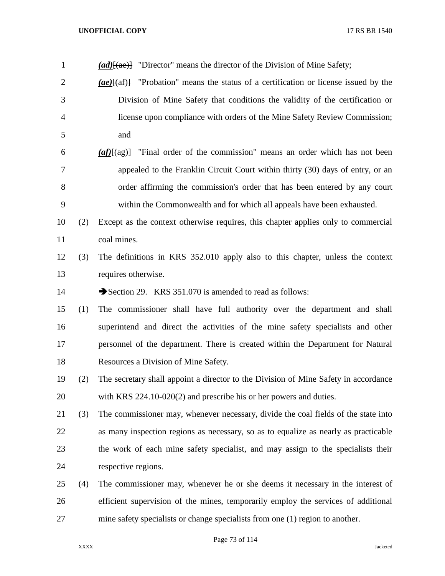*(ad)*[(ae)] "Director" means the director of the Division of Mine Safety; *(ae)*[(af)] "Probation" means the status of a certification or license issued by the Division of Mine Safety that conditions the validity of the certification or license upon compliance with orders of the Mine Safety Review Commission; and *(af)*[(ag)] "Final order of the commission" means an order which has not been appealed to the Franklin Circuit Court within thirty (30) days of entry, or an order affirming the commission's order that has been entered by any court within the Commonwealth and for which all appeals have been exhausted. (2) Except as the context otherwise requires, this chapter applies only to commercial coal mines. (3) The definitions in KRS 352.010 apply also to this chapter, unless the context requires otherwise. 14 Section 29. KRS 351.070 is amended to read as follows: (1) The commissioner shall have full authority over the department and shall superintend and direct the activities of the mine safety specialists and other personnel of the department. There is created within the Department for Natural Resources a Division of Mine Safety. (2) The secretary shall appoint a director to the Division of Mine Safety in accordance with KRS 224.10-020(2) and prescribe his or her powers and duties. (3) The commissioner may, whenever necessary, divide the coal fields of the state into as many inspection regions as necessary, so as to equalize as nearly as practicable the work of each mine safety specialist, and may assign to the specialists their respective regions. (4) The commissioner may, whenever he or she deems it necessary in the interest of

 efficient supervision of the mines, temporarily employ the services of additional mine safety specialists or change specialists from one (1) region to another.

Page 73 of 114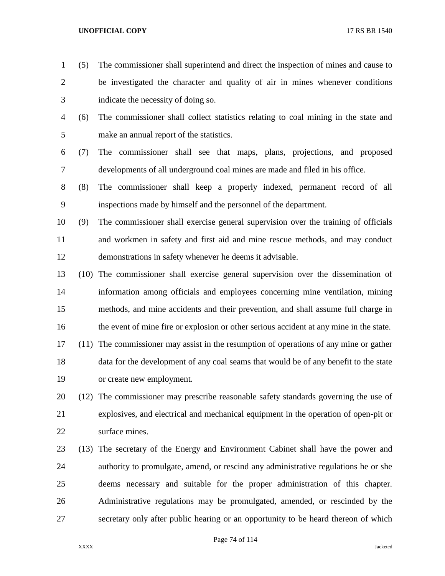- (5) The commissioner shall superintend and direct the inspection of mines and cause to be investigated the character and quality of air in mines whenever conditions indicate the necessity of doing so.
- (6) The commissioner shall collect statistics relating to coal mining in the state and make an annual report of the statistics.
- (7) The commissioner shall see that maps, plans, projections, and proposed developments of all underground coal mines are made and filed in his office.
- (8) The commissioner shall keep a properly indexed, permanent record of all inspections made by himself and the personnel of the department.
- (9) The commissioner shall exercise general supervision over the training of officials and workmen in safety and first aid and mine rescue methods, and may conduct demonstrations in safety whenever he deems it advisable.
- (10) The commissioner shall exercise general supervision over the dissemination of information among officials and employees concerning mine ventilation, mining methods, and mine accidents and their prevention, and shall assume full charge in 16 the event of mine fire or explosion or other serious accident at any mine in the state.
- (11) The commissioner may assist in the resumption of operations of any mine or gather data for the development of any coal seams that would be of any benefit to the state or create new employment.
- (12) The commissioner may prescribe reasonable safety standards governing the use of explosives, and electrical and mechanical equipment in the operation of open-pit or surface mines.
- (13) The secretary of the Energy and Environment Cabinet shall have the power and authority to promulgate, amend, or rescind any administrative regulations he or she deems necessary and suitable for the proper administration of this chapter. Administrative regulations may be promulgated, amended, or rescinded by the secretary only after public hearing or an opportunity to be heard thereon of which

# Page 74 of 114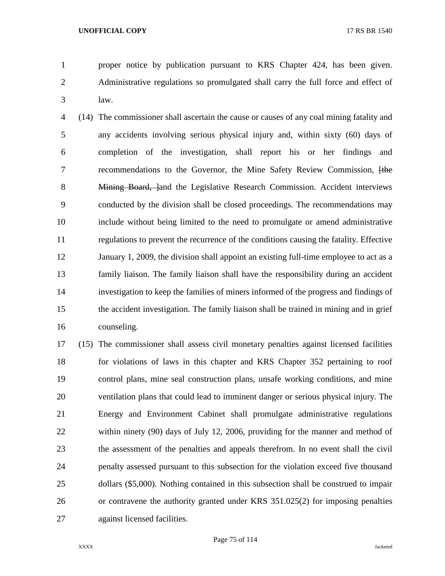proper notice by publication pursuant to KRS Chapter 424, has been given. Administrative regulations so promulgated shall carry the full force and effect of law.

 (14) The commissioner shall ascertain the cause or causes of any coal mining fatality and any accidents involving serious physical injury and, within sixty (60) days of completion of the investigation, shall report his or her findings and 7 recommendations to the Governor, the Mine Safety Review Commission, the 8 Mining Board, land the Legislative Research Commission. Accident interviews conducted by the division shall be closed proceedings. The recommendations may include without being limited to the need to promulgate or amend administrative regulations to prevent the recurrence of the conditions causing the fatality. Effective January 1, 2009, the division shall appoint an existing full-time employee to act as a family liaison. The family liaison shall have the responsibility during an accident investigation to keep the families of miners informed of the progress and findings of the accident investigation. The family liaison shall be trained in mining and in grief counseling.

 (15) The commissioner shall assess civil monetary penalties against licensed facilities for violations of laws in this chapter and KRS Chapter 352 pertaining to roof control plans, mine seal construction plans, unsafe working conditions, and mine ventilation plans that could lead to imminent danger or serious physical injury. The Energy and Environment Cabinet shall promulgate administrative regulations within ninety (90) days of July 12, 2006, providing for the manner and method of the assessment of the penalties and appeals therefrom. In no event shall the civil penalty assessed pursuant to this subsection for the violation exceed five thousand dollars (\$5,000). Nothing contained in this subsection shall be construed to impair or contravene the authority granted under KRS 351.025(2) for imposing penalties against licensed facilities.

Page 75 of 114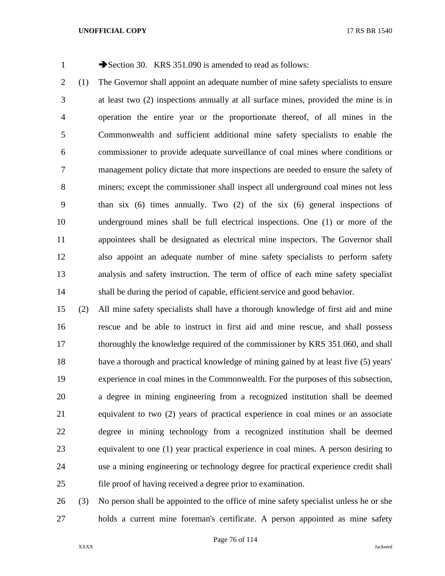1 Section 30. KRS 351.090 is amended to read as follows:

 (1) The Governor shall appoint an adequate number of mine safety specialists to ensure at least two (2) inspections annually at all surface mines, provided the mine is in operation the entire year or the proportionate thereof, of all mines in the Commonwealth and sufficient additional mine safety specialists to enable the commissioner to provide adequate surveillance of coal mines where conditions or management policy dictate that more inspections are needed to ensure the safety of miners; except the commissioner shall inspect all underground coal mines not less than six (6) times annually. Two (2) of the six (6) general inspections of underground mines shall be full electrical inspections. One (1) or more of the appointees shall be designated as electrical mine inspectors. The Governor shall also appoint an adequate number of mine safety specialists to perform safety analysis and safety instruction. The term of office of each mine safety specialist shall be during the period of capable, efficient service and good behavior.

 (2) All mine safety specialists shall have a thorough knowledge of first aid and mine rescue and be able to instruct in first aid and mine rescue, and shall possess thoroughly the knowledge required of the commissioner by KRS 351.060, and shall have a thorough and practical knowledge of mining gained by at least five (5) years' experience in coal mines in the Commonwealth. For the purposes of this subsection, a degree in mining engineering from a recognized institution shall be deemed equivalent to two (2) years of practical experience in coal mines or an associate degree in mining technology from a recognized institution shall be deemed equivalent to one (1) year practical experience in coal mines. A person desiring to use a mining engineering or technology degree for practical experience credit shall file proof of having received a degree prior to examination.

 (3) No person shall be appointed to the office of mine safety specialist unless he or she holds a current mine foreman's certificate. A person appointed as mine safety

Page 76 of 114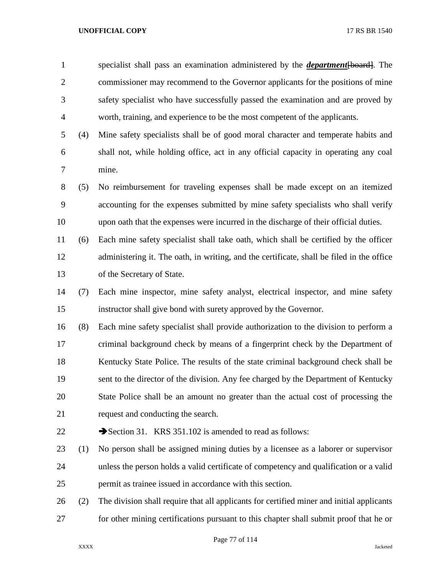specialist shall pass an examination administered by the *department*[board]. The commissioner may recommend to the Governor applicants for the positions of mine safety specialist who have successfully passed the examination and are proved by worth, training, and experience to be the most competent of the applicants.

- (4) Mine safety specialists shall be of good moral character and temperate habits and shall not, while holding office, act in any official capacity in operating any coal mine.
- (5) No reimbursement for traveling expenses shall be made except on an itemized accounting for the expenses submitted by mine safety specialists who shall verify upon oath that the expenses were incurred in the discharge of their official duties.
- (6) Each mine safety specialist shall take oath, which shall be certified by the officer administering it. The oath, in writing, and the certificate, shall be filed in the office of the Secretary of State.
- (7) Each mine inspector, mine safety analyst, electrical inspector, and mine safety instructor shall give bond with surety approved by the Governor.
- (8) Each mine safety specialist shall provide authorization to the division to perform a criminal background check by means of a fingerprint check by the Department of Kentucky State Police. The results of the state criminal background check shall be sent to the director of the division. Any fee charged by the Department of Kentucky State Police shall be an amount no greater than the actual cost of processing the request and conducting the search.
- 

22 Section 31. KRS 351.102 is amended to read as follows:

- (1) No person shall be assigned mining duties by a licensee as a laborer or supervisor unless the person holds a valid certificate of competency and qualification or a valid permit as trainee issued in accordance with this section.
- (2) The division shall require that all applicants for certified miner and initial applicants for other mining certifications pursuant to this chapter shall submit proof that he or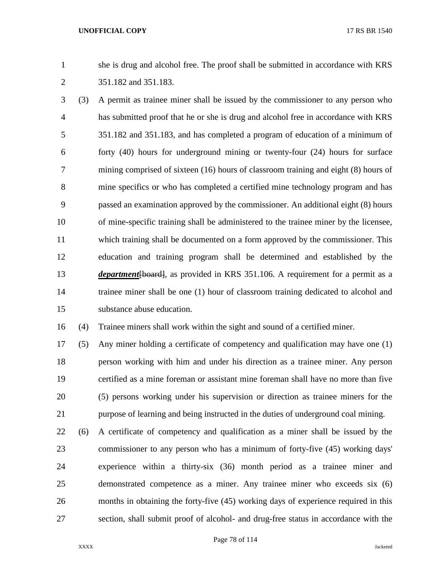she is drug and alcohol free. The proof shall be submitted in accordance with KRS 351.182 and 351.183.

 (3) A permit as trainee miner shall be issued by the commissioner to any person who has submitted proof that he or she is drug and alcohol free in accordance with KRS 351.182 and 351.183, and has completed a program of education of a minimum of forty (40) hours for underground mining or twenty-four (24) hours for surface mining comprised of sixteen (16) hours of classroom training and eight (8) hours of mine specifics or who has completed a certified mine technology program and has passed an examination approved by the commissioner. An additional eight (8) hours of mine-specific training shall be administered to the trainee miner by the licensee, which training shall be documented on a form approved by the commissioner. This education and training program shall be determined and established by the *department*[board], as provided in KRS 351.106. A requirement for a permit as a trainee miner shall be one (1) hour of classroom training dedicated to alcohol and substance abuse education.

(4) Trainee miners shall work within the sight and sound of a certified miner.

 (5) Any miner holding a certificate of competency and qualification may have one (1) person working with him and under his direction as a trainee miner. Any person certified as a mine foreman or assistant mine foreman shall have no more than five (5) persons working under his supervision or direction as trainee miners for the purpose of learning and being instructed in the duties of underground coal mining.

 (6) A certificate of competency and qualification as a miner shall be issued by the commissioner to any person who has a minimum of forty-five (45) working days' experience within a thirty-six (36) month period as a trainee miner and demonstrated competence as a miner. Any trainee miner who exceeds six (6) months in obtaining the forty-five (45) working days of experience required in this section, shall submit proof of alcohol- and drug-free status in accordance with the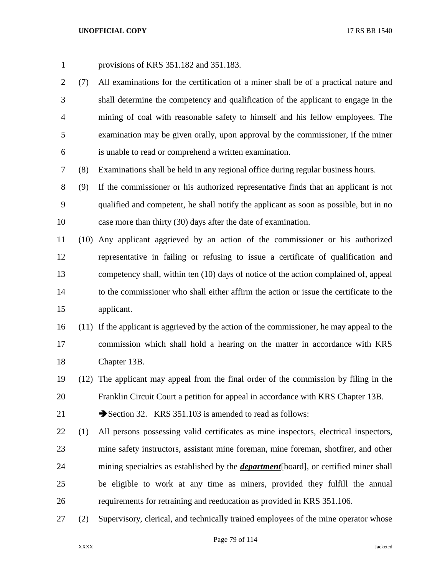- provisions of KRS 351.182 and 351.183.
- (7) All examinations for the certification of a miner shall be of a practical nature and shall determine the competency and qualification of the applicant to engage in the mining of coal with reasonable safety to himself and his fellow employees. The examination may be given orally, upon approval by the commissioner, if the miner is unable to read or comprehend a written examination.

(8) Examinations shall be held in any regional office during regular business hours.

 (9) If the commissioner or his authorized representative finds that an applicant is not qualified and competent, he shall notify the applicant as soon as possible, but in no case more than thirty (30) days after the date of examination.

 (10) Any applicant aggrieved by an action of the commissioner or his authorized representative in failing or refusing to issue a certificate of qualification and competency shall, within ten (10) days of notice of the action complained of, appeal to the commissioner who shall either affirm the action or issue the certificate to the applicant.

 (11) If the applicant is aggrieved by the action of the commissioner, he may appeal to the commission which shall hold a hearing on the matter in accordance with KRS Chapter 13B.

 (12) The applicant may appeal from the final order of the commission by filing in the Franklin Circuit Court a petition for appeal in accordance with KRS Chapter 13B.

21 Section 32. KRS 351.103 is amended to read as follows:

- (1) All persons possessing valid certificates as mine inspectors, electrical inspectors, mine safety instructors, assistant mine foreman, mine foreman, shotfirer, and other mining specialties as established by the *department*[board], or certified miner shall be eligible to work at any time as miners, provided they fulfill the annual requirements for retraining and reeducation as provided in KRS 351.106.
- (2) Supervisory, clerical, and technically trained employees of the mine operator whose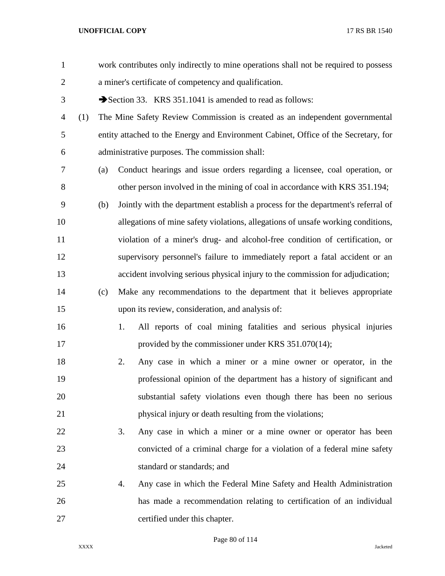| $\mathbf{1}$   |     |     |    | work contributes only indirectly to mine operations shall not be required to possess |
|----------------|-----|-----|----|--------------------------------------------------------------------------------------|
| $\overline{2}$ |     |     |    | a miner's certificate of competency and qualification.                               |
| 3              |     |     |    | Section 33. KRS 351.1041 is amended to read as follows:                              |
| 4              | (1) |     |    | The Mine Safety Review Commission is created as an independent governmental          |
| 5              |     |     |    | entity attached to the Energy and Environment Cabinet, Office of the Secretary, for  |
| 6              |     |     |    | administrative purposes. The commission shall:                                       |
| 7              |     | (a) |    | Conduct hearings and issue orders regarding a licensee, coal operation, or           |
| 8              |     |     |    | other person involved in the mining of coal in accordance with KRS 351.194;          |
| 9              |     | (b) |    | Jointly with the department establish a process for the department's referral of     |
| 10             |     |     |    | allegations of mine safety violations, allegations of unsafe working conditions,     |
| 11             |     |     |    | violation of a miner's drug- and alcohol-free condition of certification, or         |
| 12             |     |     |    | supervisory personnel's failure to immediately report a fatal accident or an         |
| 13             |     |     |    | accident involving serious physical injury to the commission for adjudication;       |
| 14             |     | (c) |    | Make any recommendations to the department that it believes appropriate              |
| 15             |     |     |    | upon its review, consideration, and analysis of:                                     |
| 16             |     |     | 1. | All reports of coal mining fatalities and serious physical injuries                  |
| 17             |     |     |    | provided by the commissioner under KRS 351.070(14);                                  |
| 18             |     |     | 2. | Any case in which a miner or a mine owner or operator, in the                        |
| 19             |     |     |    | professional opinion of the department has a history of significant and              |
| 20             |     |     |    | substantial safety violations even though there has been no serious                  |
| 21             |     |     |    | physical injury or death resulting from the violations;                              |
| 22             |     |     | 3. | Any case in which a miner or a mine owner or operator has been                       |
| 23             |     |     |    | convicted of a criminal charge for a violation of a federal mine safety              |
| 24             |     |     |    | standard or standards; and                                                           |
| 25             |     |     | 4. | Any case in which the Federal Mine Safety and Health Administration                  |
| 26             |     |     |    | has made a recommendation relating to certification of an individual                 |
| 27             |     |     |    | certified under this chapter.                                                        |

Page 80 of 114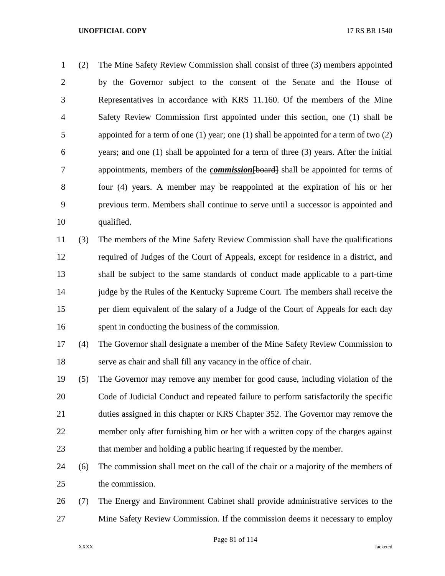(2) The Mine Safety Review Commission shall consist of three (3) members appointed by the Governor subject to the consent of the Senate and the House of Representatives in accordance with KRS 11.160. Of the members of the Mine Safety Review Commission first appointed under this section, one (1) shall be 5 appointed for a term of one (1) year; one (1) shall be appointed for a term of two (2) years; and one (1) shall be appointed for a term of three (3) years. After the initial appointments, members of the *commission*[board] shall be appointed for terms of four (4) years. A member may be reappointed at the expiration of his or her previous term. Members shall continue to serve until a successor is appointed and qualified.

 (3) The members of the Mine Safety Review Commission shall have the qualifications required of Judges of the Court of Appeals, except for residence in a district, and shall be subject to the same standards of conduct made applicable to a part-time judge by the Rules of the Kentucky Supreme Court. The members shall receive the per diem equivalent of the salary of a Judge of the Court of Appeals for each day spent in conducting the business of the commission.

 (4) The Governor shall designate a member of the Mine Safety Review Commission to serve as chair and shall fill any vacancy in the office of chair.

- (5) The Governor may remove any member for good cause, including violation of the Code of Judicial Conduct and repeated failure to perform satisfactorily the specific duties assigned in this chapter or KRS Chapter 352. The Governor may remove the member only after furnishing him or her with a written copy of the charges against that member and holding a public hearing if requested by the member.
- (6) The commission shall meet on the call of the chair or a majority of the members of the commission.
- (7) The Energy and Environment Cabinet shall provide administrative services to the Mine Safety Review Commission. If the commission deems it necessary to employ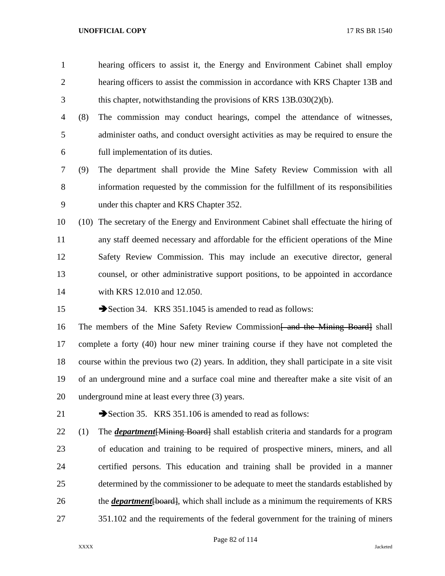hearing officers to assist it, the Energy and Environment Cabinet shall employ hearing officers to assist the commission in accordance with KRS Chapter 13B and this chapter, notwithstanding the provisions of KRS 13B.030(2)(b). (8) The commission may conduct hearings, compel the attendance of witnesses, administer oaths, and conduct oversight activities as may be required to ensure the full implementation of its duties. (9) The department shall provide the Mine Safety Review Commission with all information requested by the commission for the fulfillment of its responsibilities under this chapter and KRS Chapter 352. (10) The secretary of the Energy and Environment Cabinet shall effectuate the hiring of any staff deemed necessary and affordable for the efficient operations of the Mine Safety Review Commission. This may include an executive director, general counsel, or other administrative support positions, to be appointed in accordance with KRS 12.010 and 12.050. 15 Section 34. KRS 351.1045 is amended to read as follows:

16 The members of the Mine Safety Review Commission and the Mining Board shall complete a forty (40) hour new miner training course if they have not completed the course within the previous two (2) years. In addition, they shall participate in a site visit of an underground mine and a surface coal mine and thereafter make a site visit of an underground mine at least every three (3) years.

21 Section 35. KRS 351.106 is amended to read as follows:

 (1) The *department*[Mining Board] shall establish criteria and standards for a program of education and training to be required of prospective miners, miners, and all certified persons. This education and training shall be provided in a manner determined by the commissioner to be adequate to meet the standards established by 26 the *department* [board], which shall include as a minimum the requirements of KRS 351.102 and the requirements of the federal government for the training of miners

Page 82 of 114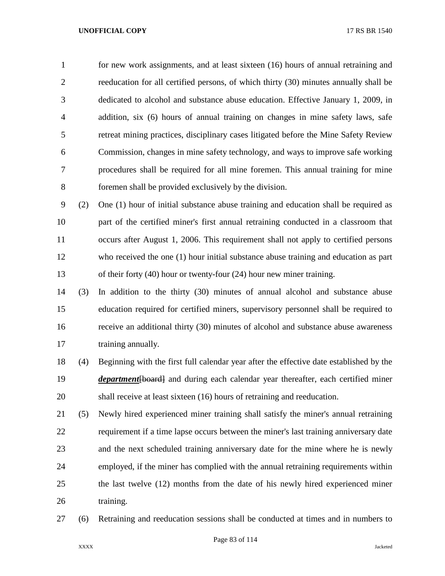1 for new work assignments, and at least sixteen (16) hours of annual retraining and reeducation for all certified persons, of which thirty (30) minutes annually shall be dedicated to alcohol and substance abuse education. Effective January 1, 2009, in addition, six (6) hours of annual training on changes in mine safety laws, safe retreat mining practices, disciplinary cases litigated before the Mine Safety Review Commission, changes in mine safety technology, and ways to improve safe working procedures shall be required for all mine foremen. This annual training for mine foremen shall be provided exclusively by the division.

 (2) One (1) hour of initial substance abuse training and education shall be required as part of the certified miner's first annual retraining conducted in a classroom that occurs after August 1, 2006. This requirement shall not apply to certified persons who received the one (1) hour initial substance abuse training and education as part of their forty (40) hour or twenty-four (24) hour new miner training.

 (3) In addition to the thirty (30) minutes of annual alcohol and substance abuse education required for certified miners, supervisory personnel shall be required to receive an additional thirty (30) minutes of alcohol and substance abuse awareness 17 training annually.

 (4) Beginning with the first full calendar year after the effective date established by the *department* {board} and during each calendar year thereafter, each certified miner shall receive at least sixteen (16) hours of retraining and reeducation.

 (5) Newly hired experienced miner training shall satisfy the miner's annual retraining requirement if a time lapse occurs between the miner's last training anniversary date and the next scheduled training anniversary date for the mine where he is newly employed, if the miner has complied with the annual retraining requirements within the last twelve (12) months from the date of his newly hired experienced miner 26 training.

(6) Retraining and reeducation sessions shall be conducted at times and in numbers to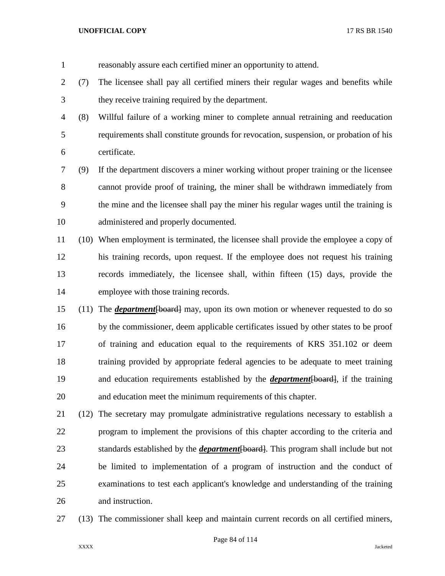- reasonably assure each certified miner an opportunity to attend. (7) The licensee shall pay all certified miners their regular wages and benefits while they receive training required by the department. (8) Willful failure of a working miner to complete annual retraining and reeducation requirements shall constitute grounds for revocation, suspension, or probation of his certificate. (9) If the department discovers a miner working without proper training or the licensee cannot provide proof of training, the miner shall be withdrawn immediately from the mine and the licensee shall pay the miner his regular wages until the training is administered and properly documented. (10) When employment is terminated, the licensee shall provide the employee a copy of his training records, upon request. If the employee does not request his training records immediately, the licensee shall, within fifteen (15) days, provide the employee with those training records. (11) The *department*[board] may, upon its own motion or whenever requested to do so by the commissioner, deem applicable certificates issued by other states to be proof of training and education equal to the requirements of KRS 351.102 or deem training provided by appropriate federal agencies to be adequate to meet training and education requirements established by the *department*[board], if the training
- and education meet the minimum requirements of this chapter.
- (12) The secretary may promulgate administrative regulations necessary to establish a program to implement the provisions of this chapter according to the criteria and standards established by the *department*[board]. This program shall include but not be limited to implementation of a program of instruction and the conduct of examinations to test each applicant's knowledge and understanding of the training and instruction.
- (13) The commissioner shall keep and maintain current records on all certified miners,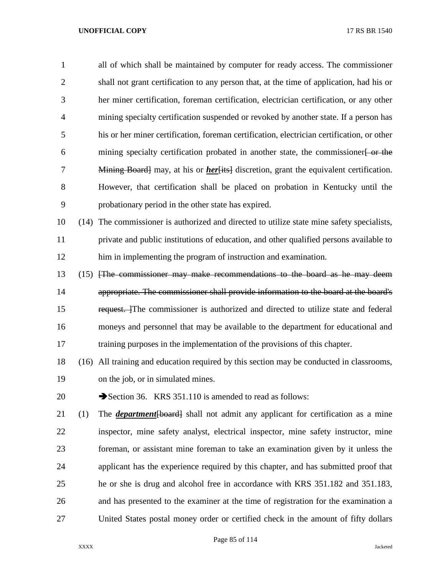| $\mathbf{1}$   |      | all of which shall be maintained by computer for ready access. The commissioner                |
|----------------|------|------------------------------------------------------------------------------------------------|
| $\overline{2}$ |      | shall not grant certification to any person that, at the time of application, had his or       |
| 3              |      | her miner certification, foreman certification, electrician certification, or any other        |
| $\overline{4}$ |      | mining specialty certification suspended or revoked by another state. If a person has          |
| 5              |      | his or her miner certification, foreman certification, electrician certification, or other     |
| 6              |      | mining specialty certification probated in another state, the commissioner <del>[ or the</del> |
| 7              |      | Mining Board] may, at his or <i>her</i> [its] discretion, grant the equivalent certification.  |
| 8              |      | However, that certification shall be placed on probation in Kentucky until the                 |
| 9              |      | probationary period in the other state has expired.                                            |
| 10             | (14) | The commissioner is authorized and directed to utilize state mine safety specialists,          |
| 11             |      | private and public institutions of education, and other qualified persons available to         |
| 12             |      | him in implementing the program of instruction and examination.                                |
| 13             |      | (15) The commissioner may make recommendations to the board as he may deem                     |
| 14             |      | appropriate. The commissioner shall provide information to the board at the board's            |
| 15             |      | request. The commissioner is authorized and directed to utilize state and federal              |
| 16             |      | moneys and personnel that may be available to the department for educational and               |
| 17             |      | training purposes in the implementation of the provisions of this chapter.                     |
| 18             |      | (16) All training and education required by this section may be conducted in classrooms,       |
| 19             |      | on the job, or in simulated mines.                                                             |
| 20             |      | Section 36. KRS 351.110 is amended to read as follows:                                         |
| 21             | (1)  | The <i>department</i> [board] shall not admit any applicant for certification as a mine        |
| 22             |      | inspector, mine safety analyst, electrical inspector, mine safety instructor, mine             |
| 23             |      | foreman, or assistant mine foreman to take an examination given by it unless the               |
| 24             |      | applicant has the experience required by this chapter, and has submitted proof that            |
| 25             |      | he or she is drug and alcohol free in accordance with KRS 351.182 and 351.183,                 |
| 26             |      | and has presented to the examiner at the time of registration for the examination a            |
| 27             |      | United States postal money order or certified check in the amount of fifty dollars             |

# Page 85 of 114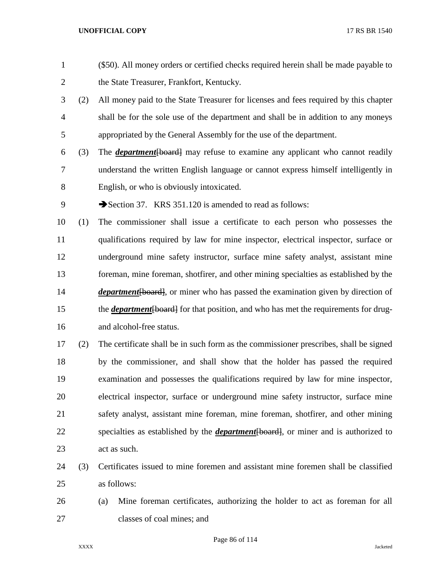(\$50). All money orders or certified checks required herein shall be made payable to 2 the State Treasurer, Frankfort, Kentucky. (2) All money paid to the State Treasurer for licenses and fees required by this chapter shall be for the sole use of the department and shall be in addition to any moneys appropriated by the General Assembly for the use of the department. (3) The *department*[board] may refuse to examine any applicant who cannot readily understand the written English language or cannot express himself intelligently in English, or who is obviously intoxicated. 9 Section 37. KRS 351.120 is amended to read as follows: (1) The commissioner shall issue a certificate to each person who possesses the qualifications required by law for mine inspector, electrical inspector, surface or underground mine safety instructor, surface mine safety analyst, assistant mine foreman, mine foreman, shotfirer, and other mining specialties as established by the *department* [board], or miner who has passed the examination given by direction of 15 the *department* [board] for that position, and who has met the requirements for drug-and alcohol-free status.

 (2) The certificate shall be in such form as the commissioner prescribes, shall be signed by the commissioner, and shall show that the holder has passed the required examination and possesses the qualifications required by law for mine inspector, electrical inspector, surface or underground mine safety instructor, surface mine safety analyst, assistant mine foreman, mine foreman, shotfirer, and other mining specialties as established by the *department*[board], or miner and is authorized to act as such.

 (3) Certificates issued to mine foremen and assistant mine foremen shall be classified as follows:

 (a) Mine foreman certificates, authorizing the holder to act as foreman for all classes of coal mines; and

Page 86 of 114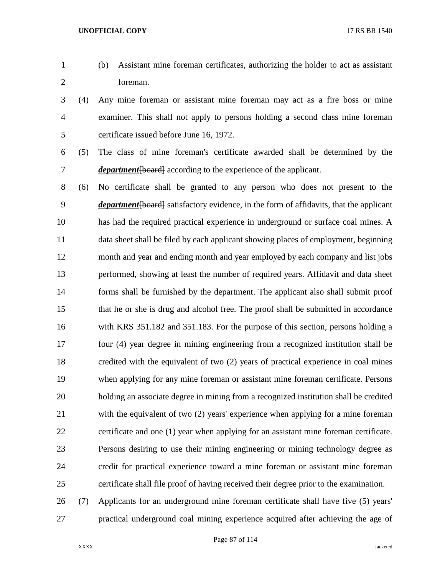- 
- (b) Assistant mine foreman certificates, authorizing the holder to act as assistant foreman.
- (4) Any mine foreman or assistant mine foreman may act as a fire boss or mine examiner. This shall not apply to persons holding a second class mine foreman certificate issued before June 16, 1972.
- 

 (5) The class of mine foreman's certificate awarded shall be determined by the 7 *department* [board] according to the experience of the applicant.

- (6) No certificate shall be granted to any person who does not present to the *department*[board] satisfactory evidence, in the form of affidavits, that the applicant has had the required practical experience in underground or surface coal mines. A data sheet shall be filed by each applicant showing places of employment, beginning month and year and ending month and year employed by each company and list jobs performed, showing at least the number of required years. Affidavit and data sheet forms shall be furnished by the department. The applicant also shall submit proof that he or she is drug and alcohol free. The proof shall be submitted in accordance with KRS 351.182 and 351.183. For the purpose of this section, persons holding a four (4) year degree in mining engineering from a recognized institution shall be credited with the equivalent of two (2) years of practical experience in coal mines when applying for any mine foreman or assistant mine foreman certificate. Persons holding an associate degree in mining from a recognized institution shall be credited with the equivalent of two (2) years' experience when applying for a mine foreman certificate and one (1) year when applying for an assistant mine foreman certificate. Persons desiring to use their mining engineering or mining technology degree as credit for practical experience toward a mine foreman or assistant mine foreman certificate shall file proof of having received their degree prior to the examination.
- (7) Applicants for an underground mine foreman certificate shall have five (5) years' practical underground coal mining experience acquired after achieving the age of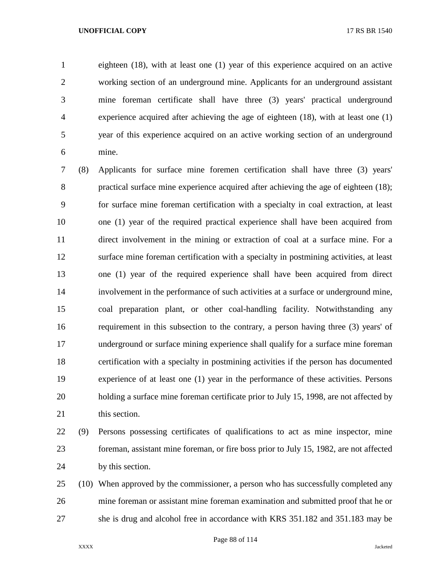eighteen (18), with at least one (1) year of this experience acquired on an active working section of an underground mine. Applicants for an underground assistant mine foreman certificate shall have three (3) years' practical underground experience acquired after achieving the age of eighteen (18), with at least one (1) year of this experience acquired on an active working section of an underground mine.

 (8) Applicants for surface mine foremen certification shall have three (3) years' practical surface mine experience acquired after achieving the age of eighteen (18); for surface mine foreman certification with a specialty in coal extraction, at least one (1) year of the required practical experience shall have been acquired from direct involvement in the mining or extraction of coal at a surface mine. For a surface mine foreman certification with a specialty in postmining activities, at least one (1) year of the required experience shall have been acquired from direct involvement in the performance of such activities at a surface or underground mine, coal preparation plant, or other coal-handling facility. Notwithstanding any requirement in this subsection to the contrary, a person having three (3) years' of underground or surface mining experience shall qualify for a surface mine foreman certification with a specialty in postmining activities if the person has documented experience of at least one (1) year in the performance of these activities. Persons holding a surface mine foreman certificate prior to July 15, 1998, are not affected by 21 this section.

 (9) Persons possessing certificates of qualifications to act as mine inspector, mine foreman, assistant mine foreman, or fire boss prior to July 15, 1982, are not affected by this section.

 (10) When approved by the commissioner, a person who has successfully completed any mine foreman or assistant mine foreman examination and submitted proof that he or she is drug and alcohol free in accordance with KRS 351.182 and 351.183 may be

Page 88 of 114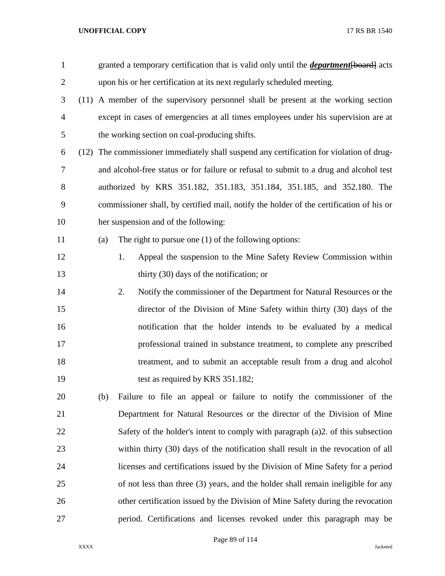| $\mathbf{1}$   |     | granted a temporary certification that is valid only until the <i>department</i> [board] acts |
|----------------|-----|-----------------------------------------------------------------------------------------------|
| $\overline{2}$ |     | upon his or her certification at its next regularly scheduled meeting.                        |
| 3              |     | (11) A member of the supervisory personnel shall be present at the working section            |
| $\overline{4}$ |     | except in cases of emergencies at all times employees under his supervision are at            |
| 5              |     | the working section on coal-producing shifts.                                                 |
| 6              |     | (12) The commissioner immediately shall suspend any certification for violation of drug-      |
| 7              |     | and alcohol-free status or for failure or refusal to submit to a drug and alcohol test        |
| 8              |     | authorized by KRS 351.182, 351.183, 351.184, 351.185, and 352.180. The                        |
| 9              |     | commissioner shall, by certified mail, notify the holder of the certification of his or       |
| 10             |     | her suspension and of the following:                                                          |
| 11             | (a) | The right to pursue one $(1)$ of the following options:                                       |
| 12             |     | Appeal the suspension to the Mine Safety Review Commission within<br>1.                       |
| 13             |     | thirty $(30)$ days of the notification; or                                                    |
| 14             |     | Notify the commissioner of the Department for Natural Resources or the<br>2.                  |
| 15             |     | director of the Division of Mine Safety within thirty (30) days of the                        |
| 16             |     | notification that the holder intends to be evaluated by a medical                             |
| 17             |     | professional trained in substance treatment, to complete any prescribed                       |
| 18             |     | treatment, and to submit an acceptable result from a drug and alcohol                         |
| 19             |     | test as required by KRS 351.182;                                                              |
| 20             | (b) | Failure to file an appeal or failure to notify the commissioner of the                        |
| 21             |     | Department for Natural Resources or the director of the Division of Mine                      |
| 22             |     | Safety of the holder's intent to comply with paragraph (a) 2. of this subsection              |
| 23             |     | within thirty (30) days of the notification shall result in the revocation of all             |
| 24             |     | licenses and certifications issued by the Division of Mine Safety for a period                |
| 25             |     | of not less than three (3) years, and the holder shall remain ineligible for any              |
| 26             |     | other certification issued by the Division of Mine Safety during the revocation               |
| 27             |     | period. Certifications and licenses revoked under this paragraph may be                       |

Page 89 of 114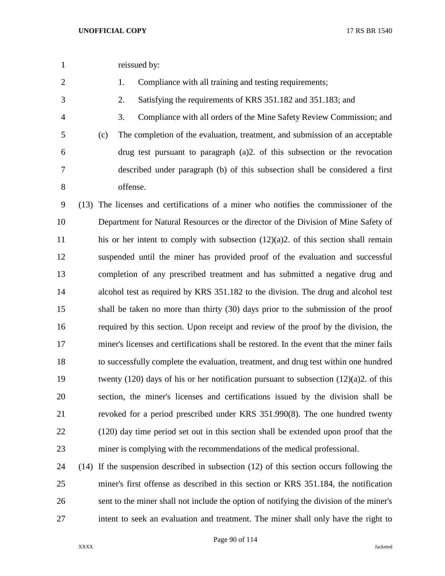reissued by:

2 1. Compliance with all training and testing requirements;

2. Satisfying the requirements of KRS 351.182 and 351.183; and

 3. Compliance with all orders of the Mine Safety Review Commission; and (c) The completion of the evaluation, treatment, and submission of an acceptable drug test pursuant to paragraph (a)2. of this subsection or the revocation described under paragraph (b) of this subsection shall be considered a first offense.

 (13) The licenses and certifications of a miner who notifies the commissioner of the Department for Natural Resources or the director of the Division of Mine Safety of his or her intent to comply with subsection (12)(a)2. of this section shall remain suspended until the miner has provided proof of the evaluation and successful completion of any prescribed treatment and has submitted a negative drug and alcohol test as required by KRS 351.182 to the division. The drug and alcohol test shall be taken no more than thirty (30) days prior to the submission of the proof required by this section. Upon receipt and review of the proof by the division, the miner's licenses and certifications shall be restored. In the event that the miner fails to successfully complete the evaluation, treatment, and drug test within one hundred twenty (120) days of his or her notification pursuant to subsection (12)(a)2. of this section, the miner's licenses and certifications issued by the division shall be revoked for a period prescribed under KRS 351.990(8). The one hundred twenty (120) day time period set out in this section shall be extended upon proof that the miner is complying with the recommendations of the medical professional.

 (14) If the suspension described in subsection (12) of this section occurs following the miner's first offense as described in this section or KRS 351.184, the notification sent to the miner shall not include the option of notifying the division of the miner's intent to seek an evaluation and treatment. The miner shall only have the right to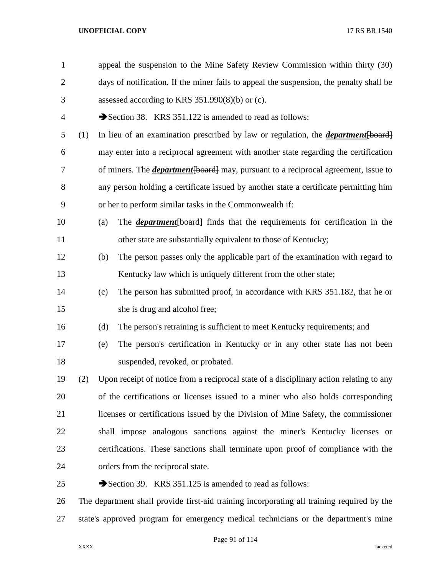| $\mathbf{1}$   |                                                                                            |                                                                                         | appeal the suspension to the Mine Safety Review Commission within thirty (30)              |  |  |
|----------------|--------------------------------------------------------------------------------------------|-----------------------------------------------------------------------------------------|--------------------------------------------------------------------------------------------|--|--|
| $\overline{2}$ |                                                                                            | days of notification. If the miner fails to appeal the suspension, the penalty shall be |                                                                                            |  |  |
| 3              |                                                                                            |                                                                                         | assessed according to KRS $351.990(8)(b)$ or (c).                                          |  |  |
| 4              |                                                                                            |                                                                                         | Section 38. KRS 351.122 is amended to read as follows:                                     |  |  |
| 5              | (1)                                                                                        |                                                                                         | In lieu of an examination prescribed by law or regulation, the <i>department</i> [board]   |  |  |
| 6              |                                                                                            |                                                                                         | may enter into a reciprocal agreement with another state regarding the certification       |  |  |
| 7              |                                                                                            |                                                                                         | of miners. The <i>department</i> [board] may, pursuant to a reciprocal agreement, issue to |  |  |
| 8              |                                                                                            |                                                                                         | any person holding a certificate issued by another state a certificate permitting him      |  |  |
| 9              |                                                                                            |                                                                                         | or her to perform similar tasks in the Commonwealth if:                                    |  |  |
| 10             |                                                                                            | (a)                                                                                     | The <i>department</i> [board] finds that the requirements for certification in the         |  |  |
| 11             |                                                                                            |                                                                                         | other state are substantially equivalent to those of Kentucky;                             |  |  |
| 12             |                                                                                            | (b)                                                                                     | The person passes only the applicable part of the examination with regard to               |  |  |
| 13             |                                                                                            |                                                                                         | Kentucky law which is uniquely different from the other state;                             |  |  |
| 14             |                                                                                            | (c)                                                                                     | The person has submitted proof, in accordance with KRS 351.182, that he or                 |  |  |
| 15             |                                                                                            |                                                                                         | she is drug and alcohol free;                                                              |  |  |
| 16             |                                                                                            | (d)                                                                                     | The person's retraining is sufficient to meet Kentucky requirements; and                   |  |  |
| 17             |                                                                                            | (e)                                                                                     | The person's certification in Kentucky or in any other state has not been                  |  |  |
| 18             |                                                                                            |                                                                                         | suspended, revoked, or probated.                                                           |  |  |
| 19             | (2)                                                                                        |                                                                                         | Upon receipt of notice from a reciprocal state of a disciplinary action relating to any    |  |  |
| 20             |                                                                                            |                                                                                         | of the certifications or licenses issued to a miner who also holds corresponding           |  |  |
| 21             |                                                                                            |                                                                                         | licenses or certifications issued by the Division of Mine Safety, the commissioner         |  |  |
| 22             |                                                                                            |                                                                                         | shall impose analogous sanctions against the miner's Kentucky licenses or                  |  |  |
| 23             |                                                                                            |                                                                                         | certifications. These sanctions shall terminate upon proof of compliance with the          |  |  |
| 24             |                                                                                            |                                                                                         | orders from the reciprocal state.                                                          |  |  |
| 25             |                                                                                            |                                                                                         | Section 39. KRS 351.125 is amended to read as follows:                                     |  |  |
| 26             | The department shall provide first-aid training incorporating all training required by the |                                                                                         |                                                                                            |  |  |
| 27             | state's approved program for emergency medical technicians or the department's mine        |                                                                                         |                                                                                            |  |  |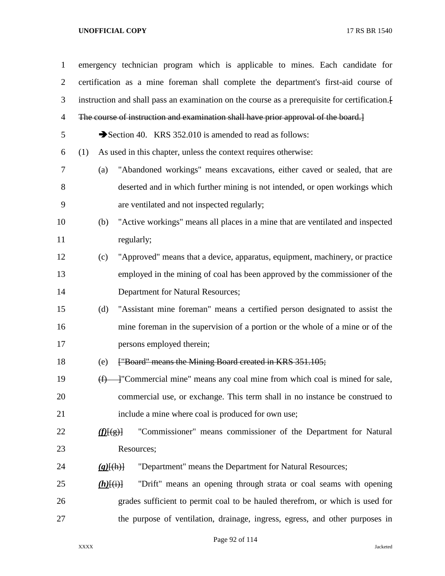| $\mathbf{1}$   |                        | emergency technician program which is applicable to mines. Each candidate for                |
|----------------|------------------------|----------------------------------------------------------------------------------------------|
| $\overline{2}$ |                        | certification as a mine foreman shall complete the department's first-aid course of          |
| 3              |                        | instruction and shall pass an examination on the course as a prerequisite for certification. |
| 4              |                        | The course of instruction and examination shall have prior approval of the board.]           |
| 5              |                        | Section 40. KRS 352.010 is amended to read as follows:                                       |
| 6              | (1)                    | As used in this chapter, unless the context requires otherwise:                              |
| 7              | (a)                    | "Abandoned workings" means excavations, either caved or sealed, that are                     |
| 8              |                        | deserted and in which further mining is not intended, or open workings which                 |
| 9              |                        | are ventilated and not inspected regularly;                                                  |
| 10             | (b)                    | "Active workings" means all places in a mine that are ventilated and inspected               |
| 11             |                        | regularly;                                                                                   |
| 12             | (c)                    | "Approved" means that a device, apparatus, equipment, machinery, or practice                 |
| 13             |                        | employed in the mining of coal has been approved by the commissioner of the                  |
| 14             |                        | Department for Natural Resources;                                                            |
| 15             | (d)                    | "Assistant mine foreman" means a certified person designated to assist the                   |
| 16             |                        | mine foreman in the supervision of a portion or the whole of a mine or of the                |
| 17             |                        | persons employed therein;                                                                    |
| 18             | (e)                    | ["Board" means the Mining Board created in KRS 351.105;                                      |
| 19             | $\bigoplus$            | +"Commercial mine" means any coal mine from which coal is mined for sale,                    |
| 20             |                        | commercial use, or exchange. This term shall in no instance be construed to                  |
| 21             |                        | include a mine where coal is produced for own use;                                           |
| 22             | f(E(g))                | "Commissioner" means commissioner of the Department for Natural                              |
| 23             |                        | Resources;                                                                                   |
| 24             | $(g)$ $\{(\text{h})\}$ | "Department" means the Department for Natural Resources;                                     |
| 25             | $(h)$ [(i)]            | "Drift" means an opening through strata or coal seams with opening                           |
| 26             |                        | grades sufficient to permit coal to be hauled therefrom, or which is used for                |
| 27             |                        | the purpose of ventilation, drainage, ingress, egress, and other purposes in                 |

Page 92 of 114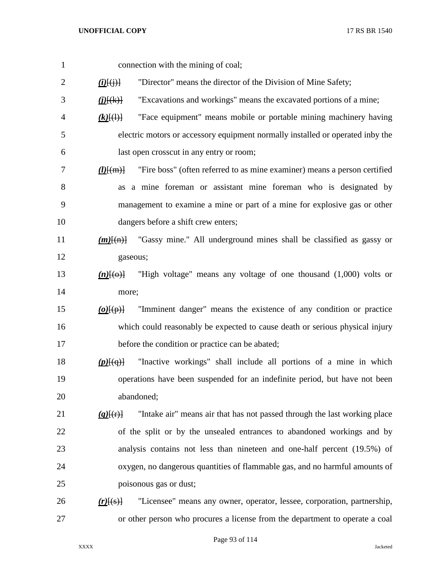| $\mathbf{1}$   | connection with the mining of coal;                                                                     |
|----------------|---------------------------------------------------------------------------------------------------------|
| $\overline{2}$ | "Director" means the director of the Division of Mine Safety;<br>$\underline{(i)}[\overline{(j)}]$      |
| 3              | "Excavations and workings" means the excavated portions of a mine;<br>$\underline{(i)}[\overline{(k)}]$ |
| 4              | "Face equipment" means mobile or portable mining machinery having<br>$(k)$ $\{(\cdot)\}$                |
| 5              | electric motors or accessory equipment normally installed or operated inby the                          |
| 6              | last open crosscut in any entry or room;                                                                |
| 7              | "Fire boss" (often referred to as mine examiner) means a person certified<br>$(l)$ $(m)$                |
| 8              | as a mine foreman or assistant mine foreman who is designated by                                        |
| 9              | management to examine a mine or part of a mine for explosive gas or other                               |
| 10             | dangers before a shift crew enters;                                                                     |
| 11             | "Gassy mine." All underground mines shall be classified as gassy or<br>$(m)$ $\{(\mathrm{n})\}$         |
| 12             | gaseous;                                                                                                |
| 13             | "High voltage" means any voltage of one thousand (1,000) volts or<br>$(n)$ $\{\Theta\}$                 |
| 14             | more;                                                                                                   |
| 15             | "Imminent danger" means the existence of any condition or practice<br>$(o)$ $\overline{(\phi)}$         |
| 16             | which could reasonably be expected to cause death or serious physical injury                            |
| 17             | before the condition or practice can be abated;                                                         |
| 18             | "Inactive workings" shall include all portions of a mine in which<br>$(p)$ [ $(q)$ ]                    |
| 19             | operations have been suspended for an indefinite period, but have not been                              |
| 20             | abandoned;                                                                                              |
| 21             | "Intake air" means air that has not passed through the last working place<br>$(q)$ [(r)]                |
| 22             | of the split or by the unsealed entrances to abandoned workings and by                                  |
| 23             | analysis contains not less than nineteen and one-half percent (19.5%) of                                |
| 24             | oxygen, no dangerous quantities of flammable gas, and no harmful amounts of                             |
| 25             | poisonous gas or dust;                                                                                  |
| 26             | "Licensee" means any owner, operator, lessee, corporation, partnership,<br>$(r)$ $(s)$                  |
| 27             | or other person who procures a license from the department to operate a coal                            |

Page 93 of 114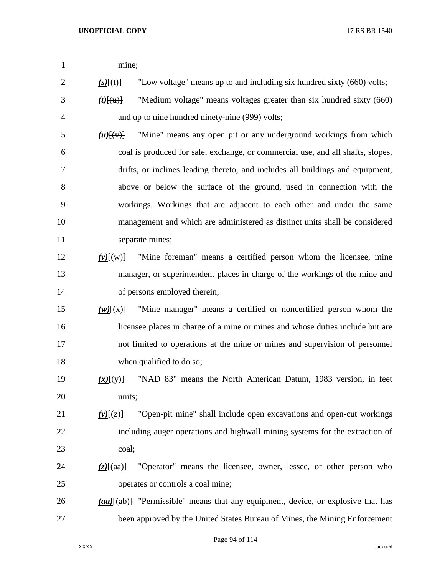| 1 |       |
|---|-------|
|   | mine; |

2  $(s)$   $(f(t))$  "Low voltage" means up to and including six hundred sixty (660) volts;

- *(t)*[(u)] "Medium voltage" means voltages greater than six hundred sixty (660) and up to nine hundred ninety-nine (999) volts;
- $\frac{1}{2}$   $\frac{1}{2}$   $\frac{1}{2}$  "Mine" means any open pit or any underground workings from which coal is produced for sale, exchange, or commercial use, and all shafts, slopes, drifts, or inclines leading thereto, and includes all buildings and equipment, above or below the surface of the ground, used in connection with the workings. Workings that are adjacent to each other and under the same management and which are administered as distinct units shall be considered 11 separate mines;
- *(v)*[(w)] "Mine foreman" means a certified person whom the licensee, mine manager, or superintendent places in charge of the workings of the mine and of persons employed therein;
- *(w)*[(x)] "Mine manager" means a certified or noncertified person whom the licensee places in charge of a mine or mines and whose duties include but are not limited to operations at the mine or mines and supervision of personnel 18 when qualified to do so;
- *(x)*[(y)] "NAD 83" means the North American Datum, 1983 version, in feet units;
- *(y)*[(z)] "Open-pit mine" shall include open excavations and open-cut workings including auger operations and highwall mining systems for the extraction of coal;
- *(z)*[(aa)] "Operator" means the licensee, owner, lessee, or other person who operates or controls a coal mine;
- *(aa)*[(ab)] "Permissible" means that any equipment, device, or explosive that has been approved by the United States Bureau of Mines, the Mining Enforcement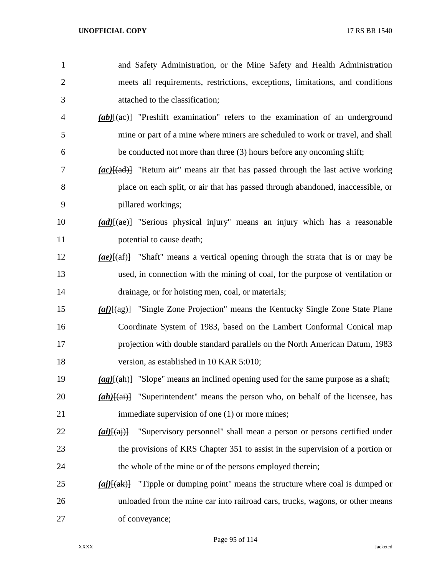| $\mathbf{1}$   | and Safety Administration, or the Mine Safety and Health Administration                                                                                                                                                                                                                                                                                                                                                                                |
|----------------|--------------------------------------------------------------------------------------------------------------------------------------------------------------------------------------------------------------------------------------------------------------------------------------------------------------------------------------------------------------------------------------------------------------------------------------------------------|
| $\overline{c}$ | meets all requirements, restrictions, exceptions, limitations, and conditions                                                                                                                                                                                                                                                                                                                                                                          |
| 3              | attached to the classification;                                                                                                                                                                                                                                                                                                                                                                                                                        |
| 4              | $(ab)$ [(ae)] "Preshift examination" refers to the examination of an underground                                                                                                                                                                                                                                                                                                                                                                       |
| 5              | mine or part of a mine where miners are scheduled to work or travel, and shall                                                                                                                                                                                                                                                                                                                                                                         |
| 6              | be conducted not more than three (3) hours before any oncoming shift;                                                                                                                                                                                                                                                                                                                                                                                  |
| 7              | $(ac)$ {(ad)} "Return air" means air that has passed through the last active working                                                                                                                                                                                                                                                                                                                                                                   |
| 8              | place on each split, or air that has passed through abandoned, inaccessible, or                                                                                                                                                                                                                                                                                                                                                                        |
| 9              | pillared workings;                                                                                                                                                                                                                                                                                                                                                                                                                                     |
| 10             | (ad)[(ae)] "Serious physical injury" means an injury which has a reasonable                                                                                                                                                                                                                                                                                                                                                                            |
| 11             | potential to cause death;                                                                                                                                                                                                                                                                                                                                                                                                                              |
| 12             | $(ae)$ [(af)] "Shaft" means a vertical opening through the strata that is or may be                                                                                                                                                                                                                                                                                                                                                                    |
| 13             | used, in connection with the mining of coal, for the purpose of ventilation or                                                                                                                                                                                                                                                                                                                                                                         |
| 14             | drainage, or for hoisting men, coal, or materials;                                                                                                                                                                                                                                                                                                                                                                                                     |
| 15             | $\left(\frac{af}{(4g)}\right)$ "Single Zone Projection" means the Kentucky Single Zone State Plane                                                                                                                                                                                                                                                                                                                                                     |
| 16             | Coordinate System of 1983, based on the Lambert Conformal Conical map                                                                                                                                                                                                                                                                                                                                                                                  |
| 17             | projection with double standard parallels on the North American Datum, 1983                                                                                                                                                                                                                                                                                                                                                                            |
| 18             | version, as established in 10 KAR 5:010;                                                                                                                                                                                                                                                                                                                                                                                                               |
| 19             | $\frac{ag}{(ag)}$ "Slope" means an inclined opening used for the same purpose as a shaft;                                                                                                                                                                                                                                                                                                                                                              |
| 20             | "Superintendent" means the person who, on behalf of the licensee, has<br>$(ah)$ $\overline{+$ $\overline{a}$ $\overline{a}$ $\overline{a}$ $\overline{a}$ $\overline{a}$ $\overline{a}$ $\overline{a}$ $\overline{a}$ $\overline{a}$ $\overline{a}$ $\overline{a}$ $\overline{a}$ $\overline{a}$ $\overline{a}$ $\overline{a}$ $\overline{a}$ $\overline{a}$ $\overline{a}$ $\overline{a}$ $\overline{a}$ $\overline{a}$ $\overline{a}$ $\overline{a}$ |
| 21             | immediate supervision of one (1) or more mines;                                                                                                                                                                                                                                                                                                                                                                                                        |
| 22             | "Supervisory personnel" shall mean a person or persons certified under<br>$\frac{(ai)(\{ai)\}}{ab}$                                                                                                                                                                                                                                                                                                                                                    |
| 23             | the provisions of KRS Chapter 351 to assist in the supervision of a portion or                                                                                                                                                                                                                                                                                                                                                                         |
| 24             | the whole of the mine or of the persons employed therein;                                                                                                                                                                                                                                                                                                                                                                                              |
| 25             | "Tipple or dumping point" means the structure where coal is dumped or<br>$\frac{(ai)(ak)}{h}$                                                                                                                                                                                                                                                                                                                                                          |
| 26             | unloaded from the mine car into railroad cars, trucks, wagons, or other means                                                                                                                                                                                                                                                                                                                                                                          |
| 27             | of conveyance;                                                                                                                                                                                                                                                                                                                                                                                                                                         |

Page 95 of 114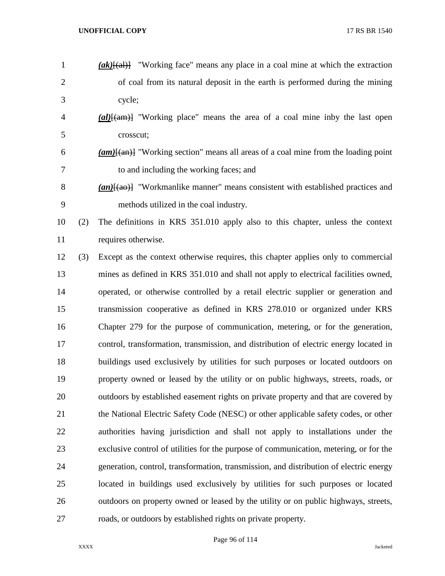| $\mathbf{1}$   | $(\alpha k)$ [(al)] "Working face" means any place in a coal mine at which the extraction        |
|----------------|--------------------------------------------------------------------------------------------------|
| $\overline{2}$ | of coal from its natural deposit in the earth is performed during the mining                     |
| 3              | cycle;                                                                                           |
| 4              | $\frac{1}{\text{(al)}\text{H}}$ "Working place" means the area of a coal mine inby the last open |
| 5              | crosscut;                                                                                        |
| 6              | $(am)$ "Working section" means all areas of a coal mine from the loading point                   |
| 7              | to and including the working faces; and                                                          |
| 8              | $(an)$ [(ao)] "Workmanlike manner" means consistent with established practices and               |
| 9              | methods utilized in the coal industry.                                                           |
| 10<br>(2)      | The definitions in KRS 351.010 apply also to this chapter, unless the context                    |
| 11             | requires otherwise.                                                                              |
| 12<br>(3)      | Except as the context otherwise requires, this chapter applies only to commercial                |
| 13             | mines as defined in KRS 351.010 and shall not apply to electrical facilities owned,              |
| 14             | operated, or otherwise controlled by a retail electric supplier or generation and                |
| 15             | transmission cooperative as defined in KRS 278.010 or organized under KRS                        |
| 16             | Chapter 279 for the purpose of communication, metering, or for the generation,                   |
| 17             | control, transformation, transmission, and distribution of electric energy located in            |
| 18             | buildings used exclusively by utilities for such purposes or located outdoors on                 |
| 19             | property owned or leased by the utility or on public highways, streets, roads, or                |
| 20             | outdoors by established easement rights on private property and that are covered by              |
| 21             | the National Electric Safety Code (NESC) or other applicable safety codes, or other              |
| 22             | authorities having jurisdiction and shall not apply to installations under the                   |
| 23             | exclusive control of utilities for the purpose of communication, metering, or for the            |
| 24             | generation, control, transformation, transmission, and distribution of electric energy           |
| 25             | located in buildings used exclusively by utilities for such purposes or located                  |
| 26             | outdoors on property owned or leased by the utility or on public highways, streets,              |
|                |                                                                                                  |

roads, or outdoors by established rights on private property.

Page 96 of 114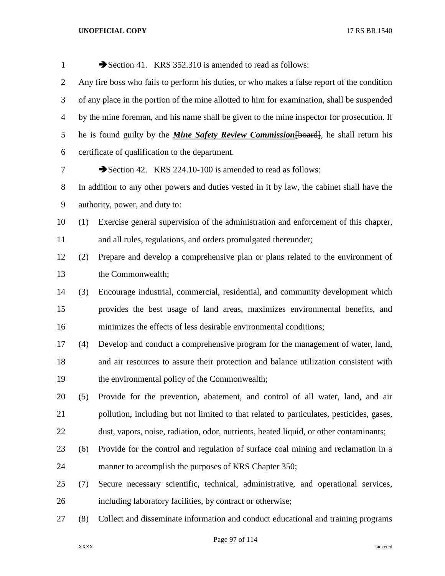| $\mathbf{1}$   |     | Section 41. KRS 352.310 is amended to read as follows:                                      |
|----------------|-----|---------------------------------------------------------------------------------------------|
| 2              |     | Any fire boss who fails to perform his duties, or who makes a false report of the condition |
| 3              |     | of any place in the portion of the mine allotted to him for examination, shall be suspended |
| $\overline{4}$ |     | by the mine foreman, and his name shall be given to the mine inspector for prosecution. If  |
| 5              |     | he is found guilty by the <i>Mine Safety Review Commission</i> [board], he shall return his |
| 6              |     | certificate of qualification to the department.                                             |
| 7              |     | Section 42. KRS 224.10-100 is amended to read as follows:                                   |
| 8              |     | In addition to any other powers and duties vested in it by law, the cabinet shall have the  |
| 9              |     | authority, power, and duty to:                                                              |
| 10             | (1) | Exercise general supervision of the administration and enforcement of this chapter,         |
| 11             |     | and all rules, regulations, and orders promulgated thereunder;                              |
| 12             | (2) | Prepare and develop a comprehensive plan or plans related to the environment of             |
| 13             |     | the Commonwealth;                                                                           |
| 14             | (3) | Encourage industrial, commercial, residential, and community development which              |
| 15             |     | provides the best usage of land areas, maximizes environmental benefits, and                |
| 16             |     | minimizes the effects of less desirable environmental conditions;                           |
| 17             | (4) | Develop and conduct a comprehensive program for the management of water, land,              |
| 18             |     | and air resources to assure their protection and balance utilization consistent with        |
| 19             |     | the environmental policy of the Commonwealth;                                               |
| 20             | (5) | Provide for the prevention, abatement, and control of all water, land, and air              |
| 21             |     | pollution, including but not limited to that related to particulates, pesticides, gases,    |
| 22             |     | dust, vapors, noise, radiation, odor, nutrients, heated liquid, or other contaminants;      |
| 23             | (6) | Provide for the control and regulation of surface coal mining and reclamation in a          |
| 24             |     | manner to accomplish the purposes of KRS Chapter 350;                                       |
| 25             | (7) | Secure necessary scientific, technical, administrative, and operational services,           |
| 26             |     | including laboratory facilities, by contract or otherwise;                                  |
| 27             | (8) | Collect and disseminate information and conduct educational and training programs           |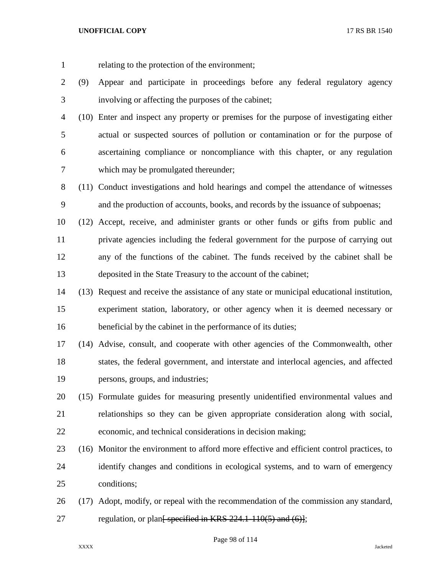relating to the protection of the environment;

- (9) Appear and participate in proceedings before any federal regulatory agency involving or affecting the purposes of the cabinet;
- (10) Enter and inspect any property or premises for the purpose of investigating either actual or suspected sources of pollution or contamination or for the purpose of ascertaining compliance or noncompliance with this chapter, or any regulation which may be promulgated thereunder;
- (11) Conduct investigations and hold hearings and compel the attendance of witnesses and the production of accounts, books, and records by the issuance of subpoenas;
- (12) Accept, receive, and administer grants or other funds or gifts from public and private agencies including the federal government for the purpose of carrying out any of the functions of the cabinet. The funds received by the cabinet shall be deposited in the State Treasury to the account of the cabinet;
- (13) Request and receive the assistance of any state or municipal educational institution, experiment station, laboratory, or other agency when it is deemed necessary or 16 beneficial by the cabinet in the performance of its duties;
- (14) Advise, consult, and cooperate with other agencies of the Commonwealth, other states, the federal government, and interstate and interlocal agencies, and affected persons, groups, and industries;
- (15) Formulate guides for measuring presently unidentified environmental values and relationships so they can be given appropriate consideration along with social, economic, and technical considerations in decision making;
- (16) Monitor the environment to afford more effective and efficient control practices, to identify changes and conditions in ecological systems, and to warn of emergency conditions;
- (17) Adopt, modify, or repeal with the recommendation of the commission any standard, 27 regulation, or plan<del>[ specified in KRS 224.1-110(5) and (6)]</del>;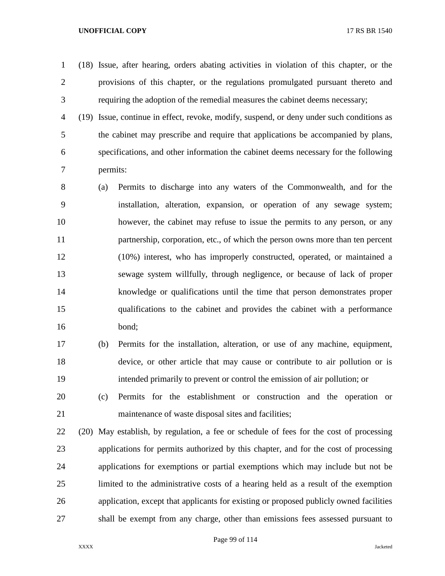(18) Issue, after hearing, orders abating activities in violation of this chapter, or the provisions of this chapter, or the regulations promulgated pursuant thereto and requiring the adoption of the remedial measures the cabinet deems necessary;

 (19) Issue, continue in effect, revoke, modify, suspend, or deny under such conditions as the cabinet may prescribe and require that applications be accompanied by plans, specifications, and other information the cabinet deems necessary for the following permits:

 (a) Permits to discharge into any waters of the Commonwealth, and for the installation, alteration, expansion, or operation of any sewage system; however, the cabinet may refuse to issue the permits to any person, or any partnership, corporation, etc., of which the person owns more than ten percent (10%) interest, who has improperly constructed, operated, or maintained a sewage system willfully, through negligence, or because of lack of proper knowledge or qualifications until the time that person demonstrates proper qualifications to the cabinet and provides the cabinet with a performance bond;

 (b) Permits for the installation, alteration, or use of any machine, equipment, device, or other article that may cause or contribute to air pollution or is intended primarily to prevent or control the emission of air pollution; or

 (c) Permits for the establishment or construction and the operation or maintenance of waste disposal sites and facilities;

 (20) May establish, by regulation, a fee or schedule of fees for the cost of processing applications for permits authorized by this chapter, and for the cost of processing applications for exemptions or partial exemptions which may include but not be limited to the administrative costs of a hearing held as a result of the exemption application, except that applicants for existing or proposed publicly owned facilities shall be exempt from any charge, other than emissions fees assessed pursuant to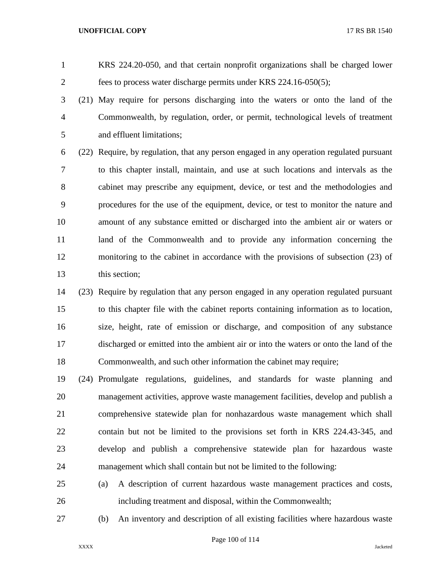KRS 224.20-050, and that certain nonprofit organizations shall be charged lower fees to process water discharge permits under KRS 224.16-050(5);

 (21) May require for persons discharging into the waters or onto the land of the Commonwealth, by regulation, order, or permit, technological levels of treatment and effluent limitations;

 (22) Require, by regulation, that any person engaged in any operation regulated pursuant to this chapter install, maintain, and use at such locations and intervals as the cabinet may prescribe any equipment, device, or test and the methodologies and procedures for the use of the equipment, device, or test to monitor the nature and amount of any substance emitted or discharged into the ambient air or waters or land of the Commonwealth and to provide any information concerning the monitoring to the cabinet in accordance with the provisions of subsection (23) of this section;

 (23) Require by regulation that any person engaged in any operation regulated pursuant to this chapter file with the cabinet reports containing information as to location, size, height, rate of emission or discharge, and composition of any substance discharged or emitted into the ambient air or into the waters or onto the land of the Commonwealth, and such other information the cabinet may require;

 (24) Promulgate regulations, guidelines, and standards for waste planning and management activities, approve waste management facilities, develop and publish a comprehensive statewide plan for nonhazardous waste management which shall contain but not be limited to the provisions set forth in KRS 224.43-345, and develop and publish a comprehensive statewide plan for hazardous waste management which shall contain but not be limited to the following:

 (a) A description of current hazardous waste management practices and costs, including treatment and disposal, within the Commonwealth;

(b) An inventory and description of all existing facilities where hazardous waste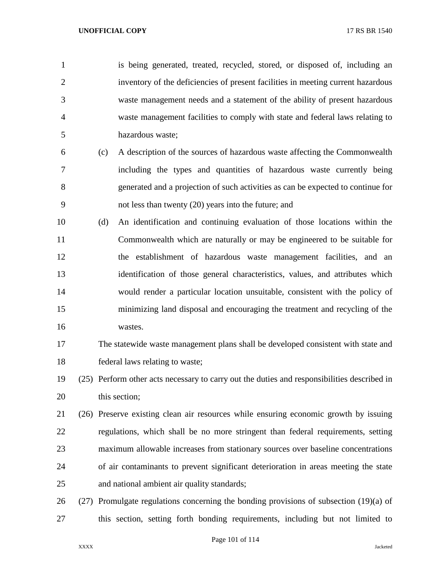is being generated, treated, recycled, stored, or disposed of, including an inventory of the deficiencies of present facilities in meeting current hazardous waste management needs and a statement of the ability of present hazardous waste management facilities to comply with state and federal laws relating to hazardous waste;

- (c) A description of the sources of hazardous waste affecting the Commonwealth including the types and quantities of hazardous waste currently being generated and a projection of such activities as can be expected to continue for not less than twenty (20) years into the future; and
- (d) An identification and continuing evaluation of those locations within the Commonwealth which are naturally or may be engineered to be suitable for the establishment of hazardous waste management facilities, and an identification of those general characteristics, values, and attributes which would render a particular location unsuitable, consistent with the policy of minimizing land disposal and encouraging the treatment and recycling of the wastes.
- The statewide waste management plans shall be developed consistent with state and federal laws relating to waste;

 (25) Perform other acts necessary to carry out the duties and responsibilities described in this section;

- (26) Preserve existing clean air resources while ensuring economic growth by issuing regulations, which shall be no more stringent than federal requirements, setting maximum allowable increases from stationary sources over baseline concentrations of air contaminants to prevent significant deterioration in areas meeting the state and national ambient air quality standards;
- 26 (27) Promulgate regulations concerning the bonding provisions of subsection  $(19)(a)$  of this section, setting forth bonding requirements, including but not limited to

Page 101 of 114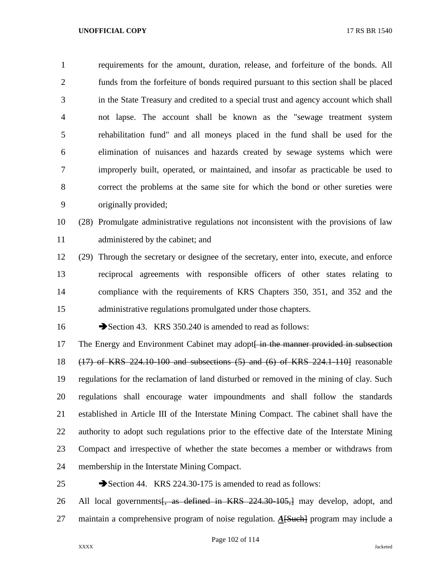requirements for the amount, duration, release, and forfeiture of the bonds. All funds from the forfeiture of bonds required pursuant to this section shall be placed in the State Treasury and credited to a special trust and agency account which shall not lapse. The account shall be known as the "sewage treatment system rehabilitation fund" and all moneys placed in the fund shall be used for the elimination of nuisances and hazards created by sewage systems which were improperly built, operated, or maintained, and insofar as practicable be used to correct the problems at the same site for which the bond or other sureties were originally provided;

 (28) Promulgate administrative regulations not inconsistent with the provisions of law 11 administered by the cabinet; and

 (29) Through the secretary or designee of the secretary, enter into, execute, and enforce reciprocal agreements with responsible officers of other states relating to compliance with the requirements of KRS Chapters 350, 351, and 352 and the administrative regulations promulgated under those chapters.

16 Section 43. KRS 350.240 is amended to read as follows:

17 The Energy and Environment Cabinet may adopt<del>[ in the manner provided in subsection</del> (17) of KRS 224.10-100 and subsections (5) and (6) of KRS 224.1-110] reasonable regulations for the reclamation of land disturbed or removed in the mining of clay. Such regulations shall encourage water impoundments and shall follow the standards established in Article III of the Interstate Mining Compact. The cabinet shall have the authority to adopt such regulations prior to the effective date of the Interstate Mining Compact and irrespective of whether the state becomes a member or withdraws from membership in the Interstate Mining Compact.

25 Section 44. KRS 224.30-175 is amended to read as follows:

26 All local governments<del>, as defined in KRS 224.30-105,]</del> may develop, adopt, and maintain a comprehensive program of noise regulation. *A*[Such] program may include a

Page 102 of 114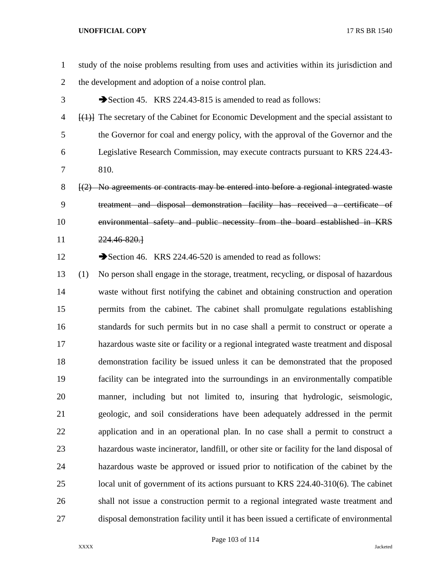study of the noise problems resulting from uses and activities within its jurisdiction and the development and adoption of a noise control plan. 3 Section 45. KRS 224.43-815 is amended to read as follows: [(1)] The secretary of the Cabinet for Economic Development and the special assistant to the Governor for coal and energy policy, with the approval of the Governor and the Legislative Research Commission, may execute contracts pursuant to KRS 224.43- 810. [(2) No agreements or contracts may be entered into before a regional integrated waste treatment and disposal demonstration facility has received a certificate of environmental safety and public necessity from the board established in KRS 224.46-820.] 12 Section 46. KRS 224.46-520 is amended to read as follows: (1) No person shall engage in the storage, treatment, recycling, or disposal of hazardous waste without first notifying the cabinet and obtaining construction and operation permits from the cabinet. The cabinet shall promulgate regulations establishing standards for such permits but in no case shall a permit to construct or operate a hazardous waste site or facility or a regional integrated waste treatment and disposal demonstration facility be issued unless it can be demonstrated that the proposed facility can be integrated into the surroundings in an environmentally compatible manner, including but not limited to, insuring that hydrologic, seismologic, geologic, and soil considerations have been adequately addressed in the permit application and in an operational plan. In no case shall a permit to construct a hazardous waste incinerator, landfill, or other site or facility for the land disposal of hazardous waste be approved or issued prior to notification of the cabinet by the local unit of government of its actions pursuant to KRS 224.40-310(6). The cabinet shall not issue a construction permit to a regional integrated waste treatment and disposal demonstration facility until it has been issued a certificate of environmental

Page 103 of 114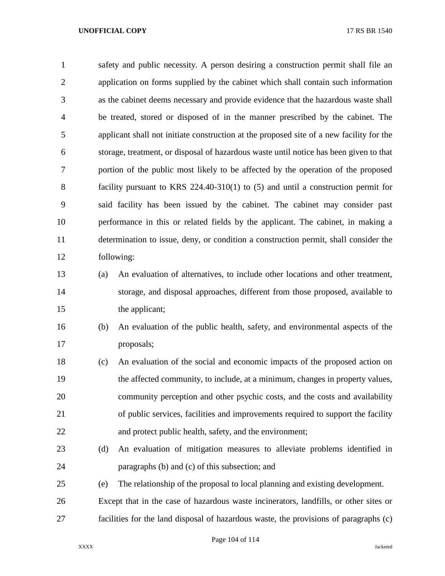safety and public necessity. A person desiring a construction permit shall file an application on forms supplied by the cabinet which shall contain such information as the cabinet deems necessary and provide evidence that the hazardous waste shall be treated, stored or disposed of in the manner prescribed by the cabinet. The applicant shall not initiate construction at the proposed site of a new facility for the storage, treatment, or disposal of hazardous waste until notice has been given to that portion of the public most likely to be affected by the operation of the proposed facility pursuant to KRS 224.40-310(1) to (5) and until a construction permit for said facility has been issued by the cabinet. The cabinet may consider past performance in this or related fields by the applicant. The cabinet, in making a determination to issue, deny, or condition a construction permit, shall consider the following:

# (a) An evaluation of alternatives, to include other locations and other treatment, storage, and disposal approaches, different from those proposed, available to the applicant;

 (b) An evaluation of the public health, safety, and environmental aspects of the proposals;

 (c) An evaluation of the social and economic impacts of the proposed action on the affected community, to include, at a minimum, changes in property values, community perception and other psychic costs, and the costs and availability of public services, facilities and improvements required to support the facility and protect public health, safety, and the environment;

- (d) An evaluation of mitigation measures to alleviate problems identified in paragraphs (b) and (c) of this subsection; and
- (e) The relationship of the proposal to local planning and existing development.

 Except that in the case of hazardous waste incinerators, landfills, or other sites or facilities for the land disposal of hazardous waste, the provisions of paragraphs (c)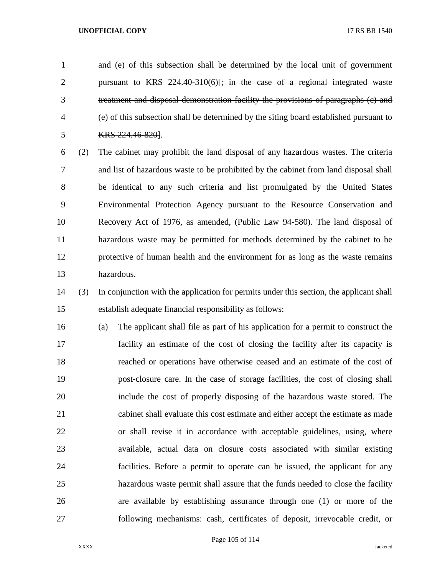and (e) of this subsection shall be determined by the local unit of government 2 pursuant to KRS 224.40-310(6)<del>[; in the case of a regional integrated waste</del> treatment and disposal demonstration facility the provisions of paragraphs (c) and (e) of this subsection shall be determined by the siting board established pursuant to KRS 224.46-820].

 (2) The cabinet may prohibit the land disposal of any hazardous wastes. The criteria and list of hazardous waste to be prohibited by the cabinet from land disposal shall be identical to any such criteria and list promulgated by the United States Environmental Protection Agency pursuant to the Resource Conservation and Recovery Act of 1976, as amended, (Public Law 94-580). The land disposal of hazardous waste may be permitted for methods determined by the cabinet to be protective of human health and the environment for as long as the waste remains hazardous.

 (3) In conjunction with the application for permits under this section, the applicant shall establish adequate financial responsibility as follows:

 (a) The applicant shall file as part of his application for a permit to construct the facility an estimate of the cost of closing the facility after its capacity is reached or operations have otherwise ceased and an estimate of the cost of post-closure care. In the case of storage facilities, the cost of closing shall include the cost of properly disposing of the hazardous waste stored. The cabinet shall evaluate this cost estimate and either accept the estimate as made or shall revise it in accordance with acceptable guidelines, using, where available, actual data on closure costs associated with similar existing facilities. Before a permit to operate can be issued, the applicant for any hazardous waste permit shall assure that the funds needed to close the facility are available by establishing assurance through one (1) or more of the following mechanisms: cash, certificates of deposit, irrevocable credit, or

Page 105 of 114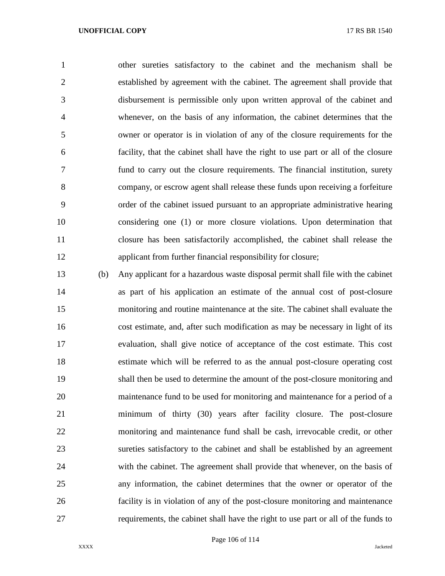other sureties satisfactory to the cabinet and the mechanism shall be established by agreement with the cabinet. The agreement shall provide that disbursement is permissible only upon written approval of the cabinet and whenever, on the basis of any information, the cabinet determines that the owner or operator is in violation of any of the closure requirements for the facility, that the cabinet shall have the right to use part or all of the closure fund to carry out the closure requirements. The financial institution, surety company, or escrow agent shall release these funds upon receiving a forfeiture order of the cabinet issued pursuant to an appropriate administrative hearing considering one (1) or more closure violations. Upon determination that closure has been satisfactorily accomplished, the cabinet shall release the applicant from further financial responsibility for closure;

 (b) Any applicant for a hazardous waste disposal permit shall file with the cabinet as part of his application an estimate of the annual cost of post-closure monitoring and routine maintenance at the site. The cabinet shall evaluate the cost estimate, and, after such modification as may be necessary in light of its evaluation, shall give notice of acceptance of the cost estimate. This cost estimate which will be referred to as the annual post-closure operating cost shall then be used to determine the amount of the post-closure monitoring and maintenance fund to be used for monitoring and maintenance for a period of a minimum of thirty (30) years after facility closure. The post-closure monitoring and maintenance fund shall be cash, irrevocable credit, or other sureties satisfactory to the cabinet and shall be established by an agreement with the cabinet. The agreement shall provide that whenever, on the basis of any information, the cabinet determines that the owner or operator of the facility is in violation of any of the post-closure monitoring and maintenance requirements, the cabinet shall have the right to use part or all of the funds to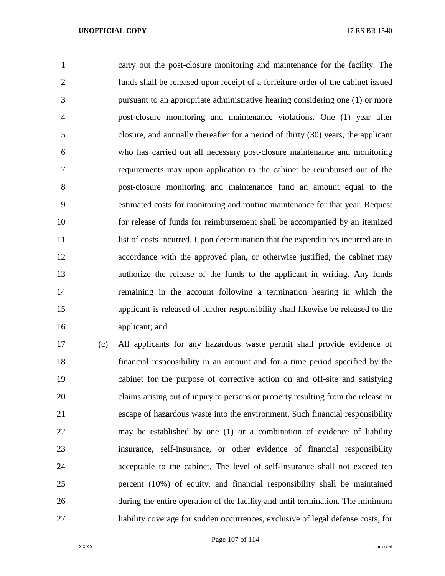carry out the post-closure monitoring and maintenance for the facility. The funds shall be released upon receipt of a forfeiture order of the cabinet issued pursuant to an appropriate administrative hearing considering one (1) or more post-closure monitoring and maintenance violations. One (1) year after closure, and annually thereafter for a period of thirty (30) years, the applicant who has carried out all necessary post-closure maintenance and monitoring requirements may upon application to the cabinet be reimbursed out of the post-closure monitoring and maintenance fund an amount equal to the estimated costs for monitoring and routine maintenance for that year. Request for release of funds for reimbursement shall be accompanied by an itemized 11 list of costs incurred. Upon determination that the expenditures incurred are in accordance with the approved plan, or otherwise justified, the cabinet may authorize the release of the funds to the applicant in writing. Any funds remaining in the account following a termination hearing in which the applicant is released of further responsibility shall likewise be released to the applicant; and

 (c) All applicants for any hazardous waste permit shall provide evidence of financial responsibility in an amount and for a time period specified by the cabinet for the purpose of corrective action on and off-site and satisfying claims arising out of injury to persons or property resulting from the release or escape of hazardous waste into the environment. Such financial responsibility may be established by one (1) or a combination of evidence of liability insurance, self-insurance, or other evidence of financial responsibility acceptable to the cabinet. The level of self-insurance shall not exceed ten percent (10%) of equity, and financial responsibility shall be maintained during the entire operation of the facility and until termination. The minimum liability coverage for sudden occurrences, exclusive of legal defense costs, for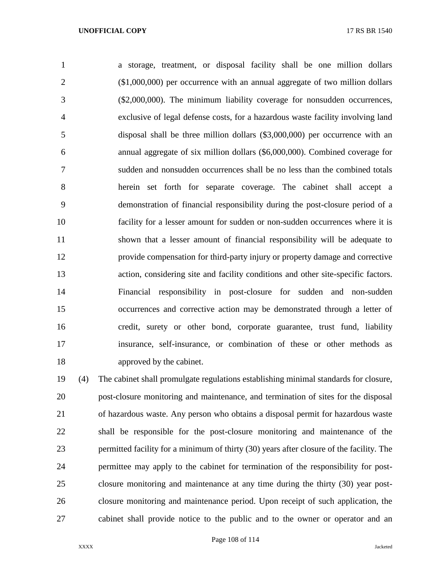a storage, treatment, or disposal facility shall be one million dollars (\$1,000,000) per occurrence with an annual aggregate of two million dollars (\$2,000,000). The minimum liability coverage for nonsudden occurrences, exclusive of legal defense costs, for a hazardous waste facility involving land disposal shall be three million dollars (\$3,000,000) per occurrence with an annual aggregate of six million dollars (\$6,000,000). Combined coverage for sudden and nonsudden occurrences shall be no less than the combined totals herein set forth for separate coverage. The cabinet shall accept a demonstration of financial responsibility during the post-closure period of a facility for a lesser amount for sudden or non-sudden occurrences where it is shown that a lesser amount of financial responsibility will be adequate to provide compensation for third-party injury or property damage and corrective action, considering site and facility conditions and other site-specific factors. Financial responsibility in post-closure for sudden and non-sudden occurrences and corrective action may be demonstrated through a letter of credit, surety or other bond, corporate guarantee, trust fund, liability insurance, self-insurance, or combination of these or other methods as approved by the cabinet.

 (4) The cabinet shall promulgate regulations establishing minimal standards for closure, post-closure monitoring and maintenance, and termination of sites for the disposal of hazardous waste. Any person who obtains a disposal permit for hazardous waste shall be responsible for the post-closure monitoring and maintenance of the permitted facility for a minimum of thirty (30) years after closure of the facility. The permittee may apply to the cabinet for termination of the responsibility for post- closure monitoring and maintenance at any time during the thirty (30) year post- closure monitoring and maintenance period. Upon receipt of such application, the cabinet shall provide notice to the public and to the owner or operator and an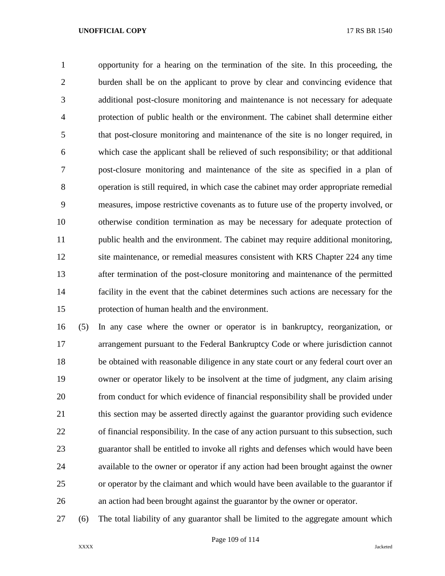opportunity for a hearing on the termination of the site. In this proceeding, the burden shall be on the applicant to prove by clear and convincing evidence that additional post-closure monitoring and maintenance is not necessary for adequate protection of public health or the environment. The cabinet shall determine either that post-closure monitoring and maintenance of the site is no longer required, in which case the applicant shall be relieved of such responsibility; or that additional post-closure monitoring and maintenance of the site as specified in a plan of operation is still required, in which case the cabinet may order appropriate remedial measures, impose restrictive covenants as to future use of the property involved, or otherwise condition termination as may be necessary for adequate protection of public health and the environment. The cabinet may require additional monitoring, site maintenance, or remedial measures consistent with KRS Chapter 224 any time after termination of the post-closure monitoring and maintenance of the permitted facility in the event that the cabinet determines such actions are necessary for the protection of human health and the environment.

 (5) In any case where the owner or operator is in bankruptcy, reorganization, or arrangement pursuant to the Federal Bankruptcy Code or where jurisdiction cannot be obtained with reasonable diligence in any state court or any federal court over an owner or operator likely to be insolvent at the time of judgment, any claim arising from conduct for which evidence of financial responsibility shall be provided under 21 this section may be asserted directly against the guarantor providing such evidence of financial responsibility. In the case of any action pursuant to this subsection, such guarantor shall be entitled to invoke all rights and defenses which would have been available to the owner or operator if any action had been brought against the owner or operator by the claimant and which would have been available to the guarantor if an action had been brought against the guarantor by the owner or operator.

(6) The total liability of any guarantor shall be limited to the aggregate amount which

Page 109 of 114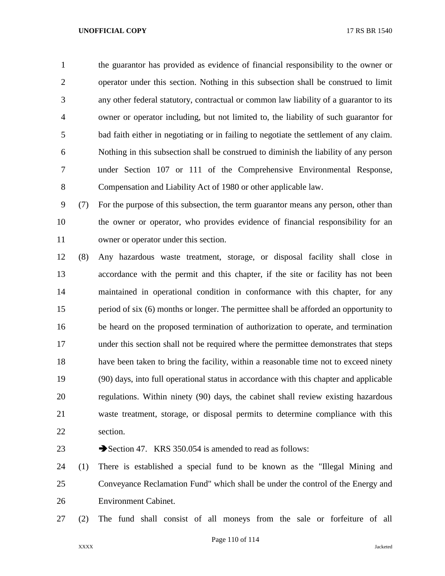the guarantor has provided as evidence of financial responsibility to the owner or operator under this section. Nothing in this subsection shall be construed to limit any other federal statutory, contractual or common law liability of a guarantor to its owner or operator including, but not limited to, the liability of such guarantor for bad faith either in negotiating or in failing to negotiate the settlement of any claim. Nothing in this subsection shall be construed to diminish the liability of any person under Section 107 or 111 of the Comprehensive Environmental Response, Compensation and Liability Act of 1980 or other applicable law.

 (7) For the purpose of this subsection, the term guarantor means any person, other than the owner or operator, who provides evidence of financial responsibility for an owner or operator under this section.

 (8) Any hazardous waste treatment, storage, or disposal facility shall close in accordance with the permit and this chapter, if the site or facility has not been maintained in operational condition in conformance with this chapter, for any period of six (6) months or longer. The permittee shall be afforded an opportunity to be heard on the proposed termination of authorization to operate, and termination under this section shall not be required where the permittee demonstrates that steps have been taken to bring the facility, within a reasonable time not to exceed ninety (90) days, into full operational status in accordance with this chapter and applicable regulations. Within ninety (90) days, the cabinet shall review existing hazardous waste treatment, storage, or disposal permits to determine compliance with this section.

23 Section 47. KRS 350.054 is amended to read as follows:

 (1) There is established a special fund to be known as the "Illegal Mining and Conveyance Reclamation Fund" which shall be under the control of the Energy and Environment Cabinet.

(2) The fund shall consist of all moneys from the sale or forfeiture of all

Page 110 of 114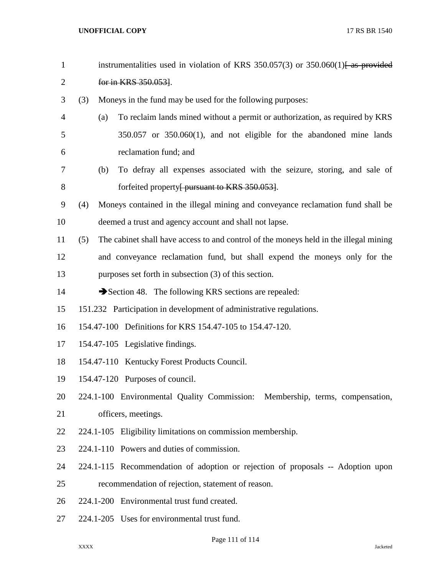| $\mathbf{1}$   |     | instrumentalities used in violation of KRS $350.057(3)$ or $350.060(1)$ as provided   |
|----------------|-----|---------------------------------------------------------------------------------------|
| $\overline{2}$ |     | for in KRS 350.053].                                                                  |
| 3              | (3) | Moneys in the fund may be used for the following purposes:                            |
| $\overline{4}$ | (a) | To reclaim lands mined without a permit or authorization, as required by KRS          |
| 5              |     | $350.057$ or $350.060(1)$ , and not eligible for the abandoned mine lands             |
| 6              |     | reclamation fund; and                                                                 |
| 7              | (b) | To defray all expenses associated with the seizure, storing, and sale of              |
| $8\,$          |     | forfeited property <del>[ pursuant to KRS 350.053]</del> .                            |
| 9              | (4) | Moneys contained in the illegal mining and conveyance reclamation fund shall be       |
| 10             |     | deemed a trust and agency account and shall not lapse.                                |
| 11             | (5) | The cabinet shall have access to and control of the moneys held in the illegal mining |
| 12             |     | and conveyance reclamation fund, but shall expend the moneys only for the             |
| 13             |     | purposes set forth in subsection (3) of this section.                                 |
| 14             |     | $\rightarrow$ Section 48. The following KRS sections are repealed:                    |
| 15             |     | 151.232 Participation in development of administrative regulations.                   |
| 16             |     | 154.47-100 Definitions for KRS 154.47-105 to 154.47-120.                              |
| 17             |     | 154.47-105 Legislative findings.                                                      |
| 18             |     | 154.47-110 Kentucky Forest Products Council.                                          |
| 19             |     | 154.47-120 Purposes of council.                                                       |
| 20             |     | 224.1-100 Environmental Quality Commission: Membership, terms, compensation,          |
| 21             |     | officers, meetings.                                                                   |
| 22             |     | 224.1-105 Eligibility limitations on commission membership.                           |
| 23             |     | 224.1-110 Powers and duties of commission.                                            |
| 24             |     | 224.1-115 Recommendation of adoption or rejection of proposals -- Adoption upon       |
| 25             |     | recommendation of rejection, statement of reason.                                     |
| 26             |     | 224.1-200 Environmental trust fund created.                                           |
| 27             |     | 224.1-205 Uses for environmental trust fund.                                          |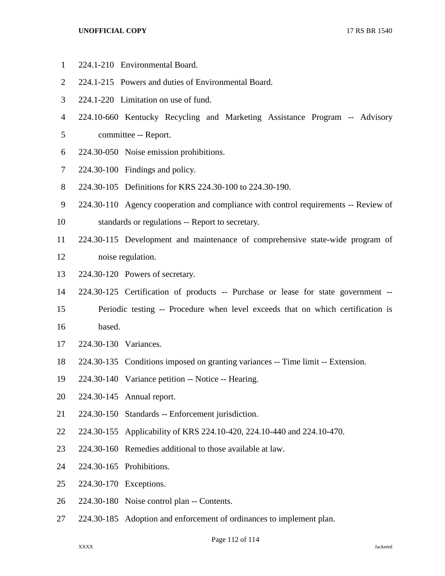- 224.1-210 Environmental Board.
- 224.1-215 Powers and duties of Environmental Board.
- 224.1-220 Limitation on use of fund.
- 224.10-660 Kentucky Recycling and Marketing Assistance Program -- Advisory
- committee -- Report.
- 224.30-050 Noise emission prohibitions.
- 224.30-100 Findings and policy.
- 224.30-105 Definitions for KRS 224.30-100 to 224.30-190.
- 224.30-110 Agency cooperation and compliance with control requirements -- Review of
- standards or regulations -- Report to secretary.
- 224.30-115 Development and maintenance of comprehensive state-wide program of noise regulation.
- 
- 224.30-120 Powers of secretary.
- 224.30-125 Certification of products -- Purchase or lease for state government --
- Periodic testing -- Procedure when level exceeds that on which certification is
- based.
- 224.30-130 Variances.
- 224.30-135 Conditions imposed on granting variances -- Time limit -- Extension.
- 224.30-140 Variance petition -- Notice -- Hearing.
- 224.30-145 Annual report.
- 224.30-150 Standards -- Enforcement jurisdiction.
- 224.30-155 Applicability of KRS 224.10-420, 224.10-440 and 224.10-470.
- 224.30-160 Remedies additional to those available at law.
- 224.30-165 Prohibitions.
- 224.30-170 Exceptions.
- 224.30-180 Noise control plan -- Contents.
- 224.30-185 Adoption and enforcement of ordinances to implement plan.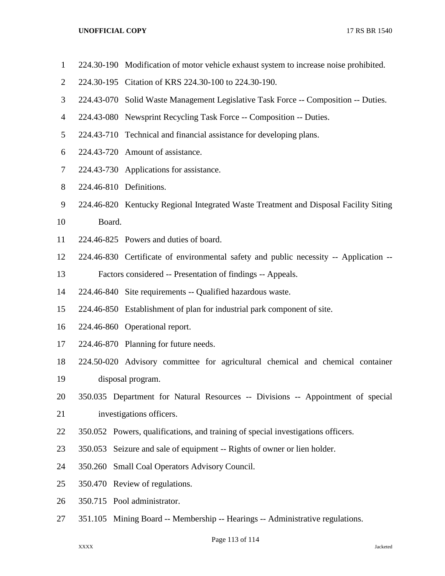- 224.30-190 Modification of motor vehicle exhaust system to increase noise prohibited.
- 224.30-195 Citation of KRS 224.30-100 to 224.30-190.
- 224.43-070 Solid Waste Management Legislative Task Force -- Composition -- Duties.
- 224.43-080 Newsprint Recycling Task Force -- Composition -- Duties.
- 224.43-710 Technical and financial assistance for developing plans.
- 224.43-720 Amount of assistance.
- 224.43-730 Applications for assistance.
- 224.46-810 Definitions.
- 224.46-820 Kentucky Regional Integrated Waste Treatment and Disposal Facility Siting Board.
- 224.46-825 Powers and duties of board.
- 224.46-830 Certificate of environmental safety and public necessity -- Application --
- Factors considered -- Presentation of findings -- Appeals.
- 224.46-840 Site requirements -- Qualified hazardous waste.
- 224.46-850 Establishment of plan for industrial park component of site.
- 224.46-860 Operational report.
- 224.46-870 Planning for future needs.
- 224.50-020 Advisory committee for agricultural chemical and chemical container
- disposal program.
- 350.035 Department for Natural Resources -- Divisions -- Appointment of special investigations officers.
- 350.052 Powers, qualifications, and training of special investigations officers.
- 350.053 Seizure and sale of equipment -- Rights of owner or lien holder.
- 350.260 Small Coal Operators Advisory Council.
- 350.470 Review of regulations.
- 350.715 Pool administrator.
- 351.105 Mining Board -- Membership -- Hearings -- Administrative regulations.